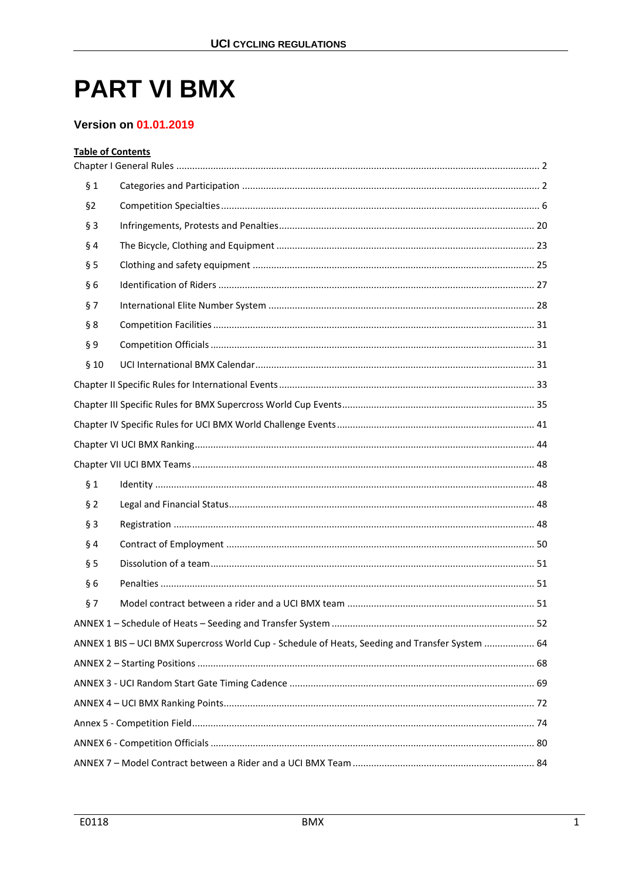# **PART VI BMX**

#### **Version on 01.01.2019**

## **Table of Contents**

| § 1   |                                                                                                 |  |  |  |  |
|-------|-------------------------------------------------------------------------------------------------|--|--|--|--|
| §2    |                                                                                                 |  |  |  |  |
| $§$ 3 |                                                                                                 |  |  |  |  |
| §4    |                                                                                                 |  |  |  |  |
| § 5   |                                                                                                 |  |  |  |  |
| §6    |                                                                                                 |  |  |  |  |
| §7    |                                                                                                 |  |  |  |  |
| § 8   |                                                                                                 |  |  |  |  |
| §9    |                                                                                                 |  |  |  |  |
| §10   |                                                                                                 |  |  |  |  |
|       |                                                                                                 |  |  |  |  |
|       |                                                                                                 |  |  |  |  |
|       |                                                                                                 |  |  |  |  |
|       |                                                                                                 |  |  |  |  |
|       |                                                                                                 |  |  |  |  |
| § 1   |                                                                                                 |  |  |  |  |
| §2    |                                                                                                 |  |  |  |  |
| $§$ 3 |                                                                                                 |  |  |  |  |
| § 4   |                                                                                                 |  |  |  |  |
| § 5   |                                                                                                 |  |  |  |  |
| §6    |                                                                                                 |  |  |  |  |
| §7    |                                                                                                 |  |  |  |  |
|       |                                                                                                 |  |  |  |  |
|       | ANNEX 1 BIS - UCI BMX Supercross World Cup - Schedule of Heats, Seeding and Transfer System  64 |  |  |  |  |
|       |                                                                                                 |  |  |  |  |
|       |                                                                                                 |  |  |  |  |
|       |                                                                                                 |  |  |  |  |
|       |                                                                                                 |  |  |  |  |
|       |                                                                                                 |  |  |  |  |
|       |                                                                                                 |  |  |  |  |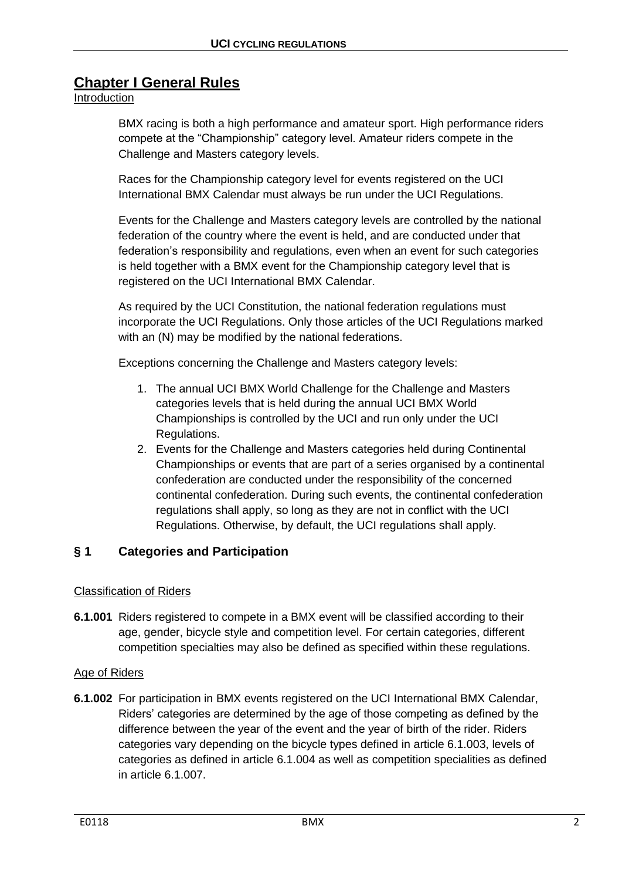# <span id="page-1-0"></span>**Chapter I General Rules**

## Introduction

BMX racing is both a high performance and amateur sport. High performance riders compete at the "Championship" category level. Amateur riders compete in the Challenge and Masters category levels.

Races for the Championship category level for events registered on the UCI International BMX Calendar must always be run under the UCI Regulations.

Events for the Challenge and Masters category levels are controlled by the national federation of the country where the event is held, and are conducted under that federation's responsibility and regulations, even when an event for such categories is held together with a BMX event for the Championship category level that is registered on the UCI International BMX Calendar.

As required by the UCI Constitution, the national federation regulations must incorporate the UCI Regulations. Only those articles of the UCI Regulations marked with an (N) may be modified by the national federations.

Exceptions concerning the Challenge and Masters category levels:

- 1. The annual UCI BMX World Challenge for the Challenge and Masters categories levels that is held during the annual UCI BMX World Championships is controlled by the UCI and run only under the UCI Regulations.
- 2. Events for the Challenge and Masters categories held during Continental Championships or events that are part of a series organised by a continental confederation are conducted under the responsibility of the concerned continental confederation. During such events, the continental confederation regulations shall apply, so long as they are not in conflict with the UCI Regulations. Otherwise, by default, the UCI regulations shall apply.

## <span id="page-1-1"></span>**§ 1 Categories and Participation**

## Classification of Riders

**6.1.001** Riders registered to compete in a BMX event will be classified according to their age, gender, bicycle style and competition level. For certain categories, different competition specialties may also be defined as specified within these regulations.

## Age of Riders

**6.1.002** For participation in BMX events registered on the UCI International BMX Calendar, Riders' categories are determined by the age of those competing as defined by the difference between the year of the event and the year of birth of the rider. Riders categories vary depending on the bicycle types defined in article 6.1.003, levels of categories as defined in article 6.1.004 as well as competition specialities as defined in article 6.1.007.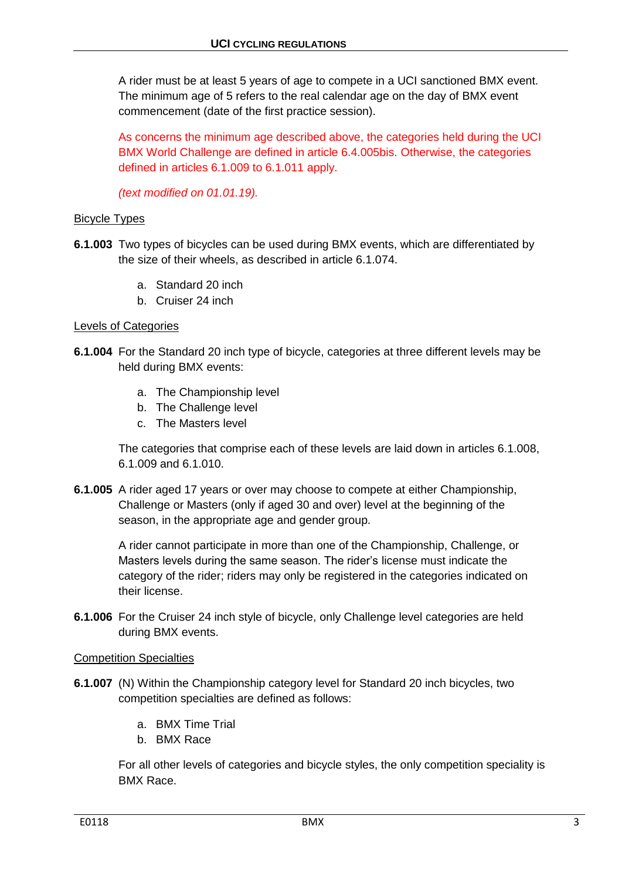A rider must be at least 5 years of age to compete in a UCI sanctioned BMX event. The minimum age of 5 refers to the real calendar age on the day of BMX event commencement (date of the first practice session).

As concerns the minimum age described above, the categories held during the UCI BMX World Challenge are defined in article 6.4.005bis. Otherwise, the categories defined in articles 6.1.009 to 6.1.011 apply.

*(text modified on 01.01.19).*

#### Bicycle Types

- **6.1.003** Two types of bicycles can be used during BMX events, which are differentiated by the size of their wheels, as described in article 6.1.074.
	- a. Standard 20 inch
	- b. Cruiser 24 inch

#### Levels of Categories

- **6.1.004** For the Standard 20 inch type of bicycle, categories at three different levels may be held during BMX events:
	- a. The Championship level
	- b. The Challenge level
	- c. The Masters level

The categories that comprise each of these levels are laid down in articles 6.1.008, 6.1.009 and 6.1.010.

**6.1.005** A rider aged 17 years or over may choose to compete at either Championship, Challenge or Masters (only if aged 30 and over) level at the beginning of the season, in the appropriate age and gender group.

> A rider cannot participate in more than one of the Championship, Challenge, or Masters levels during the same season. The rider's license must indicate the category of the rider; riders may only be registered in the categories indicated on their license.

**6.1.006** For the Cruiser 24 inch style of bicycle, only Challenge level categories are held during BMX events.

#### Competition Specialties

- **6.1.007** (N) Within the Championship category level for Standard 20 inch bicycles, two competition specialties are defined as follows:
	- a. BMX Time Trial
	- b. BMX Race

For all other levels of categories and bicycle styles, the only competition speciality is BMX Race.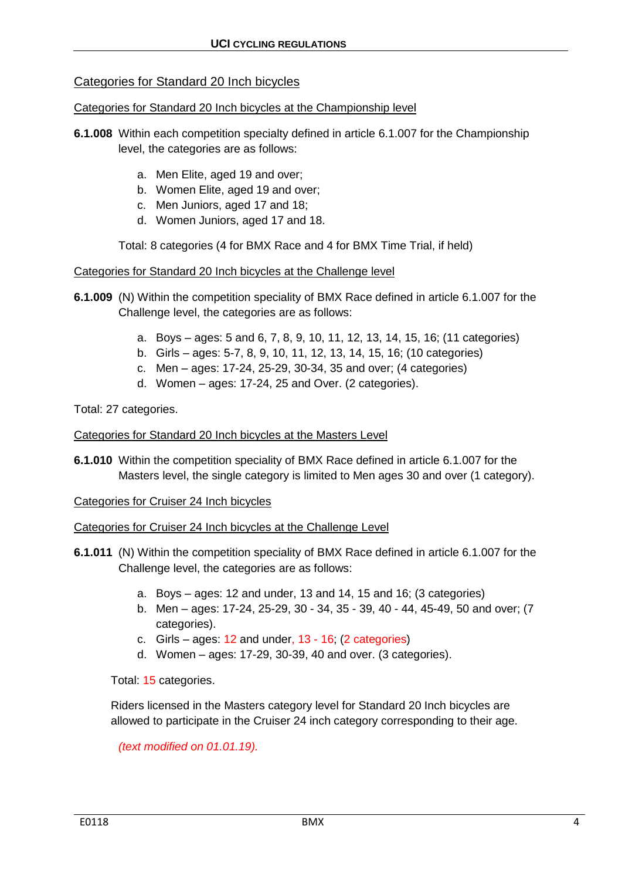## Categories for Standard 20 Inch bicycles

#### Categories for Standard 20 Inch bicycles at the Championship level

- **6.1.008** Within each competition specialty defined in article 6.1.007 for the Championship level, the categories are as follows:
	- a. Men Elite, aged 19 and over;
	- b. Women Elite, aged 19 and over;
	- c. Men Juniors, aged 17 and 18;
	- d. Women Juniors, aged 17 and 18.

Total: 8 categories (4 for BMX Race and 4 for BMX Time Trial, if held)

#### Categories for Standard 20 Inch bicycles at the Challenge level

- **6.1.009** (N) Within the competition speciality of BMX Race defined in article 6.1.007 for the Challenge level, the categories are as follows:
	- a. Boys ages: 5 and 6, 7, 8, 9, 10, 11, 12, 13, 14, 15, 16; (11 categories)
	- b. Girls ages: 5-7, 8, 9, 10, 11, 12, 13, 14, 15, 16; (10 categories)
	- c. Men ages: 17-24, 25-29, 30-34, 35 and over; (4 categories)
	- d. Women ages: 17-24, 25 and Over. (2 categories).

Total: 27 categories.

#### Categories for Standard 20 Inch bicycles at the Masters Level

**6.1.010** Within the competition speciality of BMX Race defined in article 6.1.007 for the Masters level, the single category is limited to Men ages 30 and over (1 category).

#### Categories for Cruiser 24 Inch bicycles

#### Categories for Cruiser 24 Inch bicycles at the Challenge Level

- **6.1.011** (N) Within the competition speciality of BMX Race defined in article 6.1.007 for the Challenge level, the categories are as follows:
	- a. Boys ages: 12 and under, 13 and 14, 15 and 16; (3 categories)
	- b. Men ages: 17-24, 25-29, 30 34, 35 39, 40 44, 45-49, 50 and over; (7 categories).
	- c. Girls ages:  $12$  and under,  $13 16$ ; (2 categories)
	- d. Women ages: 17-29, 30-39, 40 and over. (3 categories).

Total: 15 categories.

Riders licensed in the Masters category level for Standard 20 Inch bicycles are allowed to participate in the Cruiser 24 inch category corresponding to their age.

*(text modified on 01.01.19).*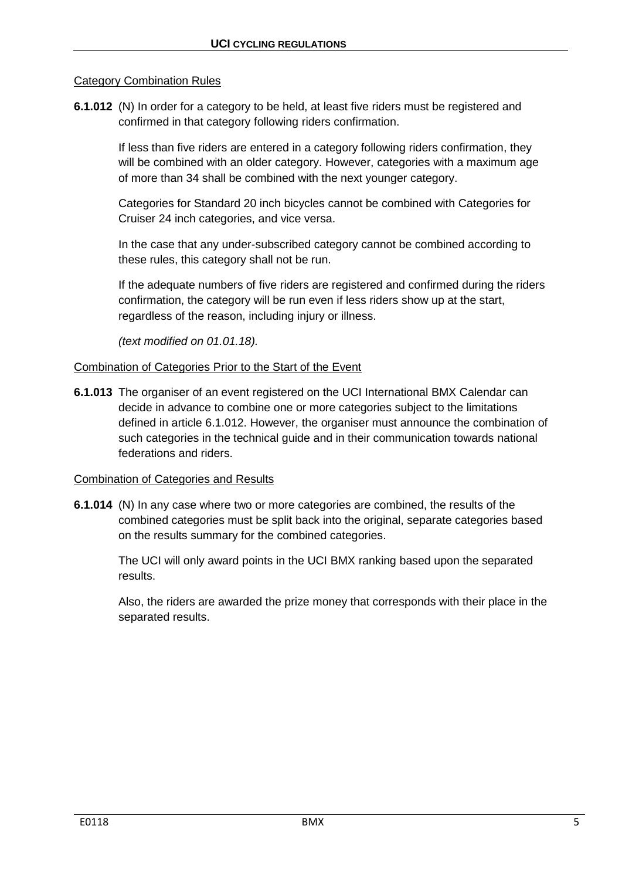#### Category Combination Rules

**6.1.012** (N) In order for a category to be held, at least five riders must be registered and confirmed in that category following riders confirmation.

> If less than five riders are entered in a category following riders confirmation, they will be combined with an older category. However, categories with a maximum age of more than 34 shall be combined with the next younger category.

Categories for Standard 20 inch bicycles cannot be combined with Categories for Cruiser 24 inch categories, and vice versa.

In the case that any under-subscribed category cannot be combined according to these rules, this category shall not be run.

If the adequate numbers of five riders are registered and confirmed during the riders confirmation, the category will be run even if less riders show up at the start, regardless of the reason, including injury or illness.

*(text modified on 01.01.18).*

#### Combination of Categories Prior to the Start of the Event

**6.1.013** The organiser of an event registered on the UCI International BMX Calendar can decide in advance to combine one or more categories subject to the limitations defined in article 6.1.012. However, the organiser must announce the combination of such categories in the technical guide and in their communication towards national federations and riders.

#### Combination of Categories and Results

**6.1.014** (N) In any case where two or more categories are combined, the results of the combined categories must be split back into the original, separate categories based on the results summary for the combined categories.

The UCI will only award points in the UCI BMX ranking based upon the separated results.

Also, the riders are awarded the prize money that corresponds with their place in the separated results.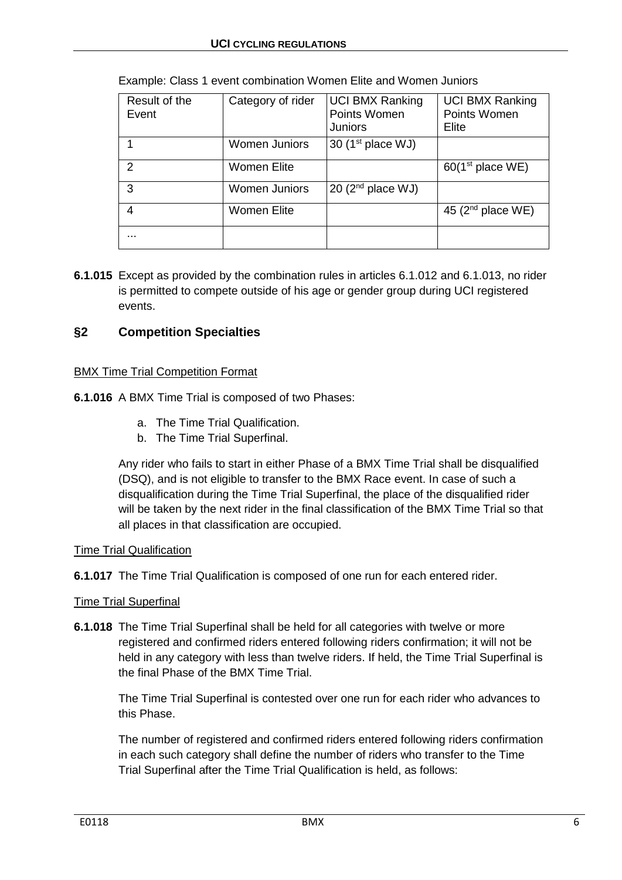| Result of the<br>Event | Category of rider    | <b>UCI BMX Ranking</b><br>Points Women<br><b>Juniors</b> | <b>UCI BMX Ranking</b><br>Points Women<br>Elite |
|------------------------|----------------------|----------------------------------------------------------|-------------------------------------------------|
|                        | <b>Women Juniors</b> | 30 ( $1st$ place WJ)                                     |                                                 |
| $\mathcal{P}$          | Women Elite          |                                                          | 60(1 <sup>st</sup> place WE)                    |
| 3                      | <b>Women Juniors</b> | 20 $(2nd place WJ)$                                      |                                                 |
| 4                      | Women Elite          |                                                          | 45 ( $2nd$ place WE)                            |
| .                      |                      |                                                          |                                                 |

|  |  | Example: Class 1 event combination Women Elite and Women Juniors |  |  |
|--|--|------------------------------------------------------------------|--|--|
|  |  |                                                                  |  |  |

**6.1.015** Except as provided by the combination rules in articles 6.1.012 and 6.1.013, no rider is permitted to compete outside of his age or gender group during UCI registered events.

## <span id="page-5-0"></span>**§2 Competition Specialties**

### BMX Time Trial Competition Format

**6.1.016** A BMX Time Trial is composed of two Phases:

- a. The Time Trial Qualification.
- b. The Time Trial Superfinal.

Any rider who fails to start in either Phase of a BMX Time Trial shall be disqualified (DSQ), and is not eligible to transfer to the BMX Race event. In case of such a disqualification during the Time Trial Superfinal, the place of the disqualified rider will be taken by the next rider in the final classification of the BMX Time Trial so that all places in that classification are occupied.

#### Time Trial Qualification

**6.1.017** The Time Trial Qualification is composed of one run for each entered rider.

#### Time Trial Superfinal

**6.1.018** The Time Trial Superfinal shall be held for all categories with twelve or more registered and confirmed riders entered following riders confirmation; it will not be held in any category with less than twelve riders. If held, the Time Trial Superfinal is the final Phase of the BMX Time Trial.

The Time Trial Superfinal is contested over one run for each rider who advances to this Phase.

The number of registered and confirmed riders entered following riders confirmation in each such category shall define the number of riders who transfer to the Time Trial Superfinal after the Time Trial Qualification is held, as follows: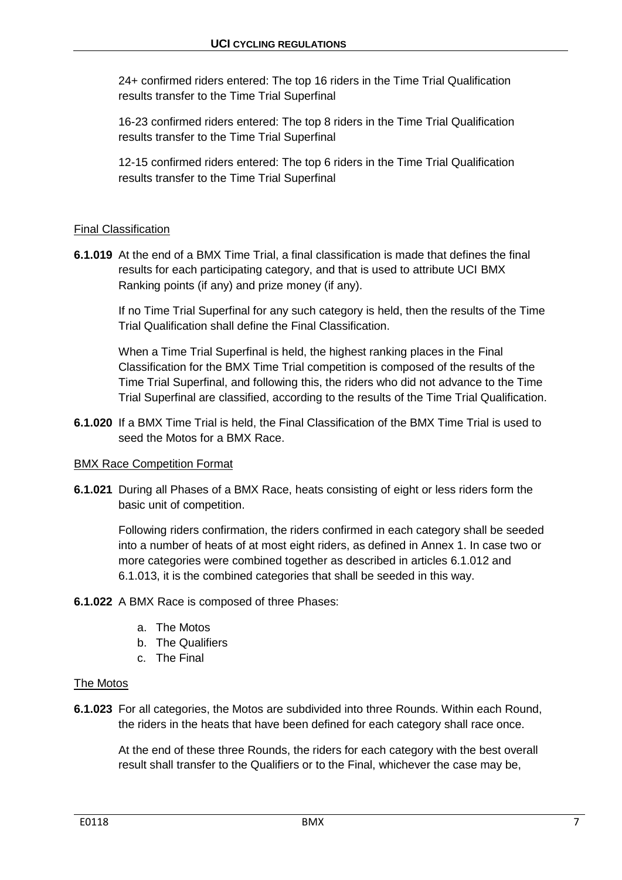24+ confirmed riders entered: The top 16 riders in the Time Trial Qualification results transfer to the Time Trial Superfinal

16-23 confirmed riders entered: The top 8 riders in the Time Trial Qualification results transfer to the Time Trial Superfinal

12-15 confirmed riders entered: The top 6 riders in the Time Trial Qualification results transfer to the Time Trial Superfinal

## Final Classification

**6.1.019** At the end of a BMX Time Trial, a final classification is made that defines the final results for each participating category, and that is used to attribute UCI BMX Ranking points (if any) and prize money (if any).

If no Time Trial Superfinal for any such category is held, then the results of the Time Trial Qualification shall define the Final Classification.

When a Time Trial Superfinal is held, the highest ranking places in the Final Classification for the BMX Time Trial competition is composed of the results of the Time Trial Superfinal, and following this, the riders who did not advance to the Time Trial Superfinal are classified, according to the results of the Time Trial Qualification.

**6.1.020** If a BMX Time Trial is held, the Final Classification of the BMX Time Trial is used to seed the Motos for a BMX Race.

## BMX Race Competition Format

**6.1.021** During all Phases of a BMX Race, heats consisting of eight or less riders form the basic unit of competition.

Following riders confirmation, the riders confirmed in each category shall be seeded into a number of heats of at most eight riders, as defined in Annex 1. In case two or more categories were combined together as described in articles 6.1.012 and 6.1.013, it is the combined categories that shall be seeded in this way.

- **6.1.022** A BMX Race is composed of three Phases:
	- a. The Motos
	- b. The Qualifiers
	- c. The Final

#### The Motos

**6.1.023** For all categories, the Motos are subdivided into three Rounds. Within each Round, the riders in the heats that have been defined for each category shall race once.

At the end of these three Rounds, the riders for each category with the best overall result shall transfer to the Qualifiers or to the Final, whichever the case may be,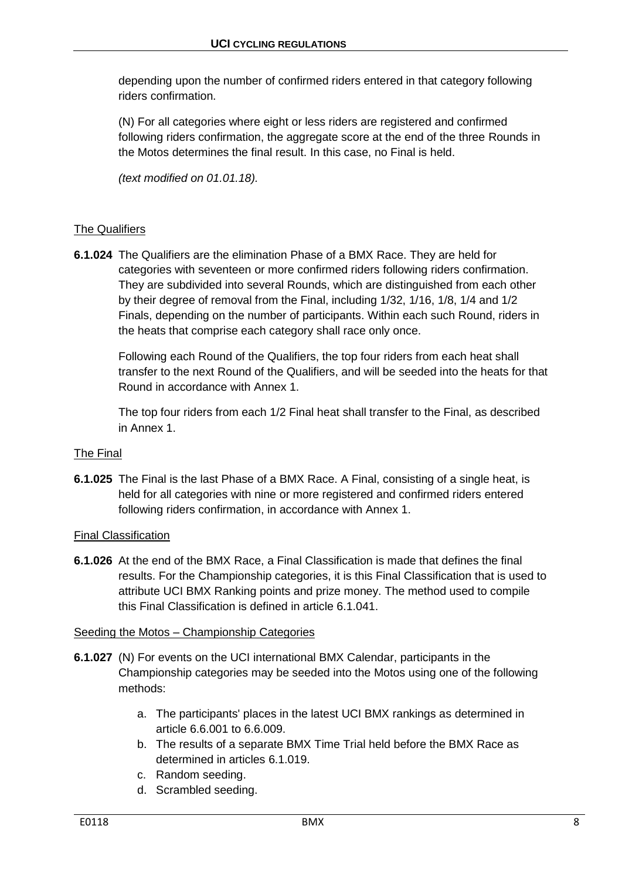depending upon the number of confirmed riders entered in that category following riders confirmation.

(N) For all categories where eight or less riders are registered and confirmed following riders confirmation, the aggregate score at the end of the three Rounds in the Motos determines the final result. In this case, no Final is held.

*(text modified on 01.01.18).*

## The Qualifiers

**6.1.024** The Qualifiers are the elimination Phase of a BMX Race. They are held for categories with seventeen or more confirmed riders following riders confirmation. They are subdivided into several Rounds, which are distinguished from each other by their degree of removal from the Final, including 1/32, 1/16, 1/8, 1/4 and 1/2 Finals, depending on the number of participants. Within each such Round, riders in the heats that comprise each category shall race only once.

Following each Round of the Qualifiers, the top four riders from each heat shall transfer to the next Round of the Qualifiers, and will be seeded into the heats for that Round in accordance with Annex 1.

The top four riders from each 1/2 Final heat shall transfer to the Final, as described in Annex 1.

## The Final

**6.1.025** The Final is the last Phase of a BMX Race. A Final, consisting of a single heat, is held for all categories with nine or more registered and confirmed riders entered following riders confirmation, in accordance with Annex 1.

#### Final Classification

**6.1.026** At the end of the BMX Race, a Final Classification is made that defines the final results. For the Championship categories, it is this Final Classification that is used to attribute UCI BMX Ranking points and prize money. The method used to compile this Final Classification is defined in article 6.1.041.

#### Seeding the Motos – Championship Categories

- **6.1.027** (N) For events on the UCI international BMX Calendar, participants in the Championship categories may be seeded into the Motos using one of the following methods:
	- a. The participants' places in the latest UCI BMX rankings as determined in article 6.6.001 to 6.6.009.
	- b. The results of a separate BMX Time Trial held before the BMX Race as determined in articles 6.1.019.
	- c. Random seeding.
	- d. Scrambled seeding.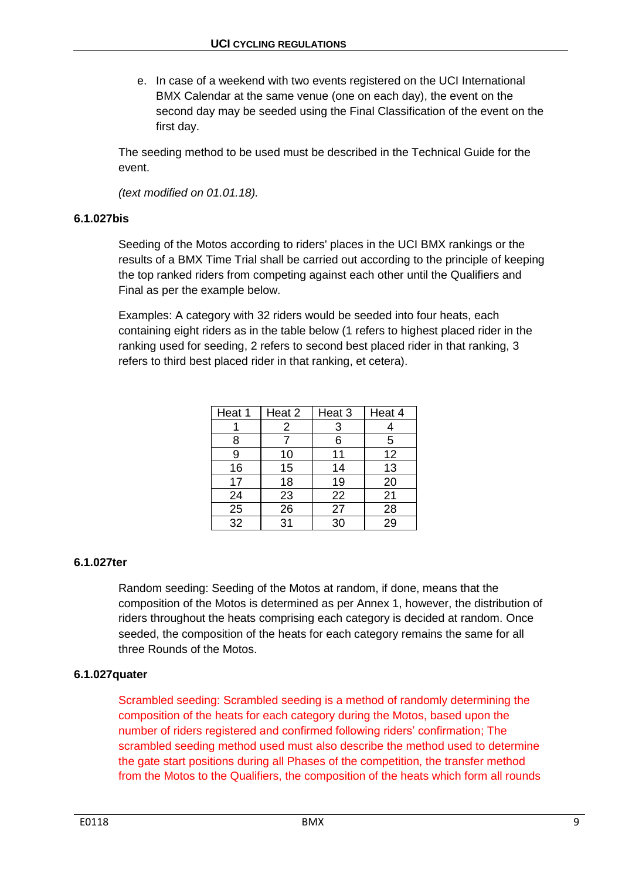e. In case of a weekend with two events registered on the UCI International BMX Calendar at the same venue (one on each day), the event on the second day may be seeded using the Final Classification of the event on the first day.

The seeding method to be used must be described in the Technical Guide for the event.

*(text modified on 01.01.18).*

## **6.1.027bis**

Seeding of the Motos according to riders' places in the UCI BMX rankings or the results of a BMX Time Trial shall be carried out according to the principle of keeping the top ranked riders from competing against each other until the Qualifiers and Final as per the example below.

Examples: A category with 32 riders would be seeded into four heats, each containing eight riders as in the table below (1 refers to highest placed rider in the ranking used for seeding, 2 refers to second best placed rider in that ranking, 3 refers to third best placed rider in that ranking, et cetera).

| Heat 1          | Heat 2 | Heat 3 | Heat 4 |
|-----------------|--------|--------|--------|
|                 | 2      | 3      |        |
| 8               |        | 6      | 5      |
| 9               | 10     | 11     | 12     |
| 16              | 15     | 14     | 13     |
| 17              | 18     | 19     | 20     |
| 24              | 23     | 22     | 21     |
| 25              | 26     | 27     | 28     |
| $\overline{32}$ | 31     | 30     | 29     |

## **6.1.027ter**

Random seeding: Seeding of the Motos at random, if done, means that the composition of the Motos is determined as per Annex 1, however, the distribution of riders throughout the heats comprising each category is decided at random. Once seeded, the composition of the heats for each category remains the same for all three Rounds of the Motos.

## **6.1.027quater**

Scrambled seeding: Scrambled seeding is a method of randomly determining the composition of the heats for each category during the Motos, based upon the number of riders registered and confirmed following riders' confirmation; The scrambled seeding method used must also describe the method used to determine the gate start positions during all Phases of the competition, the transfer method from the Motos to the Qualifiers, the composition of the heats which form all rounds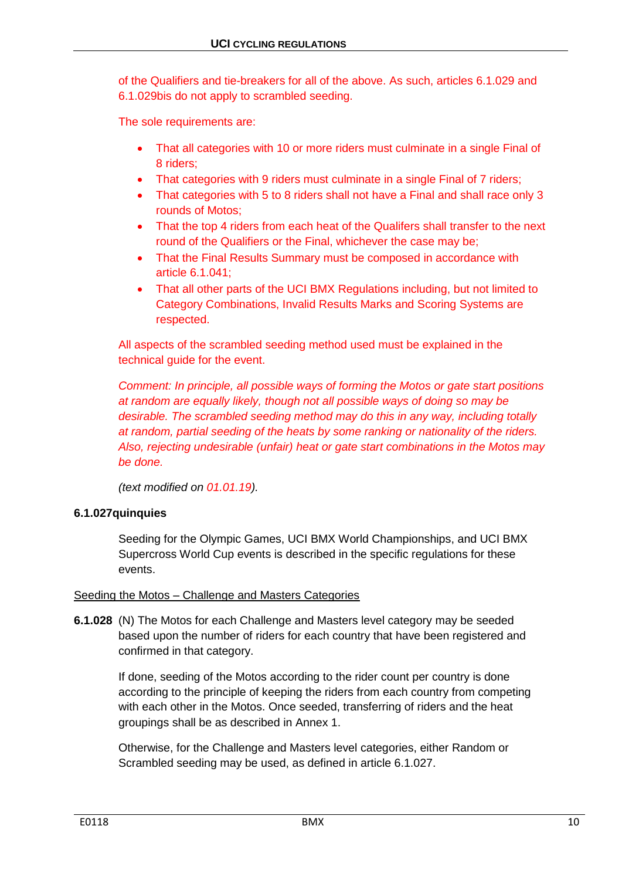of the Qualifiers and tie-breakers for all of the above. As such, articles 6.1.029 and 6.1.029bis do not apply to scrambled seeding.

The sole requirements are:

- That all categories with 10 or more riders must culminate in a single Final of 8 riders;
- That categories with 9 riders must culminate in a single Final of 7 riders;
- That categories with 5 to 8 riders shall not have a Final and shall race only 3 rounds of Motos;
- That the top 4 riders from each heat of the Qualifers shall transfer to the next round of the Qualifiers or the Final, whichever the case may be;
- That the Final Results Summary must be composed in accordance with article 6.1.041;
- That all other parts of the UCI BMX Regulations including, but not limited to Category Combinations, Invalid Results Marks and Scoring Systems are respected.

All aspects of the scrambled seeding method used must be explained in the technical guide for the event.

*Comment: In principle, all possible ways of forming the Motos or gate start positions at random are equally likely, though not all possible ways of doing so may be desirable. The scrambled seeding method may do this in any way, including totally at random, partial seeding of the heats by some ranking or nationality of the riders. Also, rejecting undesirable (unfair) heat or gate start combinations in the Motos may be done.*

*(text modified on 01.01.19).*

## **6.1.027quinquies**

Seeding for the Olympic Games, UCI BMX World Championships, and UCI BMX Supercross World Cup events is described in the specific regulations for these events.

## Seeding the Motos – Challenge and Masters Categories

**6.1.028** (N) The Motos for each Challenge and Masters level category may be seeded based upon the number of riders for each country that have been registered and confirmed in that category.

If done, seeding of the Motos according to the rider count per country is done according to the principle of keeping the riders from each country from competing with each other in the Motos. Once seeded, transferring of riders and the heat groupings shall be as described in Annex 1.

Otherwise, for the Challenge and Masters level categories, either Random or Scrambled seeding may be used, as defined in article 6.1.027.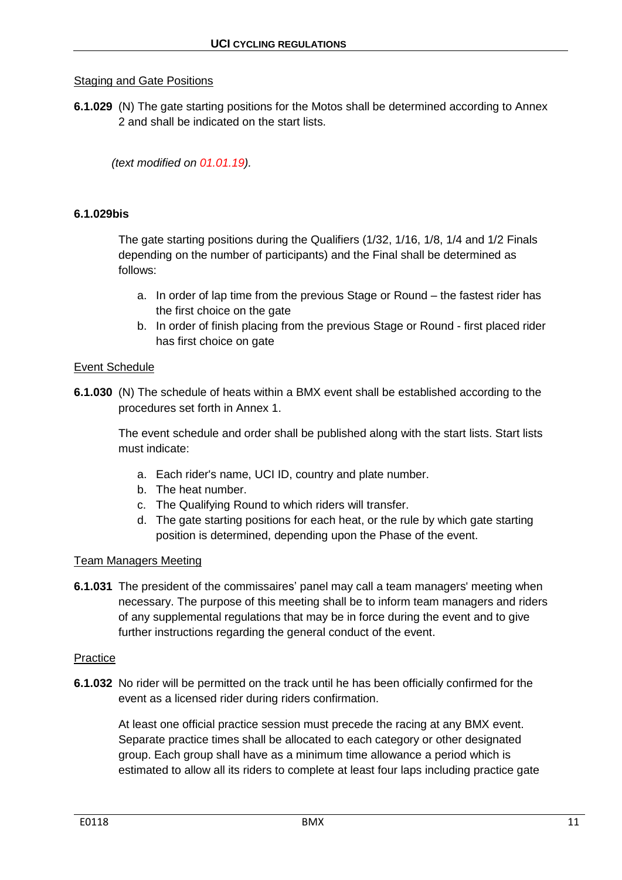## Staging and Gate Positions

**6.1.029** (N) The gate starting positions for the Motos shall be determined according to Annex 2 and shall be indicated on the start lists.

*(text modified on 01.01.19).*

#### **6.1.029bis**

The gate starting positions during the Qualifiers (1/32, 1/16, 1/8, 1/4 and 1/2 Finals depending on the number of participants) and the Final shall be determined as follows:

- a. In order of lap time from the previous Stage or Round the fastest rider has the first choice on the gate
- b. In order of finish placing from the previous Stage or Round first placed rider has first choice on gate

#### Event Schedule

**6.1.030** (N) The schedule of heats within a BMX event shall be established according to the procedures set forth in Annex 1.

The event schedule and order shall be published along with the start lists. Start lists must indicate:

- a. Each rider's name, UCI ID, country and plate number.
- b. The heat number.
- c. The Qualifying Round to which riders will transfer.
- d. The gate starting positions for each heat, or the rule by which gate starting position is determined, depending upon the Phase of the event.

#### Team Managers Meeting

**6.1.031** The president of the commissaires' panel may call a team managers' meeting when necessary. The purpose of this meeting shall be to inform team managers and riders of any supplemental regulations that may be in force during the event and to give further instructions regarding the general conduct of the event.

#### Practice

**6.1.032** No rider will be permitted on the track until he has been officially confirmed for the event as a licensed rider during riders confirmation.

At least one official practice session must precede the racing at any BMX event. Separate practice times shall be allocated to each category or other designated group. Each group shall have as a minimum time allowance a period which is estimated to allow all its riders to complete at least four laps including practice gate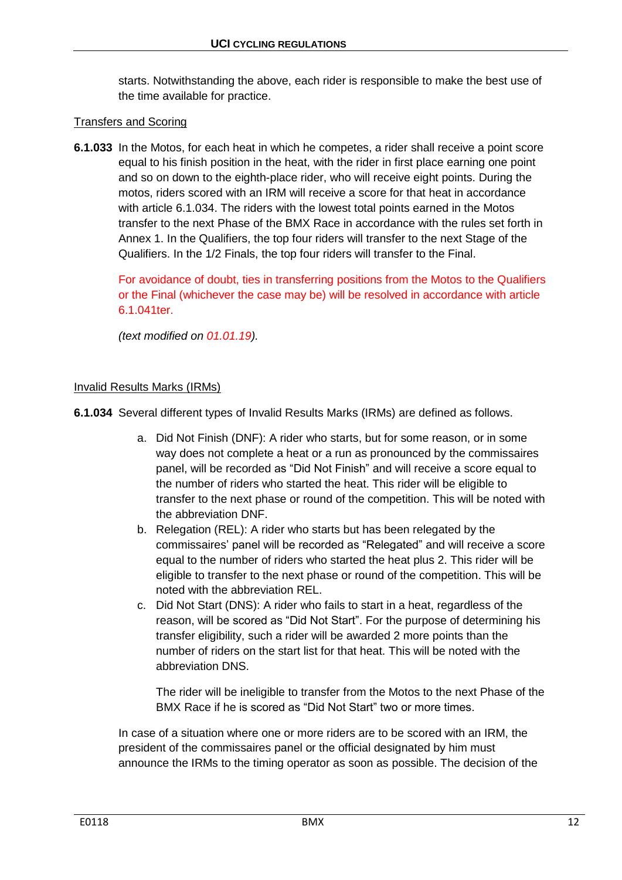starts. Notwithstanding the above, each rider is responsible to make the best use of the time available for practice.

## Transfers and Scoring

**6.1.033** In the Motos, for each heat in which he competes, a rider shall receive a point score equal to his finish position in the heat, with the rider in first place earning one point and so on down to the eighth-place rider, who will receive eight points. During the motos, riders scored with an IRM will receive a score for that heat in accordance with article 6.1.034. The riders with the lowest total points earned in the Motos transfer to the next Phase of the BMX Race in accordance with the rules set forth in Annex 1. In the Qualifiers, the top four riders will transfer to the next Stage of the Qualifiers. In the 1/2 Finals, the top four riders will transfer to the Final.

For avoidance of doubt, ties in transferring positions from the Motos to the Qualifiers or the Final (whichever the case may be) will be resolved in accordance with article 6.1.041ter.

*(text modified on 01.01.19).*

#### Invalid Results Marks (IRMs)

**6.1.034** Several different types of Invalid Results Marks (IRMs) are defined as follows.

- a. Did Not Finish (DNF): A rider who starts, but for some reason, or in some way does not complete a heat or a run as pronounced by the commissaires panel, will be recorded as "Did Not Finish" and will receive a score equal to the number of riders who started the heat. This rider will be eligible to transfer to the next phase or round of the competition. This will be noted with the abbreviation DNF.
- b. Relegation (REL): A rider who starts but has been relegated by the commissaires' panel will be recorded as "Relegated" and will receive a score equal to the number of riders who started the heat plus 2. This rider will be eligible to transfer to the next phase or round of the competition. This will be noted with the abbreviation REL.
- c. Did Not Start (DNS): A rider who fails to start in a heat, regardless of the reason, will be scored as "Did Not Start". For the purpose of determining his transfer eligibility, such a rider will be awarded 2 more points than the number of riders on the start list for that heat. This will be noted with the abbreviation DNS.

The rider will be ineligible to transfer from the Motos to the next Phase of the BMX Race if he is scored as "Did Not Start" two or more times.

In case of a situation where one or more riders are to be scored with an IRM, the president of the commissaires panel or the official designated by him must announce the IRMs to the timing operator as soon as possible. The decision of the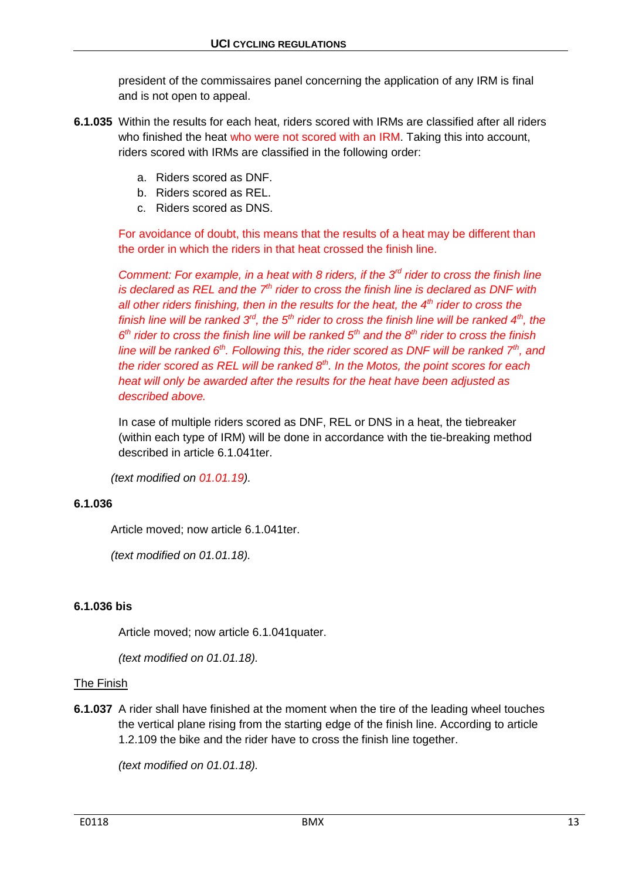president of the commissaires panel concerning the application of any IRM is final and is not open to appeal.

- **6.1.035** Within the results for each heat, riders scored with IRMs are classified after all riders who finished the heat who were not scored with an IRM. Taking this into account, riders scored with IRMs are classified in the following order:
	- a. Riders scored as DNF.
	- b. Riders scored as REL.
	- c. Riders scored as DNS.

For avoidance of doubt, this means that the results of a heat may be different than the order in which the riders in that heat crossed the finish line.

*Comment: For example, in a heat with 8 riders, if the 3rd rider to cross the finish line is declared as REL and the 7<sup>th</sup> rider to cross the finish line is declared as DNF with all other riders finishing, then in the results for the heat, the 4th rider to cross the finish line will be ranked 3rd, the 5th rider to cross the finish line will be ranked 4th, the 6 th rider to cross the finish line will be ranked 5th and the 8th rider to cross the finish line will be ranked 6th. Following this, the rider scored as DNF will be ranked 7th, and the rider scored as REL will be ranked 8th. In the Motos, the point scores for each heat will only be awarded after the results for the heat have been adjusted as described above.*

In case of multiple riders scored as DNF, REL or DNS in a heat, the tiebreaker (within each type of IRM) will be done in accordance with the tie-breaking method described in article 6.1.041ter.

*(text modified on 01.01.19).*

## **6.1.036**

Article moved; now article 6.1.041ter.

*(text modified on 01.01.18).*

## **6.1.036 bis**

Article moved; now article 6.1.041quater.

*(text modified on 01.01.18).*

#### The Finish

**6.1.037** A rider shall have finished at the moment when the tire of the leading wheel touches the vertical plane rising from the starting edge of the finish line. According to article 1.2.109 the bike and the rider have to cross the finish line together.

*(text modified on 01.01.18).*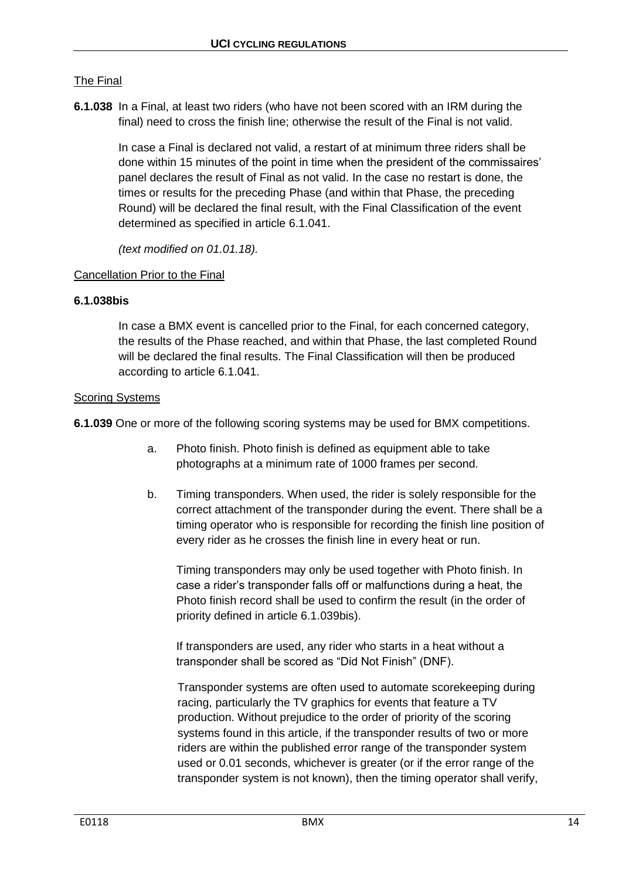## The Final

**6.1.038** In a Final, at least two riders (who have not been scored with an IRM during the final) need to cross the finish line; otherwise the result of the Final is not valid.

> In case a Final is declared not valid, a restart of at minimum three riders shall be done within 15 minutes of the point in time when the president of the commissaires' panel declares the result of Final as not valid. In the case no restart is done, the times or results for the preceding Phase (and within that Phase, the preceding Round) will be declared the final result, with the Final Classification of the event determined as specified in article 6.1.041.

*(text modified on 01.01.18).*

### Cancellation Prior to the Final

### **6.1.038bis**

In case a BMX event is cancelled prior to the Final, for each concerned category, the results of the Phase reached, and within that Phase, the last completed Round will be declared the final results. The Final Classification will then be produced according to article 6.1.041.

#### Scoring Systems

**6.1.039** One or more of the following scoring systems may be used for BMX competitions.

- a. Photo finish. Photo finish is defined as equipment able to take photographs at a minimum rate of 1000 frames per second.
- b. Timing transponders. When used, the rider is solely responsible for the correct attachment of the transponder during the event. There shall be a timing operator who is responsible for recording the finish line position of every rider as he crosses the finish line in every heat or run.

Timing transponders may only be used together with Photo finish. In case a rider's transponder falls off or malfunctions during a heat, the Photo finish record shall be used to confirm the result (in the order of priority defined in article 6.1.039bis).

If transponders are used, any rider who starts in a heat without a transponder shall be scored as "Did Not Finish" (DNF).

Transponder systems are often used to automate scorekeeping during racing, particularly the TV graphics for events that feature a TV production. Without prejudice to the order of priority of the scoring systems found in this article, if the transponder results of two or more riders are within the published error range of the transponder system used or 0.01 seconds, whichever is greater (or if the error range of the transponder system is not known), then the timing operator shall verify,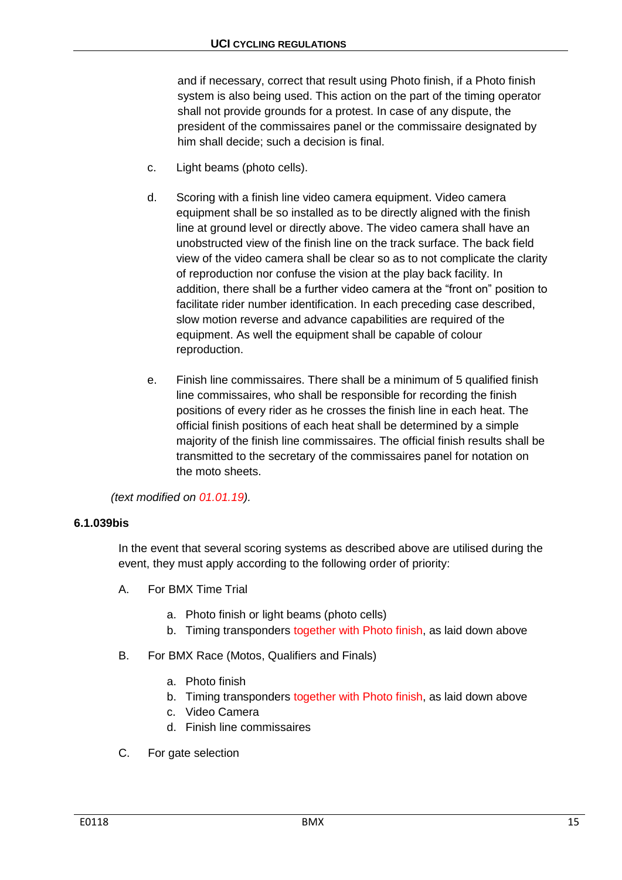and if necessary, correct that result using Photo finish, if a Photo finish system is also being used. This action on the part of the timing operator shall not provide grounds for a protest. In case of any dispute, the president of the commissaires panel or the commissaire designated by him shall decide; such a decision is final.

- c. Light beams (photo cells).
- d. Scoring with a finish line video camera equipment. Video camera equipment shall be so installed as to be directly aligned with the finish line at ground level or directly above. The video camera shall have an unobstructed view of the finish line on the track surface. The back field view of the video camera shall be clear so as to not complicate the clarity of reproduction nor confuse the vision at the play back facility. In addition, there shall be a further video camera at the "front on" position to facilitate rider number identification. In each preceding case described, slow motion reverse and advance capabilities are required of the equipment. As well the equipment shall be capable of colour reproduction.
- e. Finish line commissaires. There shall be a minimum of 5 qualified finish line commissaires, who shall be responsible for recording the finish positions of every rider as he crosses the finish line in each heat. The official finish positions of each heat shall be determined by a simple majority of the finish line commissaires. The official finish results shall be transmitted to the secretary of the commissaires panel for notation on the moto sheets.

*(text modified on 01.01.19).*

### **6.1.039bis**

In the event that several scoring systems as described above are utilised during the event, they must apply according to the following order of priority:

- A. For BMX Time Trial
	- a. Photo finish or light beams (photo cells)
	- b. Timing transponders together with Photo finish, as laid down above
- B. For BMX Race (Motos, Qualifiers and Finals)
	- a. Photo finish
	- b. Timing transponders together with Photo finish, as laid down above
	- c. Video Camera
	- d. Finish line commissaires
- C. For gate selection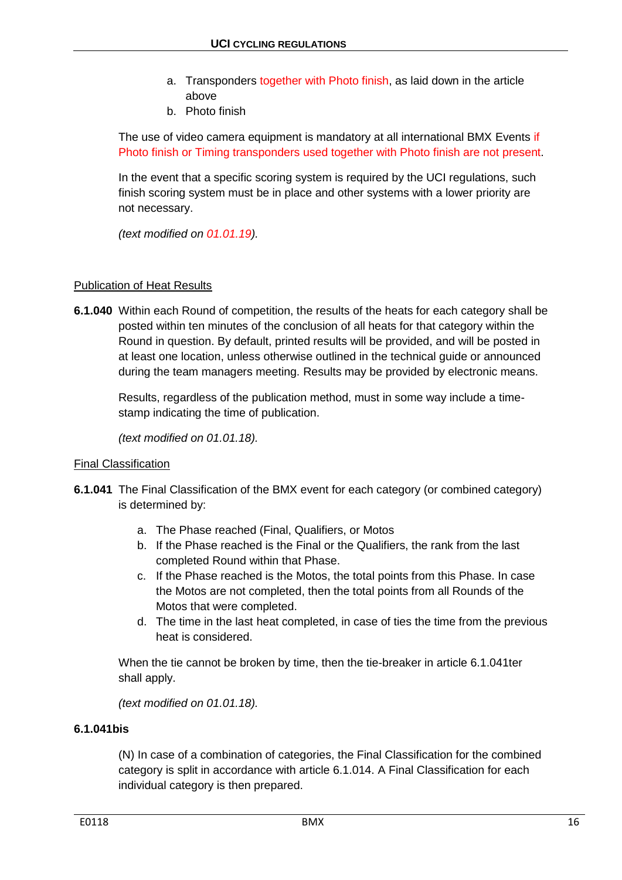- a. Transponders together with Photo finish, as laid down in the article above
- b. Photo finish

The use of video camera equipment is mandatory at all international BMX Events if Photo finish or Timing transponders used together with Photo finish are not present.

In the event that a specific scoring system is required by the UCI regulations, such finish scoring system must be in place and other systems with a lower priority are not necessary.

*(text modified on 01.01.19).*

### Publication of Heat Results

**6.1.040** Within each Round of competition, the results of the heats for each category shall be posted within ten minutes of the conclusion of all heats for that category within the Round in question. By default, printed results will be provided, and will be posted in at least one location, unless otherwise outlined in the technical guide or announced during the team managers meeting. Results may be provided by electronic means.

Results, regardless of the publication method, must in some way include a timestamp indicating the time of publication.

*(text modified on 01.01.18).*

#### Final Classification

- **6.1.041** The Final Classification of the BMX event for each category (or combined category) is determined by:
	- a. The Phase reached (Final, Qualifiers, or Motos
	- b. If the Phase reached is the Final or the Qualifiers, the rank from the last completed Round within that Phase.
	- c. If the Phase reached is the Motos, the total points from this Phase. In case the Motos are not completed, then the total points from all Rounds of the Motos that were completed.
	- d. The time in the last heat completed, in case of ties the time from the previous heat is considered.

When the tie cannot be broken by time, then the tie-breaker in article 6.1.041ter shall apply.

*(text modified on 01.01.18).*

#### **6.1.041bis**

(N) In case of a combination of categories, the Final Classification for the combined category is split in accordance with article 6.1.014. A Final Classification for each individual category is then prepared.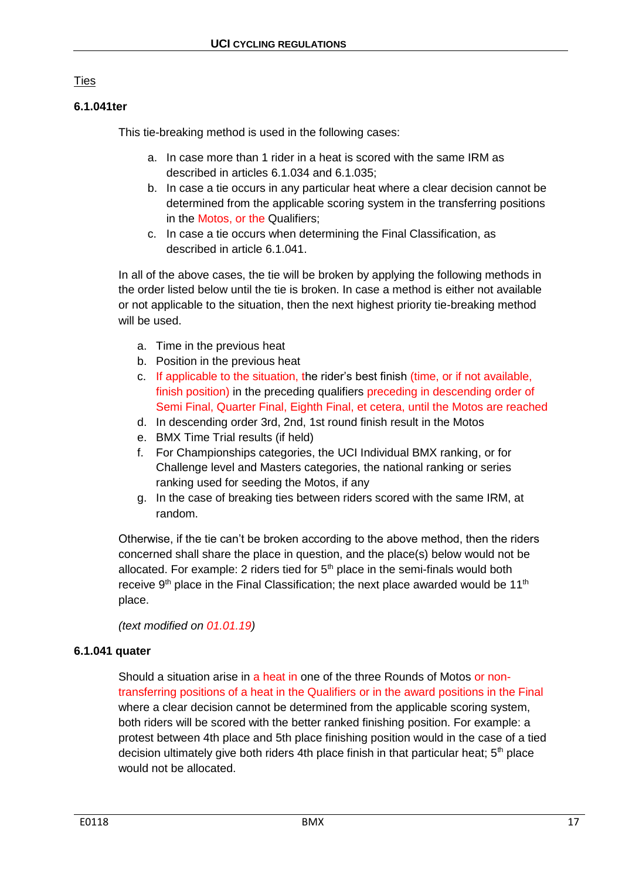## **Ties**

## **6.1.041ter**

This tie-breaking method is used in the following cases:

- a. In case more than 1 rider in a heat is scored with the same IRM as described in articles 6.1.034 and 6.1.035;
- b. In case a tie occurs in any particular heat where a clear decision cannot be determined from the applicable scoring system in the transferring positions in the Motos, or the Qualifiers;
- c. In case a tie occurs when determining the Final Classification, as described in article 6.1.041.

In all of the above cases, the tie will be broken by applying the following methods in the order listed below until the tie is broken. In case a method is either not available or not applicable to the situation, then the next highest priority tie-breaking method will be used.

- a. Time in the previous heat
- b. Position in the previous heat
- c. If applicable to the situation, the rider's best finish (time, or if not available, finish position) in the preceding qualifiers preceding in descending order of Semi Final, Quarter Final, Eighth Final, et cetera, until the Motos are reached
- d. In descending order 3rd, 2nd, 1st round finish result in the Motos
- e. BMX Time Trial results (if held)
- f. For Championships categories, the UCI Individual BMX ranking, or for Challenge level and Masters categories, the national ranking or series ranking used for seeding the Motos, if any
- g. In the case of breaking ties between riders scored with the same IRM, at random.

Otherwise, if the tie can't be broken according to the above method, then the riders concerned shall share the place in question, and the place(s) below would not be allocated. For example: 2 riders tied for  $5<sup>th</sup>$  place in the semi-finals would both receive  $9<sup>th</sup>$  place in the Final Classification; the next place awarded would be 11<sup>th</sup> place.

*(text modified on 01.01.19)*

## **6.1.041 quater**

Should a situation arise in a heat in one of the three Rounds of Motos or nontransferring positions of a heat in the Qualifiers or in the award positions in the Final where a clear decision cannot be determined from the applicable scoring system, both riders will be scored with the better ranked finishing position. For example: a protest between 4th place and 5th place finishing position would in the case of a tied decision ultimately give both riders 4th place finish in that particular heat;  $5<sup>th</sup>$  place would not be allocated.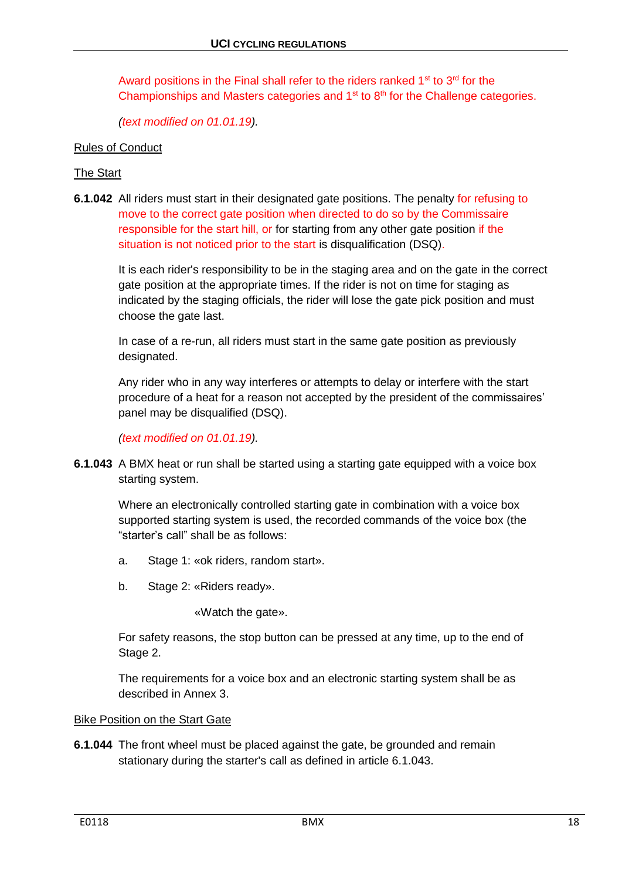Award positions in the Final shall refer to the riders ranked  $1<sup>st</sup>$  to  $3<sup>rd</sup>$  for the Championships and Masters categories and  $1<sup>st</sup>$  to  $8<sup>th</sup>$  for the Challenge categories.

*(text modified on 01.01.19).*

#### Rules of Conduct

#### The Start

**6.1.042** All riders must start in their designated gate positions. The penalty for refusing to move to the correct gate position when directed to do so by the Commissaire responsible for the start hill, or for starting from any other gate position if the situation is not noticed prior to the start is disqualification (DSQ).

It is each rider's responsibility to be in the staging area and on the gate in the correct gate position at the appropriate times. If the rider is not on time for staging as indicated by the staging officials, the rider will lose the gate pick position and must choose the gate last.

In case of a re-run, all riders must start in the same gate position as previously designated.

Any rider who in any way interferes or attempts to delay or interfere with the start procedure of a heat for a reason not accepted by the president of the commissaires' panel may be disqualified (DSQ).

*(text modified on 01.01.19).*

**6.1.043** A BMX heat or run shall be started using a starting gate equipped with a voice box starting system.

Where an electronically controlled starting gate in combination with a voice box supported starting system is used, the recorded commands of the voice box (the "starter's call" shall be as follows:

- a. Stage 1: «ok riders, random start».
- b. Stage 2: «Riders ready».

«Watch the gate».

For safety reasons, the stop button can be pressed at any time, up to the end of Stage 2.

The requirements for a voice box and an electronic starting system shall be as described in Annex 3.

#### Bike Position on the Start Gate

**6.1.044** The front wheel must be placed against the gate, be grounded and remain stationary during the starter's call as defined in article 6.1.043.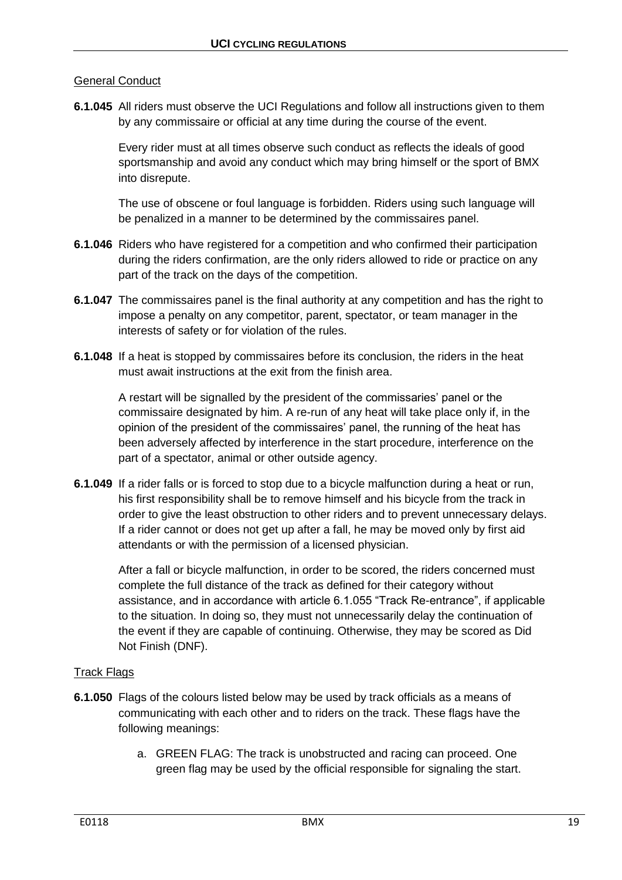## General Conduct

**6.1.045** All riders must observe the UCI Regulations and follow all instructions given to them by any commissaire or official at any time during the course of the event.

Every rider must at all times observe such conduct as reflects the ideals of good sportsmanship and avoid any conduct which may bring himself or the sport of BMX into disrepute.

The use of obscene or foul language is forbidden. Riders using such language will be penalized in a manner to be determined by the commissaires panel.

- **6.1.046** Riders who have registered for a competition and who confirmed their participation during the riders confirmation, are the only riders allowed to ride or practice on any part of the track on the days of the competition.
- **6.1.047** The commissaires panel is the final authority at any competition and has the right to impose a penalty on any competitor, parent, spectator, or team manager in the interests of safety or for violation of the rules.
- **6.1.048** If a heat is stopped by commissaires before its conclusion, the riders in the heat must await instructions at the exit from the finish area.

A restart will be signalled by the president of the commissaries' panel or the commissaire designated by him. A re-run of any heat will take place only if, in the opinion of the president of the commissaires' panel, the running of the heat has been adversely affected by interference in the start procedure, interference on the part of a spectator, animal or other outside agency.

**6.1.049** If a rider falls or is forced to stop due to a bicycle malfunction during a heat or run, his first responsibility shall be to remove himself and his bicycle from the track in order to give the least obstruction to other riders and to prevent unnecessary delays. If a rider cannot or does not get up after a fall, he may be moved only by first aid attendants or with the permission of a licensed physician.

After a fall or bicycle malfunction, in order to be scored, the riders concerned must complete the full distance of the track as defined for their category without assistance, and in accordance with article 6.1.055 "Track Re-entrance", if applicable to the situation. In doing so, they must not unnecessarily delay the continuation of the event if they are capable of continuing. Otherwise, they may be scored as Did Not Finish (DNF).

## Track Flags

- **6.1.050** Flags of the colours listed below may be used by track officials as a means of communicating with each other and to riders on the track. These flags have the following meanings:
	- a. GREEN FLAG: The track is unobstructed and racing can proceed. One green flag may be used by the official responsible for signaling the start.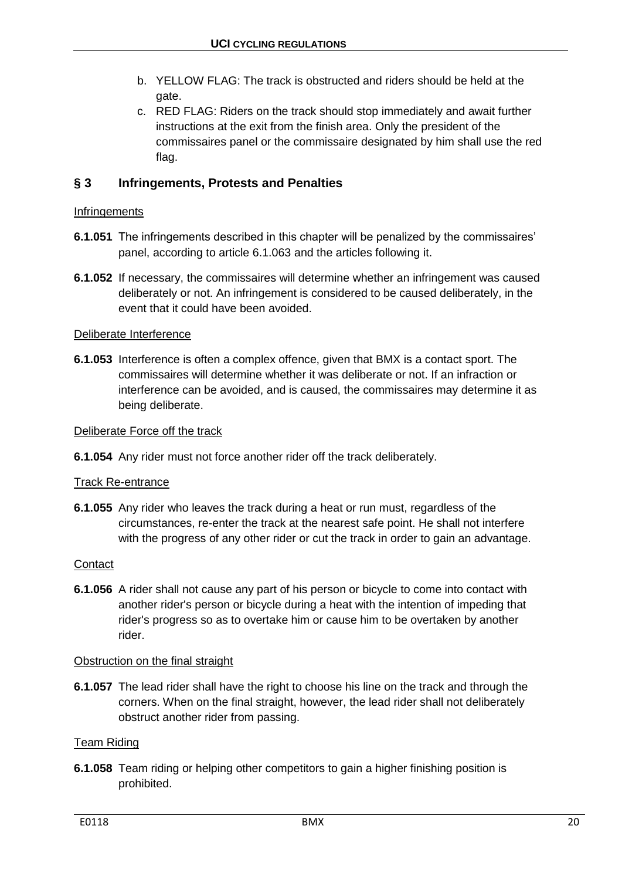- b. YELLOW FLAG: The track is obstructed and riders should be held at the gate.
- c. RED FLAG: Riders on the track should stop immediately and await further instructions at the exit from the finish area. Only the president of the commissaires panel or the commissaire designated by him shall use the red flag.

# <span id="page-19-0"></span>**§ 3 Infringements, Protests and Penalties**

## **Infringements**

- **6.1.051** The infringements described in this chapter will be penalized by the commissaires' panel, according to article 6.1.063 and the articles following it.
- **6.1.052** If necessary, the commissaires will determine whether an infringement was caused deliberately or not. An infringement is considered to be caused deliberately, in the event that it could have been avoided.

### Deliberate Interference

**6.1.053** Interference is often a complex offence, given that BMX is a contact sport. The commissaires will determine whether it was deliberate or not. If an infraction or interference can be avoided, and is caused, the commissaires may determine it as being deliberate.

#### Deliberate Force off the track

**6.1.054** Any rider must not force another rider off the track deliberately.

#### Track Re-entrance

**6.1.055** Any rider who leaves the track during a heat or run must, regardless of the circumstances, re-enter the track at the nearest safe point. He shall not interfere with the progress of any other rider or cut the track in order to gain an advantage.

#### **Contact**

**6.1.056** A rider shall not cause any part of his person or bicycle to come into contact with another rider's person or bicycle during a heat with the intention of impeding that rider's progress so as to overtake him or cause him to be overtaken by another rider.

#### Obstruction on the final straight

**6.1.057** The lead rider shall have the right to choose his line on the track and through the corners. When on the final straight, however, the lead rider shall not deliberately obstruct another rider from passing.

## Team Riding

**6.1.058** Team riding or helping other competitors to gain a higher finishing position is prohibited.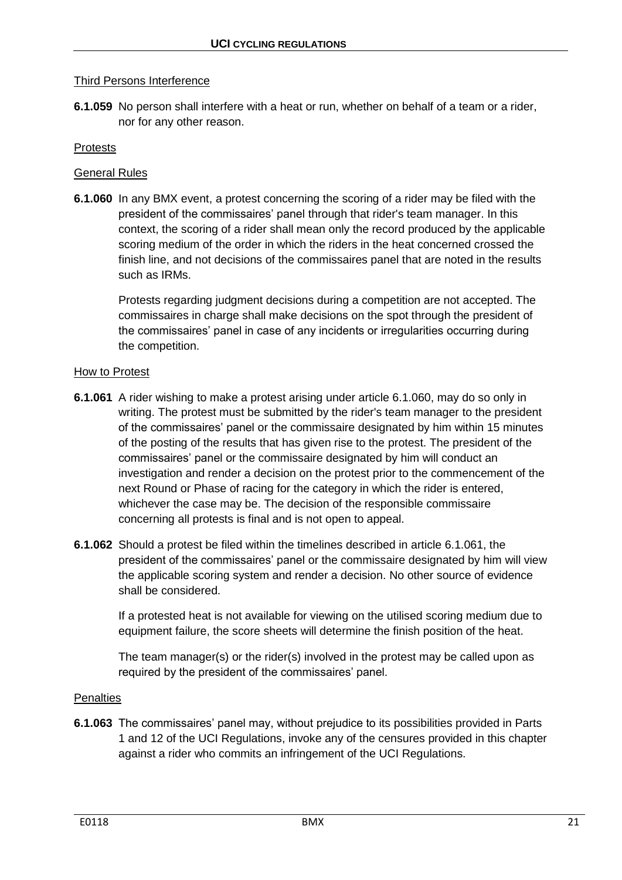## Third Persons Interference

**6.1.059** No person shall interfere with a heat or run, whether on behalf of a team or a rider, nor for any other reason.

#### **Protests**

### General Rules

**6.1.060** In any BMX event, a protest concerning the scoring of a rider may be filed with the president of the commissaires' panel through that rider's team manager. In this context, the scoring of a rider shall mean only the record produced by the applicable scoring medium of the order in which the riders in the heat concerned crossed the finish line, and not decisions of the commissaires panel that are noted in the results such as IRMs.

Protests regarding judgment decisions during a competition are not accepted. The commissaires in charge shall make decisions on the spot through the president of the commissaires' panel in case of any incidents or irregularities occurring during the competition.

#### How to Protest

- **6.1.061** A rider wishing to make a protest arising under article 6.1.060, may do so only in writing. The protest must be submitted by the rider's team manager to the president of the commissaires' panel or the commissaire designated by him within 15 minutes of the posting of the results that has given rise to the protest. The president of the commissaires' panel or the commissaire designated by him will conduct an investigation and render a decision on the protest prior to the commencement of the next Round or Phase of racing for the category in which the rider is entered, whichever the case may be. The decision of the responsible commissaire concerning all protests is final and is not open to appeal.
- **6.1.062** Should a protest be filed within the timelines described in article 6.1.061, the president of the commissaires' panel or the commissaire designated by him will view the applicable scoring system and render a decision. No other source of evidence shall be considered.

If a protested heat is not available for viewing on the utilised scoring medium due to equipment failure, the score sheets will determine the finish position of the heat.

The team manager(s) or the rider(s) involved in the protest may be called upon as required by the president of the commissaires' panel.

#### **Penalties**

**6.1.063** The commissaires' panel may, without prejudice to its possibilities provided in Parts 1 and 12 of the UCI Regulations, invoke any of the censures provided in this chapter against a rider who commits an infringement of the UCI Regulations.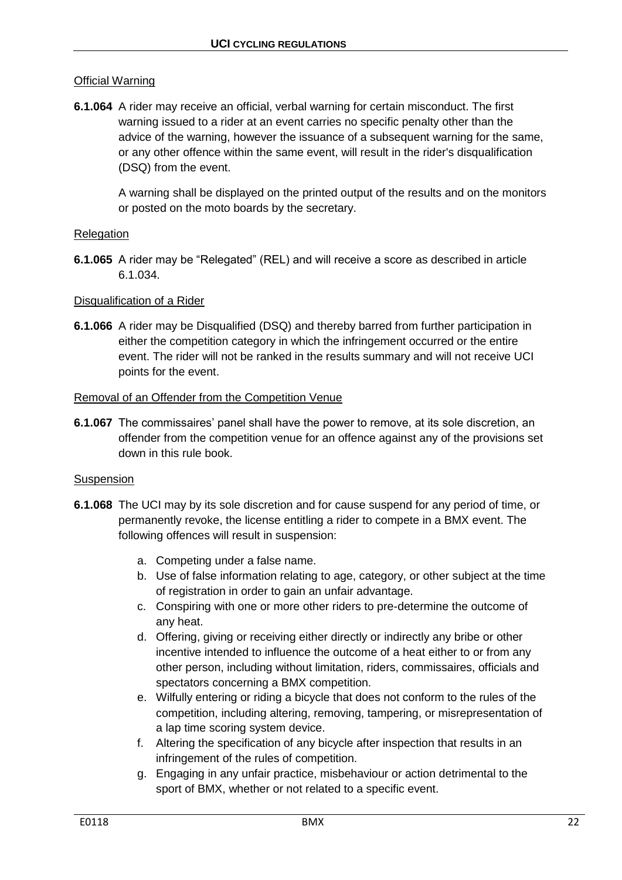## Official Warning

**6.1.064** A rider may receive an official, verbal warning for certain misconduct. The first warning issued to a rider at an event carries no specific penalty other than the advice of the warning, however the issuance of a subsequent warning for the same, or any other offence within the same event, will result in the rider's disqualification (DSQ) from the event.

A warning shall be displayed on the printed output of the results and on the monitors or posted on the moto boards by the secretary.

### **Relegation**

**6.1.065** A rider may be "Relegated" (REL) and will receive a score as described in article 6.1.034.

#### Disqualification of a Rider

**6.1.066** A rider may be Disqualified (DSQ) and thereby barred from further participation in either the competition category in which the infringement occurred or the entire event. The rider will not be ranked in the results summary and will not receive UCI points for the event.

#### Removal of an Offender from the Competition Venue

**6.1.067** The commissaires' panel shall have the power to remove, at its sole discretion, an offender from the competition venue for an offence against any of the provisions set down in this rule book.

#### Suspension

- **6.1.068** The UCI may by its sole discretion and for cause suspend for any period of time, or permanently revoke, the license entitling a rider to compete in a BMX event. The following offences will result in suspension:
	- a. Competing under a false name.
	- b. Use of false information relating to age, category, or other subject at the time of registration in order to gain an unfair advantage.
	- c. Conspiring with one or more other riders to pre-determine the outcome of any heat.
	- d. Offering, giving or receiving either directly or indirectly any bribe or other incentive intended to influence the outcome of a heat either to or from any other person, including without limitation, riders, commissaires, officials and spectators concerning a BMX competition.
	- e. Wilfully entering or riding a bicycle that does not conform to the rules of the competition, including altering, removing, tampering, or misrepresentation of a lap time scoring system device.
	- f. Altering the specification of any bicycle after inspection that results in an infringement of the rules of competition.
	- g. Engaging in any unfair practice, misbehaviour or action detrimental to the sport of BMX, whether or not related to a specific event.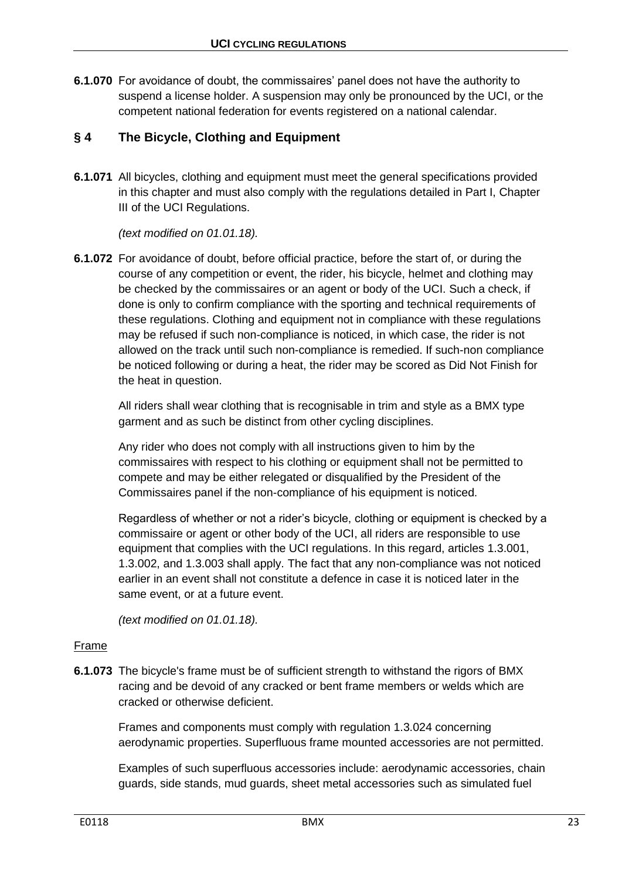**6.1.070** For avoidance of doubt, the commissaires' panel does not have the authority to suspend a license holder. A suspension may only be pronounced by the UCI, or the competent national federation for events registered on a national calendar.

# <span id="page-22-0"></span>**§ 4 The Bicycle, Clothing and Equipment**

**6.1.071** All bicycles, clothing and equipment must meet the general specifications provided in this chapter and must also comply with the regulations detailed in Part I, Chapter III of the UCI Regulations.

*(text modified on 01.01.18).*

**6.1.072** For avoidance of doubt, before official practice, before the start of, or during the course of any competition or event, the rider, his bicycle, helmet and clothing may be checked by the commissaires or an agent or body of the UCI. Such a check, if done is only to confirm compliance with the sporting and technical requirements of these regulations. Clothing and equipment not in compliance with these regulations may be refused if such non-compliance is noticed, in which case, the rider is not allowed on the track until such non-compliance is remedied. If such-non compliance be noticed following or during a heat, the rider may be scored as Did Not Finish for the heat in question.

All riders shall wear clothing that is recognisable in trim and style as a BMX type garment and as such be distinct from other cycling disciplines.

Any rider who does not comply with all instructions given to him by the commissaires with respect to his clothing or equipment shall not be permitted to compete and may be either relegated or disqualified by the President of the Commissaires panel if the non-compliance of his equipment is noticed.

Regardless of whether or not a rider's bicycle, clothing or equipment is checked by a commissaire or agent or other body of the UCI, all riders are responsible to use equipment that complies with the UCI regulations. In this regard, articles 1.3.001, 1.3.002, and 1.3.003 shall apply. The fact that any non-compliance was not noticed earlier in an event shall not constitute a defence in case it is noticed later in the same event, or at a future event.

*(text modified on 01.01.18).*

## Frame

**6.1.073** The bicycle's frame must be of sufficient strength to withstand the rigors of BMX racing and be devoid of any cracked or bent frame members or welds which are cracked or otherwise deficient.

Frames and components must comply with regulation 1.3.024 concerning aerodynamic properties. Superfluous frame mounted accessories are not permitted.

Examples of such superfluous accessories include: aerodynamic accessories, chain guards, side stands, mud guards, sheet metal accessories such as simulated fuel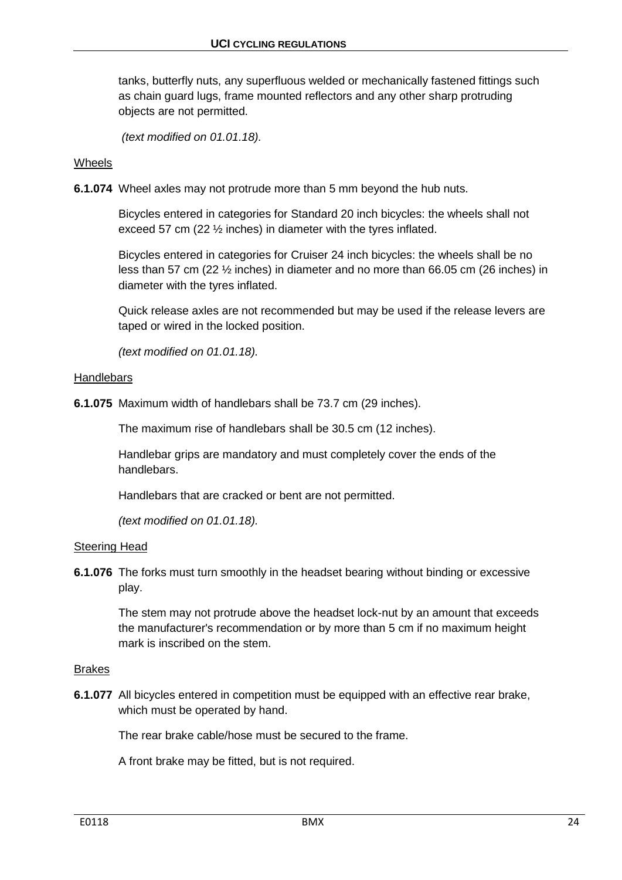tanks, butterfly nuts, any superfluous welded or mechanically fastened fittings such as chain guard lugs, frame mounted reflectors and any other sharp protruding objects are not permitted.

*(text modified on 01.01.18).*

## Wheels

**6.1.074** Wheel axles may not protrude more than 5 mm beyond the hub nuts.

Bicycles entered in categories for Standard 20 inch bicycles: the wheels shall not exceed 57 cm (22 ½ inches) in diameter with the tyres inflated.

Bicycles entered in categories for Cruiser 24 inch bicycles: the wheels shall be no less than 57 cm (22 ½ inches) in diameter and no more than 66.05 cm (26 inches) in diameter with the tyres inflated.

Quick release axles are not recommended but may be used if the release levers are taped or wired in the locked position.

*(text modified on 01.01.18).*

#### **Handlebars**

**6.1.075** Maximum width of handlebars shall be 73.7 cm (29 inches).

The maximum rise of handlebars shall be 30.5 cm (12 inches).

Handlebar grips are mandatory and must completely cover the ends of the handlebars.

Handlebars that are cracked or bent are not permitted.

*(text modified on 01.01.18).*

#### Steering Head

**6.1.076** The forks must turn smoothly in the headset bearing without binding or excessive play.

The stem may not protrude above the headset lock-nut by an amount that exceeds the manufacturer's recommendation or by more than 5 cm if no maximum height mark is inscribed on the stem.

#### Brakes

**6.1.077** All bicycles entered in competition must be equipped with an effective rear brake, which must be operated by hand.

The rear brake cable/hose must be secured to the frame.

A front brake may be fitted, but is not required.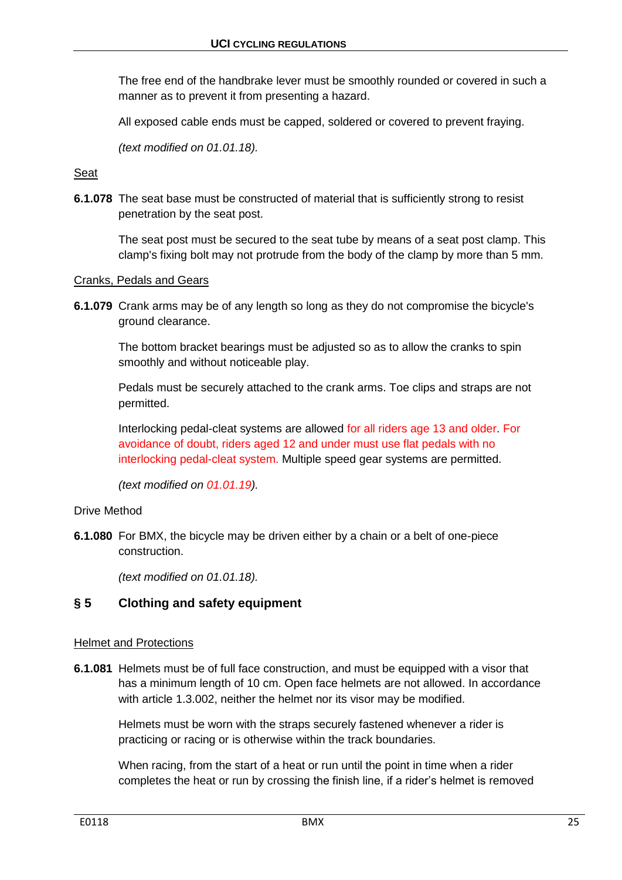The free end of the handbrake lever must be smoothly rounded or covered in such a manner as to prevent it from presenting a hazard.

All exposed cable ends must be capped, soldered or covered to prevent fraying.

*(text modified on 01.01.18).*

### Seat

**6.1.078** The seat base must be constructed of material that is sufficiently strong to resist penetration by the seat post.

The seat post must be secured to the seat tube by means of a seat post clamp. This clamp's fixing bolt may not protrude from the body of the clamp by more than 5 mm.

#### Cranks, Pedals and Gears

**6.1.079** Crank arms may be of any length so long as they do not compromise the bicycle's ground clearance.

The bottom bracket bearings must be adjusted so as to allow the cranks to spin smoothly and without noticeable play.

Pedals must be securely attached to the crank arms. Toe clips and straps are not permitted.

Interlocking pedal-cleat systems are allowed for all riders age 13 and older. For avoidance of doubt, riders aged 12 and under must use flat pedals with no interlocking pedal-cleat system. Multiple speed gear systems are permitted.

*(text modified on 01.01.19).*

#### Drive Method

**6.1.080** For BMX, the bicycle may be driven either by a chain or a belt of one-piece construction.

*(text modified on 01.01.18).*

## <span id="page-24-0"></span>**§ 5 Clothing and safety equipment**

#### Helmet and Protections

**6.1.081** Helmets must be of full face construction, and must be equipped with a visor that has a minimum length of 10 cm. Open face helmets are not allowed. In accordance with article 1.3.002, neither the helmet nor its visor may be modified.

Helmets must be worn with the straps securely fastened whenever a rider is practicing or racing or is otherwise within the track boundaries.

When racing, from the start of a heat or run until the point in time when a rider completes the heat or run by crossing the finish line, if a rider's helmet is removed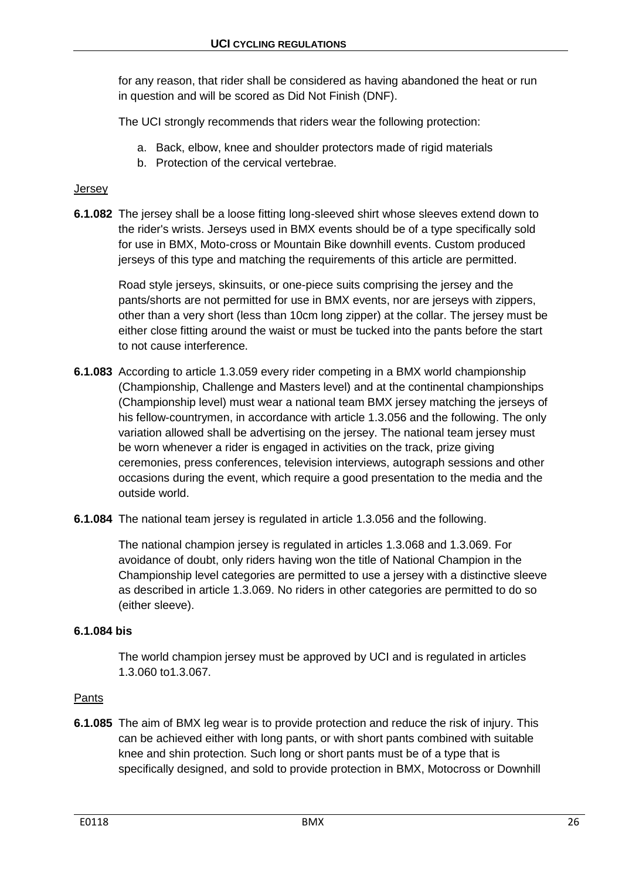for any reason, that rider shall be considered as having abandoned the heat or run in question and will be scored as Did Not Finish (DNF).

The UCI strongly recommends that riders wear the following protection:

- a. Back, elbow, knee and shoulder protectors made of rigid materials
- b. Protection of the cervical vertebrae.

## Jersey

**6.1.082** The jersey shall be a loose fitting long-sleeved shirt whose sleeves extend down to the rider's wrists. Jerseys used in BMX events should be of a type specifically sold for use in BMX, Moto-cross or Mountain Bike downhill events. Custom produced jerseys of this type and matching the requirements of this article are permitted.

Road style jerseys, skinsuits, or one-piece suits comprising the jersey and the pants/shorts are not permitted for use in BMX events, nor are jerseys with zippers, other than a very short (less than 10cm long zipper) at the collar. The jersey must be either close fitting around the waist or must be tucked into the pants before the start to not cause interference.

- **6.1.083** According to article 1.3.059 every rider competing in a BMX world championship (Championship, Challenge and Masters level) and at the continental championships (Championship level) must wear a national team BMX jersey matching the jerseys of his fellow-countrymen, in accordance with article 1.3.056 and the following. The only variation allowed shall be advertising on the jersey. The national team jersey must be worn whenever a rider is engaged in activities on the track, prize giving ceremonies, press conferences, television interviews, autograph sessions and other occasions during the event, which require a good presentation to the media and the outside world.
- **6.1.084** The national team jersey is regulated in article 1.3.056 and the following.

The national champion jersey is regulated in articles 1.3.068 and 1.3.069. For avoidance of doubt, only riders having won the title of National Champion in the Championship level categories are permitted to use a jersey with a distinctive sleeve as described in article 1.3.069. No riders in other categories are permitted to do so (either sleeve).

## **6.1.084 bis**

The world champion jersey must be approved by UCI and is regulated in articles 1.3.060 to1.3.067.

## Pants

**6.1.085** The aim of BMX leg wear is to provide protection and reduce the risk of injury. This can be achieved either with long pants, or with short pants combined with suitable knee and shin protection. Such long or short pants must be of a type that is specifically designed, and sold to provide protection in BMX, Motocross or Downhill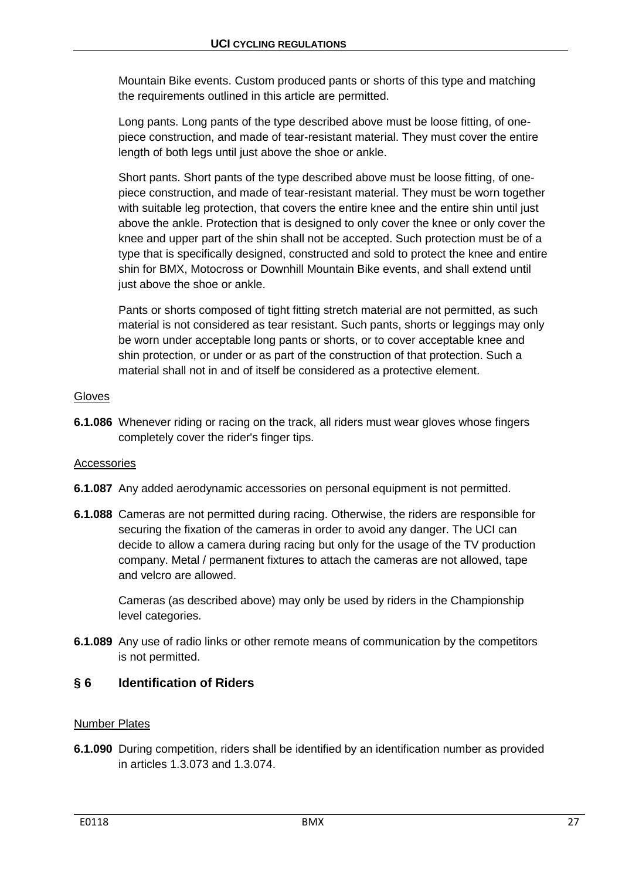Mountain Bike events. Custom produced pants or shorts of this type and matching the requirements outlined in this article are permitted.

Long pants. Long pants of the type described above must be loose fitting, of onepiece construction, and made of tear-resistant material. They must cover the entire length of both legs until just above the shoe or ankle.

Short pants. Short pants of the type described above must be loose fitting, of onepiece construction, and made of tear-resistant material. They must be worn together with suitable leg protection, that covers the entire knee and the entire shin until just above the ankle. Protection that is designed to only cover the knee or only cover the knee and upper part of the shin shall not be accepted. Such protection must be of a type that is specifically designed, constructed and sold to protect the knee and entire shin for BMX, Motocross or Downhill Mountain Bike events, and shall extend until just above the shoe or ankle.

Pants or shorts composed of tight fitting stretch material are not permitted, as such material is not considered as tear resistant. Such pants, shorts or leggings may only be worn under acceptable long pants or shorts, or to cover acceptable knee and shin protection, or under or as part of the construction of that protection. Such a material shall not in and of itself be considered as a protective element.

## Gloves

**6.1.086** Whenever riding or racing on the track, all riders must wear gloves whose fingers completely cover the rider's finger tips.

## Accessories

- **6.1.087** Any added aerodynamic accessories on personal equipment is not permitted.
- **6.1.088** Cameras are not permitted during racing. Otherwise, the riders are responsible for securing the fixation of the cameras in order to avoid any danger. The UCI can decide to allow a camera during racing but only for the usage of the TV production company. Metal / permanent fixtures to attach the cameras are not allowed, tape and velcro are allowed.

Cameras (as described above) may only be used by riders in the Championship level categories.

**6.1.089** Any use of radio links or other remote means of communication by the competitors is not permitted.

# <span id="page-26-0"></span>**§ 6 Identification of Riders**

## Number Plates

**6.1.090** During competition, riders shall be identified by an identification number as provided in articles 1.3.073 and 1.3.074.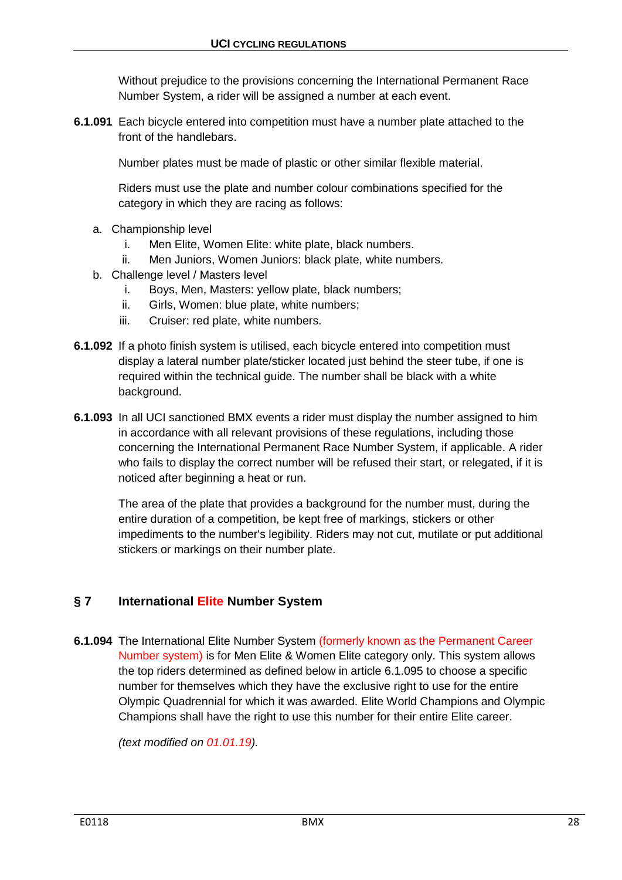Without prejudice to the provisions concerning the International Permanent Race Number System, a rider will be assigned a number at each event.

**6.1.091** Each bicycle entered into competition must have a number plate attached to the front of the handlebars.

Number plates must be made of plastic or other similar flexible material.

Riders must use the plate and number colour combinations specified for the category in which they are racing as follows:

- a. Championship level
	- i. Men Elite, Women Elite: white plate, black numbers.
	- ii. Men Juniors, Women Juniors: black plate, white numbers.
- b. Challenge level / Masters level
	- i. Boys, Men, Masters: yellow plate, black numbers;
	- ii. Girls, Women: blue plate, white numbers;
	- iii. Cruiser: red plate, white numbers.
- **6.1.092** If a photo finish system is utilised, each bicycle entered into competition must display a lateral number plate/sticker located just behind the steer tube, if one is required within the technical guide. The number shall be black with a white background.
- **6.1.093** In all UCI sanctioned BMX events a rider must display the number assigned to him in accordance with all relevant provisions of these regulations, including those concerning the International Permanent Race Number System, if applicable. A rider who fails to display the correct number will be refused their start, or relegated, if it is noticed after beginning a heat or run.

The area of the plate that provides a background for the number must, during the entire duration of a competition, be kept free of markings, stickers or other impediments to the number's legibility. Riders may not cut, mutilate or put additional stickers or markings on their number plate.

## <span id="page-27-0"></span>**§ 7 International Elite Number System**

**6.1.094** The International Elite Number System (formerly known as the Permanent Career Number system) is for Men Elite & Women Elite category only. This system allows the top riders determined as defined below in article 6.1.095 to choose a specific number for themselves which they have the exclusive right to use for the entire Olympic Quadrennial for which it was awarded. Elite World Champions and Olympic Champions shall have the right to use this number for their entire Elite career.

*(text modified on 01.01.19).*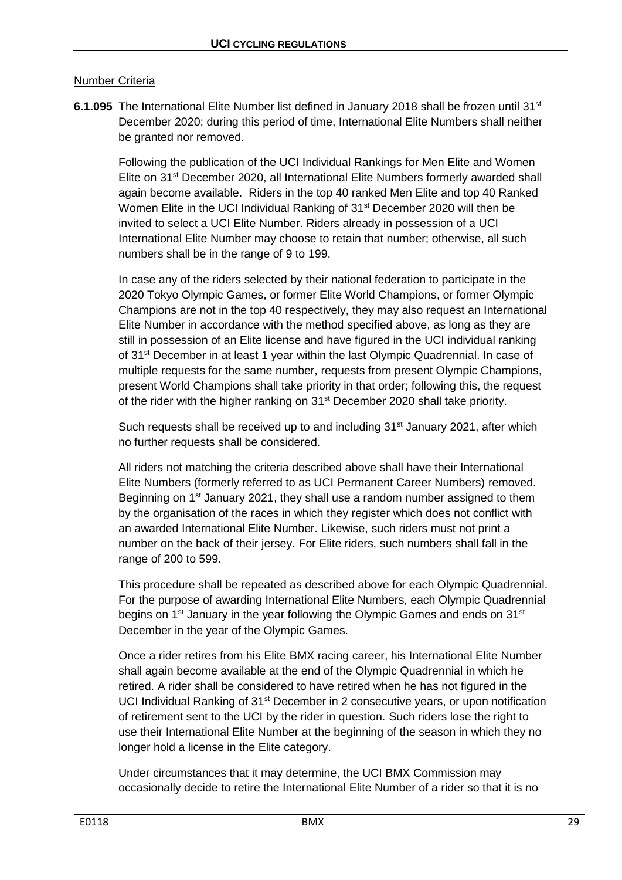## Number Criteria

**6.1.095** The International Elite Number list defined in January 2018 shall be frozen until 31<sup>st</sup> December 2020; during this period of time, International Elite Numbers shall neither be granted nor removed.

Following the publication of the UCI Individual Rankings for Men Elite and Women Elite on 31<sup>st</sup> December 2020, all International Elite Numbers formerly awarded shall again become available. Riders in the top 40 ranked Men Elite and top 40 Ranked Women Elite in the UCI Individual Ranking of 31<sup>st</sup> December 2020 will then be invited to select a UCI Elite Number. Riders already in possession of a UCI International Elite Number may choose to retain that number; otherwise, all such numbers shall be in the range of 9 to 199.

In case any of the riders selected by their national federation to participate in the 2020 Tokyo Olympic Games, or former Elite World Champions, or former Olympic Champions are not in the top 40 respectively, they may also request an International Elite Number in accordance with the method specified above, as long as they are still in possession of an Elite license and have figured in the UCI individual ranking of 31<sup>st</sup> December in at least 1 year within the last Olympic Quadrennial. In case of multiple requests for the same number, requests from present Olympic Champions, present World Champions shall take priority in that order; following this, the request of the rider with the higher ranking on 31<sup>st</sup> December 2020 shall take priority.

Such requests shall be received up to and including 31<sup>st</sup> January 2021, after which no further requests shall be considered.

All riders not matching the criteria described above shall have their International Elite Numbers (formerly referred to as UCI Permanent Career Numbers) removed. Beginning on 1<sup>st</sup> January 2021, they shall use a random number assigned to them by the organisation of the races in which they register which does not conflict with an awarded International Elite Number. Likewise, such riders must not print a number on the back of their jersey. For Elite riders, such numbers shall fall in the range of 200 to 599.

This procedure shall be repeated as described above for each Olympic Quadrennial. For the purpose of awarding International Elite Numbers, each Olympic Quadrennial begins on  $1<sup>st</sup>$  January in the year following the Olympic Games and ends on  $31<sup>st</sup>$ December in the year of the Olympic Games.

Once a rider retires from his Elite BMX racing career, his International Elite Number shall again become available at the end of the Olympic Quadrennial in which he retired. A rider shall be considered to have retired when he has not figured in the UCI Individual Ranking of  $31<sup>st</sup>$  December in 2 consecutive years, or upon notification of retirement sent to the UCI by the rider in question. Such riders lose the right to use their International Elite Number at the beginning of the season in which they no longer hold a license in the Elite category.

Under circumstances that it may determine, the UCI BMX Commission may occasionally decide to retire the International Elite Number of a rider so that it is no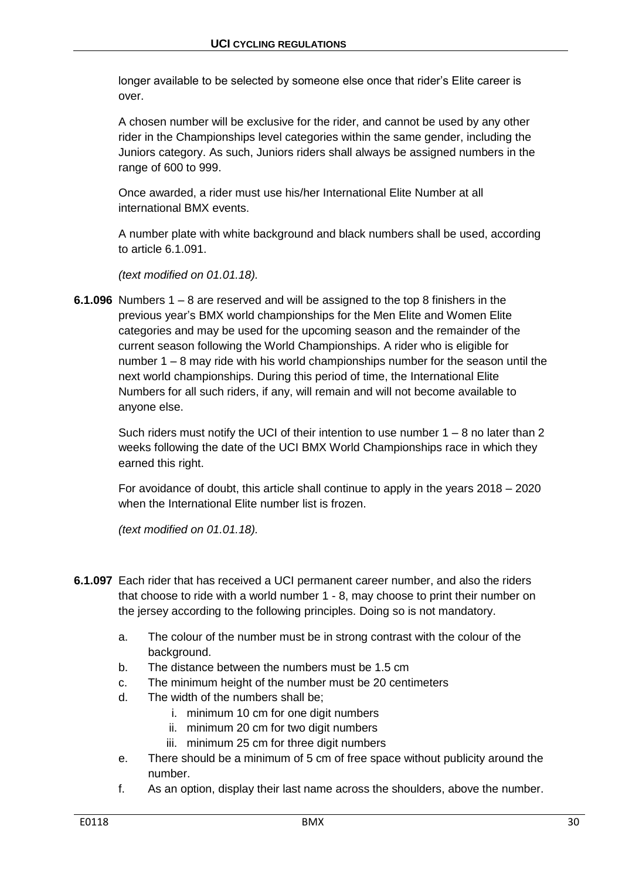longer available to be selected by someone else once that rider's Elite career is over.

A chosen number will be exclusive for the rider, and cannot be used by any other rider in the Championships level categories within the same gender, including the Juniors category. As such, Juniors riders shall always be assigned numbers in the range of 600 to 999.

Once awarded, a rider must use his/her International Elite Number at all international BMX events.

A number plate with white background and black numbers shall be used, according to article 6.1.091.

*(text modified on 01.01.18).*

**6.1.096** Numbers 1 – 8 are reserved and will be assigned to the top 8 finishers in the previous year's BMX world championships for the Men Elite and Women Elite categories and may be used for the upcoming season and the remainder of the current season following the World Championships. A rider who is eligible for number 1 – 8 may ride with his world championships number for the season until the next world championships. During this period of time, the International Elite Numbers for all such riders, if any, will remain and will not become available to anyone else.

Such riders must notify the UCI of their intention to use number  $1 - 8$  no later than 2 weeks following the date of the UCI BMX World Championships race in which they earned this right.

For avoidance of doubt, this article shall continue to apply in the years 2018 – 2020 when the International Elite number list is frozen.

*(text modified on 01.01.18).*

- **6.1.097** Each rider that has received a UCI permanent career number, and also the riders that choose to ride with a world number 1 - 8, may choose to print their number on the jersey according to the following principles. Doing so is not mandatory.
	- a. The colour of the number must be in strong contrast with the colour of the background.
	- b. The distance between the numbers must be 1.5 cm
	- c. The minimum height of the number must be 20 centimeters
	- d. The width of the numbers shall be;
		- i. minimum 10 cm for one digit numbers
		- ii. minimum 20 cm for two digit numbers
		- iii. minimum 25 cm for three digit numbers
	- e. There should be a minimum of 5 cm of free space without publicity around the number.
	- f. As an option, display their last name across the shoulders, above the number.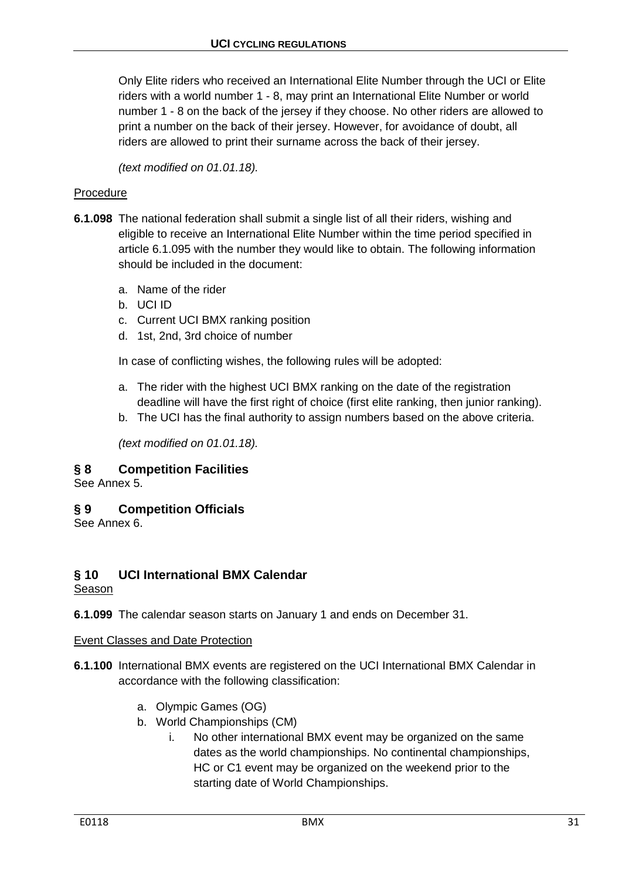Only Elite riders who received an International Elite Number through the UCI or Elite riders with a world number 1 - 8, may print an International Elite Number or world number 1 - 8 on the back of the jersey if they choose. No other riders are allowed to print a number on the back of their jersey. However, for avoidance of doubt, all riders are allowed to print their surname across the back of their jersey.

*(text modified on 01.01.18).*

## Procedure

- **6.1.098** The national federation shall submit a single list of all their riders, wishing and eligible to receive an International Elite Number within the time period specified in article 6.1.095 with the number they would like to obtain. The following information should be included in the document:
	- a. Name of the rider
	- b. UCI ID
	- c. Current UCI BMX ranking position
	- d. 1st, 2nd, 3rd choice of number

In case of conflicting wishes, the following rules will be adopted:

- a. The rider with the highest UCI BMX ranking on the date of the registration deadline will have the first right of choice (first elite ranking, then junior ranking).
- b. The UCI has the final authority to assign numbers based on the above criteria.

*(text modified on 01.01.18).*

## <span id="page-30-0"></span>**§ 8 Competition Facilities**

See Annex 5.

## <span id="page-30-1"></span>**§ 9 Competition Officials**

See Annex 6.

## <span id="page-30-2"></span>**§ 10 UCI International BMX Calendar**

Season

**6.1.099** The calendar season starts on January 1 and ends on December 31.

#### Event Classes and Date Protection

- **6.1.100** International BMX events are registered on the UCI International BMX Calendar in accordance with the following classification:
	- a. Olympic Games (OG)
	- b. World Championships (CM)
		- i. No other international BMX event may be organized on the same dates as the world championships. No continental championships, HC or C1 event may be organized on the weekend prior to the starting date of World Championships.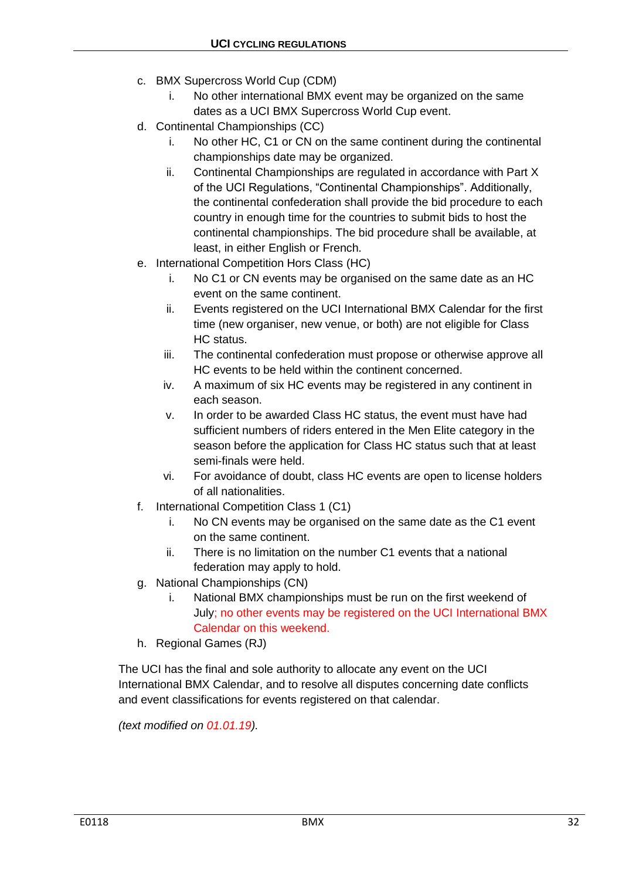- c. BMX Supercross World Cup (CDM)
	- i. No other international BMX event may be organized on the same dates as a UCI BMX Supercross World Cup event.
- d. Continental Championships (CC)
	- i. No other HC, C1 or CN on the same continent during the continental championships date may be organized.
	- ii. Continental Championships are regulated in accordance with Part X of the UCI Regulations, "Continental Championships". Additionally, the continental confederation shall provide the bid procedure to each country in enough time for the countries to submit bids to host the continental championships. The bid procedure shall be available, at least, in either English or French.
- e. International Competition Hors Class (HC)
	- i. No C1 or CN events may be organised on the same date as an HC event on the same continent.
	- ii. Events registered on the UCI International BMX Calendar for the first time (new organiser, new venue, or both) are not eligible for Class HC status.
	- iii. The continental confederation must propose or otherwise approve all HC events to be held within the continent concerned.
	- iv. A maximum of six HC events may be registered in any continent in each season.
	- v. In order to be awarded Class HC status, the event must have had sufficient numbers of riders entered in the Men Elite category in the season before the application for Class HC status such that at least semi-finals were held.
	- vi. For avoidance of doubt, class HC events are open to license holders of all nationalities.
- f. International Competition Class 1 (C1)
	- i. No CN events may be organised on the same date as the C1 event on the same continent.
	- ii. There is no limitation on the number C1 events that a national federation may apply to hold.
- g. National Championships (CN)
	- i. National BMX championships must be run on the first weekend of July; no other events may be registered on the UCI International BMX Calendar on this weekend.
- h. Regional Games (RJ)

The UCI has the final and sole authority to allocate any event on the UCI International BMX Calendar, and to resolve all disputes concerning date conflicts and event classifications for events registered on that calendar.

*(text modified on 01.01.19).*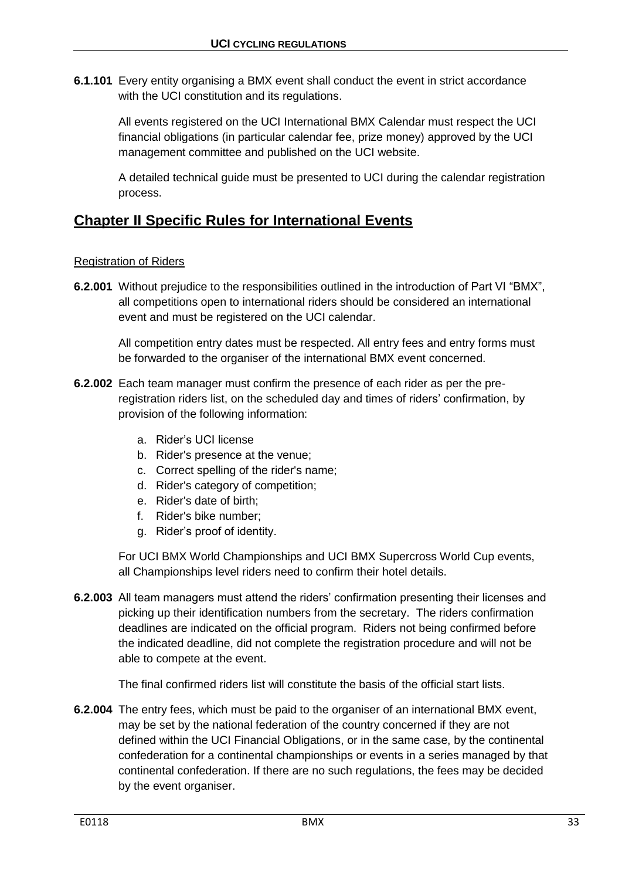**6.1.101** Every entity organising a BMX event shall conduct the event in strict accordance with the UCI constitution and its regulations.

All events registered on the UCI International BMX Calendar must respect the UCI financial obligations (in particular calendar fee, prize money) approved by the UCI management committee and published on the UCI website.

A detailed technical guide must be presented to UCI during the calendar registration process.

# <span id="page-32-0"></span>**Chapter II Specific Rules for International Events**

## Registration of Riders

**6.2.001** Without prejudice to the responsibilities outlined in the introduction of Part VI "BMX", all competitions open to international riders should be considered an international event and must be registered on the UCI calendar.

All competition entry dates must be respected. All entry fees and entry forms must be forwarded to the organiser of the international BMX event concerned.

- **6.2.002** Each team manager must confirm the presence of each rider as per the preregistration riders list, on the scheduled day and times of riders' confirmation, by provision of the following information:
	- a. Rider's UCI license
	- b. Rider's presence at the venue;
	- c. Correct spelling of the rider's name;
	- d. Rider's category of competition;
	- e. Rider's date of birth;
	- f. Rider's bike number;
	- g. Rider's proof of identity.

For UCI BMX World Championships and UCI BMX Supercross World Cup events, all Championships level riders need to confirm their hotel details.

**6.2.003** All team managers must attend the riders' confirmation presenting their licenses and picking up their identification numbers from the secretary. The riders confirmation deadlines are indicated on the official program. Riders not being confirmed before the indicated deadline, did not complete the registration procedure and will not be able to compete at the event.

The final confirmed riders list will constitute the basis of the official start lists.

**6.2.004** The entry fees, which must be paid to the organiser of an international BMX event, may be set by the national federation of the country concerned if they are not defined within the UCI Financial Obligations, or in the same case, by the continental confederation for a continental championships or events in a series managed by that continental confederation. If there are no such regulations, the fees may be decided by the event organiser.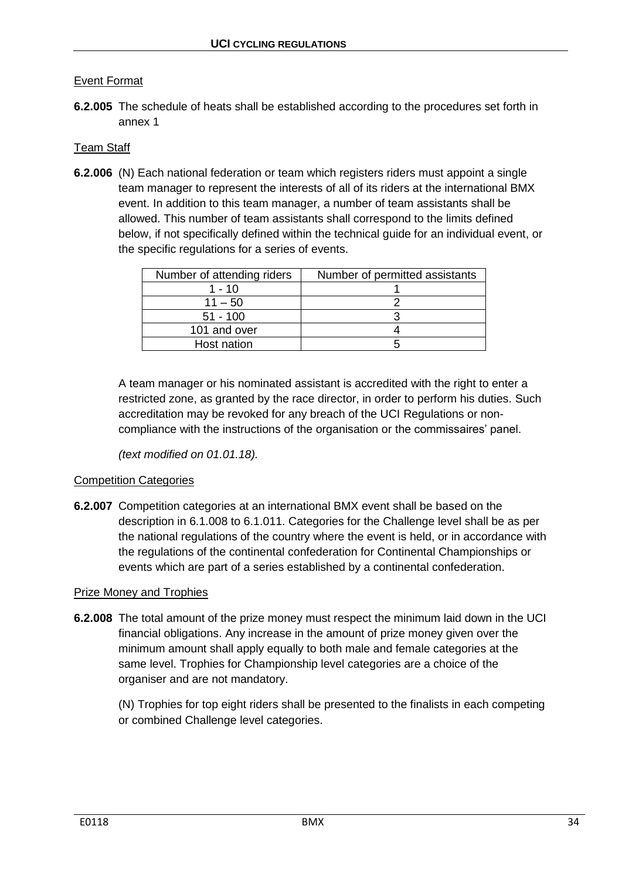## Event Format

**6.2.005** The schedule of heats shall be established according to the procedures set forth in annex 1

## Team Staff

**6.2.006** (N) Each national federation or team which registers riders must appoint a single team manager to represent the interests of all of its riders at the international BMX event. In addition to this team manager, a number of team assistants shall be allowed. This number of team assistants shall correspond to the limits defined below, if not specifically defined within the technical guide for an individual event, or the specific regulations for a series of events.

| Number of attending riders | Number of permitted assistants |  |
|----------------------------|--------------------------------|--|
| 1 - 10                     |                                |  |
| $11 - 50$                  |                                |  |
| $51 - 100$                 |                                |  |
| 101 and over               |                                |  |
| Host nation                |                                |  |

A team manager or his nominated assistant is accredited with the right to enter a restricted zone, as granted by the race director, in order to perform his duties. Such accreditation may be revoked for any breach of the UCI Regulations or noncompliance with the instructions of the organisation or the commissaires' panel.

*(text modified on 01.01.18).*

#### Competition Categories

**6.2.007** Competition categories at an international BMX event shall be based on the description in 6.1.008 to 6.1.011. Categories for the Challenge level shall be as per the national regulations of the country where the event is held, or in accordance with the regulations of the continental confederation for Continental Championships or events which are part of a series established by a continental confederation.

#### Prize Money and Trophies

**6.2.008** The total amount of the prize money must respect the minimum laid down in the UCI financial obligations. Any increase in the amount of prize money given over the minimum amount shall apply equally to both male and female categories at the same level. Trophies for Championship level categories are a choice of the organiser and are not mandatory.

(N) Trophies for top eight riders shall be presented to the finalists in each competing or combined Challenge level categories.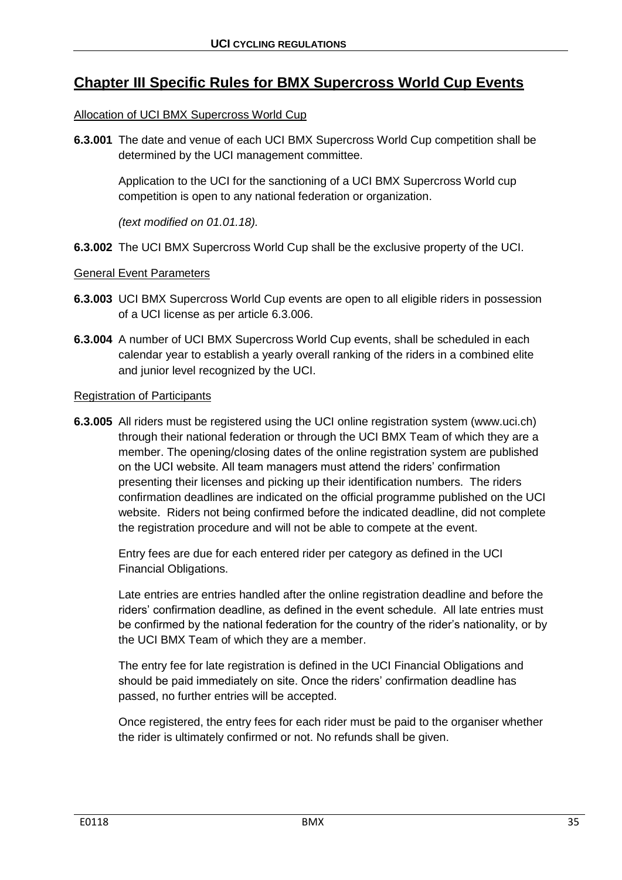# <span id="page-34-0"></span>**Chapter III Specific Rules for BMX Supercross World Cup Events**

## Allocation of UCI BMX Supercross World Cup

**6.3.001** The date and venue of each UCI BMX Supercross World Cup competition shall be determined by the UCI management committee.

Application to the UCI for the sanctioning of a UCI BMX Supercross World cup competition is open to any national federation or organization.

*(text modified on 01.01.18).*

**6.3.002** The UCI BMX Supercross World Cup shall be the exclusive property of the UCI.

### General Event Parameters

- **6.3.003** UCI BMX Supercross World Cup events are open to all eligible riders in possession of a UCI license as per article 6.3.006.
- **6.3.004** A number of UCI BMX Supercross World Cup events, shall be scheduled in each calendar year to establish a yearly overall ranking of the riders in a combined elite and junior level recognized by the UCI.

#### Registration of Participants

**6.3.005** All riders must be registered using the UCI online registration system (www.uci.ch) through their national federation or through the UCI BMX Team of which they are a member. The opening/closing dates of the online registration system are published on the UCI website. All team managers must attend the riders' confirmation presenting their licenses and picking up their identification numbers. The riders confirmation deadlines are indicated on the official programme published on the UCI website. Riders not being confirmed before the indicated deadline, did not complete the registration procedure and will not be able to compete at the event.

Entry fees are due for each entered rider per category as defined in the UCI Financial Obligations.

Late entries are entries handled after the online registration deadline and before the riders' confirmation deadline, as defined in the event schedule. All late entries must be confirmed by the national federation for the country of the rider's nationality, or by the UCI BMX Team of which they are a member.

The entry fee for late registration is defined in the UCI Financial Obligations and should be paid immediately on site. Once the riders' confirmation deadline has passed, no further entries will be accepted.

Once registered, the entry fees for each rider must be paid to the organiser whether the rider is ultimately confirmed or not. No refunds shall be given.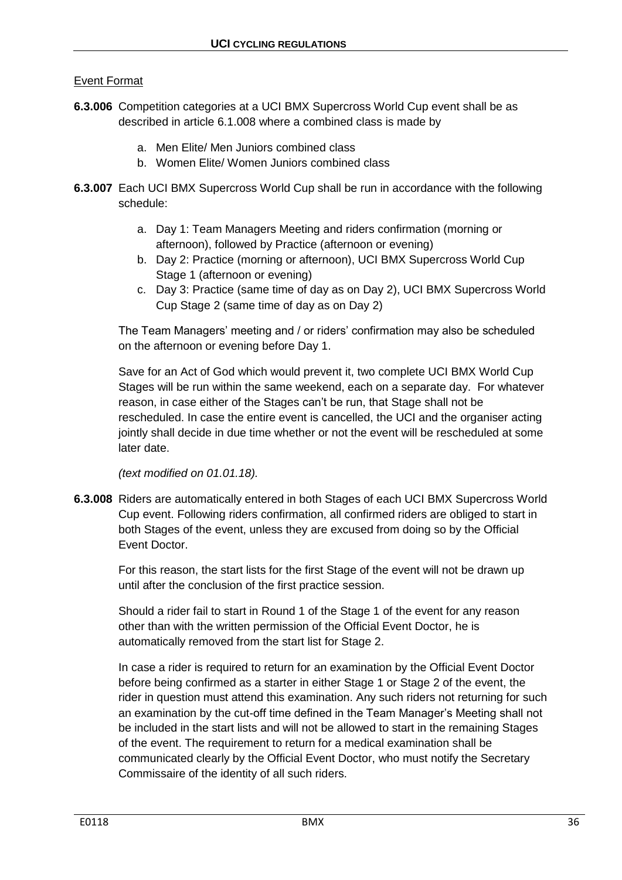## Event Format

- **6.3.006** Competition categories at a UCI BMX Supercross World Cup event shall be as described in article 6.1.008 where a combined class is made by
	- a. Men Elite/ Men Juniors combined class
	- b. Women Elite/ Women Juniors combined class
- **6.3.007** Each UCI BMX Supercross World Cup shall be run in accordance with the following schedule:
	- a. Day 1: Team Managers Meeting and riders confirmation (morning or afternoon), followed by Practice (afternoon or evening)
	- b. Day 2: Practice (morning or afternoon), UCI BMX Supercross World Cup Stage 1 (afternoon or evening)
	- c. Day 3: Practice (same time of day as on Day 2), UCI BMX Supercross World Cup Stage 2 (same time of day as on Day 2)

The Team Managers' meeting and / or riders' confirmation may also be scheduled on the afternoon or evening before Day 1.

Save for an Act of God which would prevent it, two complete UCI BMX World Cup Stages will be run within the same weekend, each on a separate day. For whatever reason, in case either of the Stages can't be run, that Stage shall not be rescheduled. In case the entire event is cancelled, the UCI and the organiser acting jointly shall decide in due time whether or not the event will be rescheduled at some later date.

*(text modified on 01.01.18).*

**6.3.008** Riders are automatically entered in both Stages of each UCI BMX Supercross World Cup event. Following riders confirmation, all confirmed riders are obliged to start in both Stages of the event, unless they are excused from doing so by the Official Event Doctor.

For this reason, the start lists for the first Stage of the event will not be drawn up until after the conclusion of the first practice session.

Should a rider fail to start in Round 1 of the Stage 1 of the event for any reason other than with the written permission of the Official Event Doctor, he is automatically removed from the start list for Stage 2.

In case a rider is required to return for an examination by the Official Event Doctor before being confirmed as a starter in either Stage 1 or Stage 2 of the event, the rider in question must attend this examination. Any such riders not returning for such an examination by the cut-off time defined in the Team Manager's Meeting shall not be included in the start lists and will not be allowed to start in the remaining Stages of the event. The requirement to return for a medical examination shall be communicated clearly by the Official Event Doctor, who must notify the Secretary Commissaire of the identity of all such riders.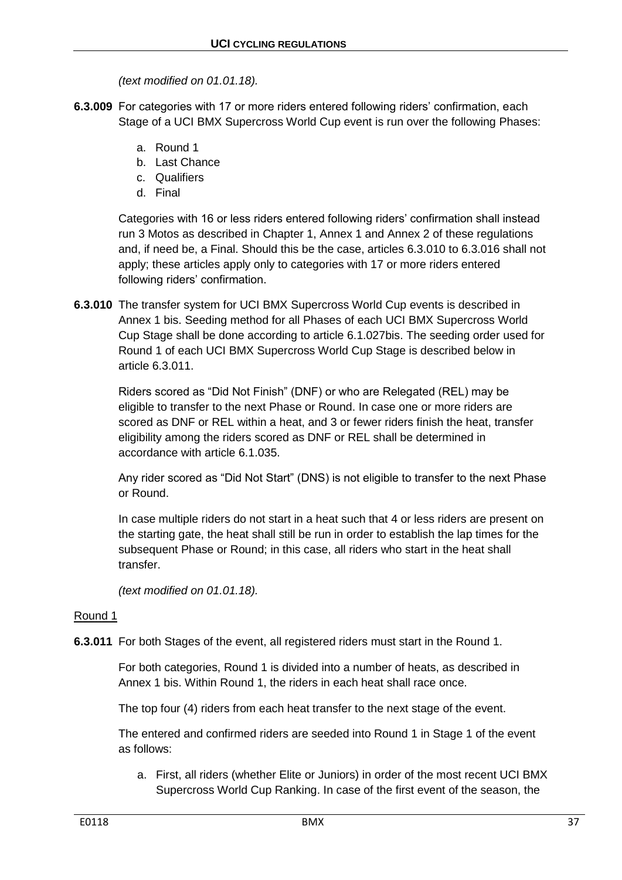*(text modified on 01.01.18).*

- **6.3.009** For categories with 17 or more riders entered following riders' confirmation, each Stage of a UCI BMX Supercross World Cup event is run over the following Phases:
	- a. Round 1
	- b. Last Chance
	- c. Qualifiers
	- d. Final

Categories with 16 or less riders entered following riders' confirmation shall instead run 3 Motos as described in Chapter 1, Annex 1 and Annex 2 of these regulations and, if need be, a Final. Should this be the case, articles 6.3.010 to 6.3.016 shall not apply; these articles apply only to categories with 17 or more riders entered following riders' confirmation.

**6.3.010** The transfer system for UCI BMX Supercross World Cup events is described in Annex 1 bis. Seeding method for all Phases of each UCI BMX Supercross World Cup Stage shall be done according to article 6.1.027bis. The seeding order used for Round 1 of each UCI BMX Supercross World Cup Stage is described below in article 6.3.011.

Riders scored as "Did Not Finish" (DNF) or who are Relegated (REL) may be eligible to transfer to the next Phase or Round. In case one or more riders are scored as DNF or REL within a heat, and 3 or fewer riders finish the heat, transfer eligibility among the riders scored as DNF or REL shall be determined in accordance with article 6.1.035.

Any rider scored as "Did Not Start" (DNS) is not eligible to transfer to the next Phase or Round.

In case multiple riders do not start in a heat such that 4 or less riders are present on the starting gate, the heat shall still be run in order to establish the lap times for the subsequent Phase or Round; in this case, all riders who start in the heat shall transfer.

*(text modified on 01.01.18).*

## Round 1

**6.3.011** For both Stages of the event, all registered riders must start in the Round 1.

For both categories, Round 1 is divided into a number of heats, as described in Annex 1 bis. Within Round 1, the riders in each heat shall race once.

The top four (4) riders from each heat transfer to the next stage of the event.

The entered and confirmed riders are seeded into Round 1 in Stage 1 of the event as follows:

a. First, all riders (whether Elite or Juniors) in order of the most recent UCI BMX Supercross World Cup Ranking. In case of the first event of the season, the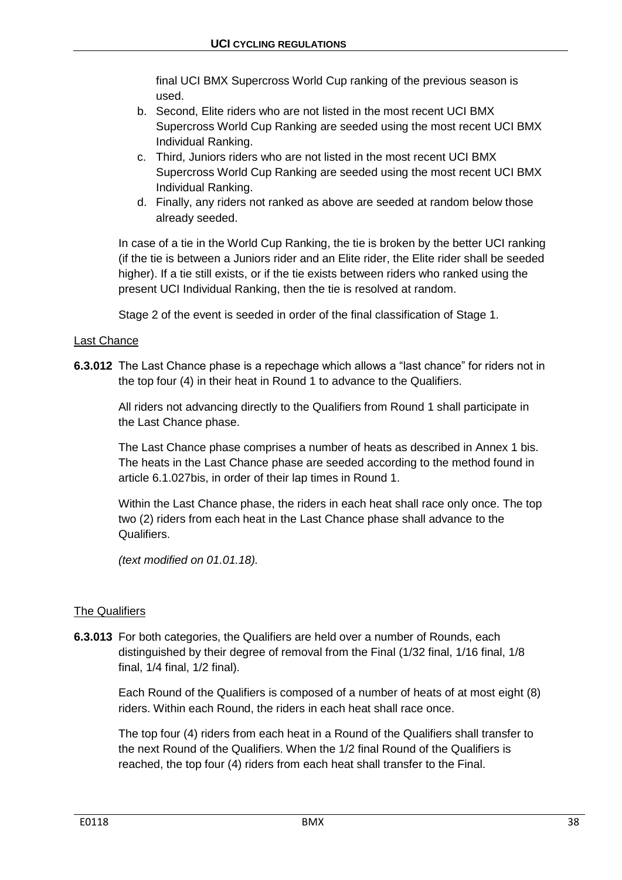final UCI BMX Supercross World Cup ranking of the previous season is used.

- b. Second, Elite riders who are not listed in the most recent UCI BMX Supercross World Cup Ranking are seeded using the most recent UCI BMX Individual Ranking.
- c. Third, Juniors riders who are not listed in the most recent UCI BMX Supercross World Cup Ranking are seeded using the most recent UCI BMX Individual Ranking.
- d. Finally, any riders not ranked as above are seeded at random below those already seeded.

In case of a tie in the World Cup Ranking, the tie is broken by the better UCI ranking (if the tie is between a Juniors rider and an Elite rider, the Elite rider shall be seeded higher). If a tie still exists, or if the tie exists between riders who ranked using the present UCI Individual Ranking, then the tie is resolved at random.

Stage 2 of the event is seeded in order of the final classification of Stage 1.

## Last Chance

**6.3.012** The Last Chance phase is a repechage which allows a "last chance" for riders not in the top four (4) in their heat in Round 1 to advance to the Qualifiers.

All riders not advancing directly to the Qualifiers from Round 1 shall participate in the Last Chance phase.

The Last Chance phase comprises a number of heats as described in Annex 1 bis. The heats in the Last Chance phase are seeded according to the method found in article 6.1.027bis, in order of their lap times in Round 1.

Within the Last Chance phase, the riders in each heat shall race only once. The top two (2) riders from each heat in the Last Chance phase shall advance to the Qualifiers.

*(text modified on 01.01.18).*

# The Qualifiers

**6.3.013** For both categories, the Qualifiers are held over a number of Rounds, each distinguished by their degree of removal from the Final (1/32 final, 1/16 final, 1/8 final, 1/4 final, 1/2 final).

Each Round of the Qualifiers is composed of a number of heats of at most eight (8) riders. Within each Round, the riders in each heat shall race once.

The top four (4) riders from each heat in a Round of the Qualifiers shall transfer to the next Round of the Qualifiers. When the 1/2 final Round of the Qualifiers is reached, the top four (4) riders from each heat shall transfer to the Final.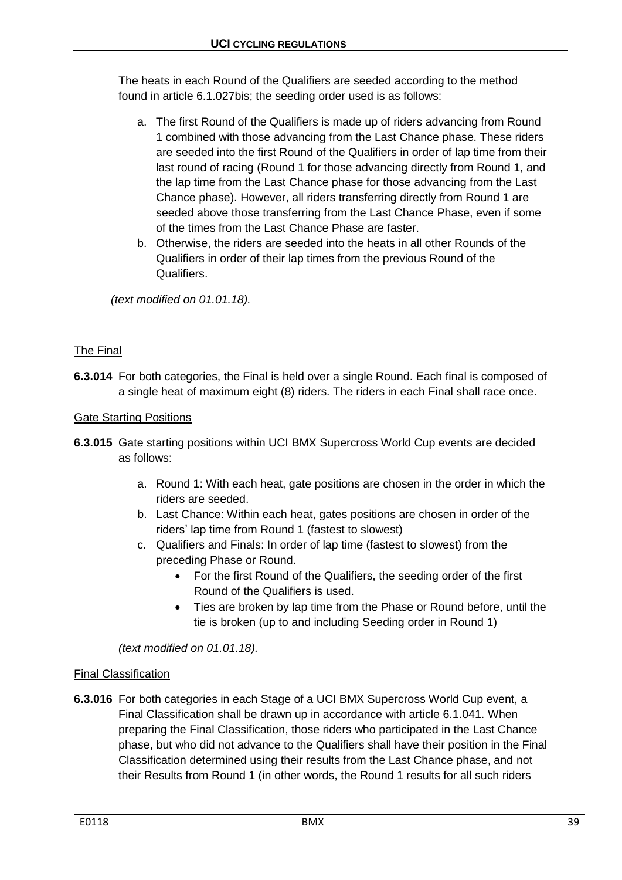The heats in each Round of the Qualifiers are seeded according to the method found in article 6.1.027bis; the seeding order used is as follows:

- a. The first Round of the Qualifiers is made up of riders advancing from Round 1 combined with those advancing from the Last Chance phase. These riders are seeded into the first Round of the Qualifiers in order of lap time from their last round of racing (Round 1 for those advancing directly from Round 1, and the lap time from the Last Chance phase for those advancing from the Last Chance phase). However, all riders transferring directly from Round 1 are seeded above those transferring from the Last Chance Phase, even if some of the times from the Last Chance Phase are faster.
- b. Otherwise, the riders are seeded into the heats in all other Rounds of the Qualifiers in order of their lap times from the previous Round of the Qualifiers.

*(text modified on 01.01.18).*

# The Final

**6.3.014** For both categories, the Final is held over a single Round. Each final is composed of a single heat of maximum eight (8) riders. The riders in each Final shall race once.

# Gate Starting Positions

- **6.3.015** Gate starting positions within UCI BMX Supercross World Cup events are decided as follows:
	- a. Round 1: With each heat, gate positions are chosen in the order in which the riders are seeded.
	- b. Last Chance: Within each heat, gates positions are chosen in order of the riders' lap time from Round 1 (fastest to slowest)
	- c. Qualifiers and Finals: In order of lap time (fastest to slowest) from the preceding Phase or Round.
		- For the first Round of the Qualifiers, the seeding order of the first Round of the Qualifiers is used.
		- Ties are broken by lap time from the Phase or Round before, until the tie is broken (up to and including Seeding order in Round 1)

*(text modified on 01.01.18).*

# Final Classification

**6.3.016** For both categories in each Stage of a UCI BMX Supercross World Cup event, a Final Classification shall be drawn up in accordance with article 6.1.041. When preparing the Final Classification, those riders who participated in the Last Chance phase, but who did not advance to the Qualifiers shall have their position in the Final Classification determined using their results from the Last Chance phase, and not their Results from Round 1 (in other words, the Round 1 results for all such riders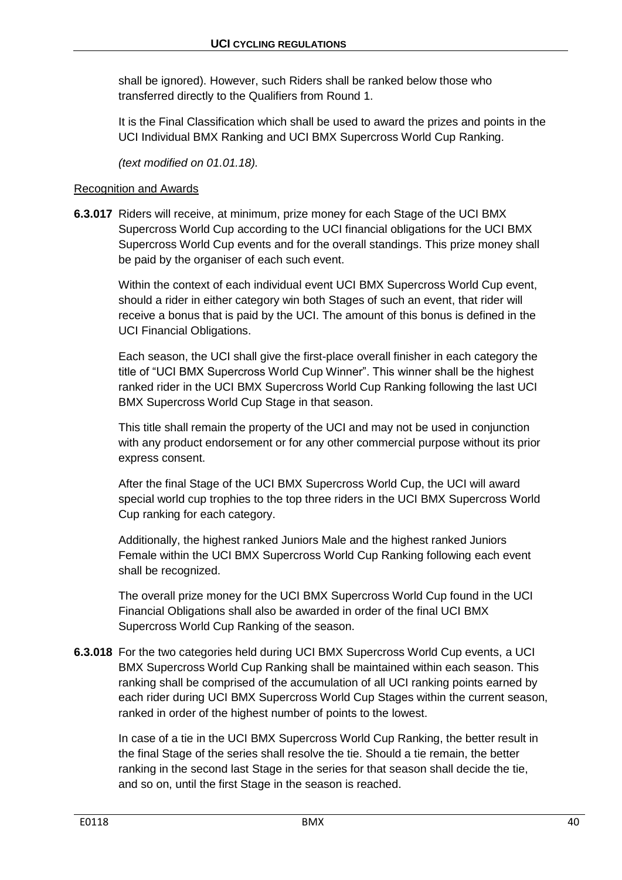shall be ignored). However, such Riders shall be ranked below those who transferred directly to the Qualifiers from Round 1.

It is the Final Classification which shall be used to award the prizes and points in the UCI Individual BMX Ranking and UCI BMX Supercross World Cup Ranking.

*(text modified on 01.01.18).*

## Recognition and Awards

**6.3.017** Riders will receive, at minimum, prize money for each Stage of the UCI BMX Supercross World Cup according to the UCI financial obligations for the UCI BMX Supercross World Cup events and for the overall standings. This prize money shall be paid by the organiser of each such event.

Within the context of each individual event UCI BMX Supercross World Cup event, should a rider in either category win both Stages of such an event, that rider will receive a bonus that is paid by the UCI. The amount of this bonus is defined in the UCI Financial Obligations.

Each season, the UCI shall give the first-place overall finisher in each category the title of "UCI BMX Supercross World Cup Winner". This winner shall be the highest ranked rider in the UCI BMX Supercross World Cup Ranking following the last UCI BMX Supercross World Cup Stage in that season.

This title shall remain the property of the UCI and may not be used in conjunction with any product endorsement or for any other commercial purpose without its prior express consent.

After the final Stage of the UCI BMX Supercross World Cup, the UCI will award special world cup trophies to the top three riders in the UCI BMX Supercross World Cup ranking for each category.

Additionally, the highest ranked Juniors Male and the highest ranked Juniors Female within the UCI BMX Supercross World Cup Ranking following each event shall be recognized.

The overall prize money for the UCI BMX Supercross World Cup found in the UCI Financial Obligations shall also be awarded in order of the final UCI BMX Supercross World Cup Ranking of the season.

**6.3.018** For the two categories held during UCI BMX Supercross World Cup events, a UCI BMX Supercross World Cup Ranking shall be maintained within each season. This ranking shall be comprised of the accumulation of all UCI ranking points earned by each rider during UCI BMX Supercross World Cup Stages within the current season, ranked in order of the highest number of points to the lowest.

In case of a tie in the UCI BMX Supercross World Cup Ranking, the better result in the final Stage of the series shall resolve the tie. Should a tie remain, the better ranking in the second last Stage in the series for that season shall decide the tie, and so on, until the first Stage in the season is reached.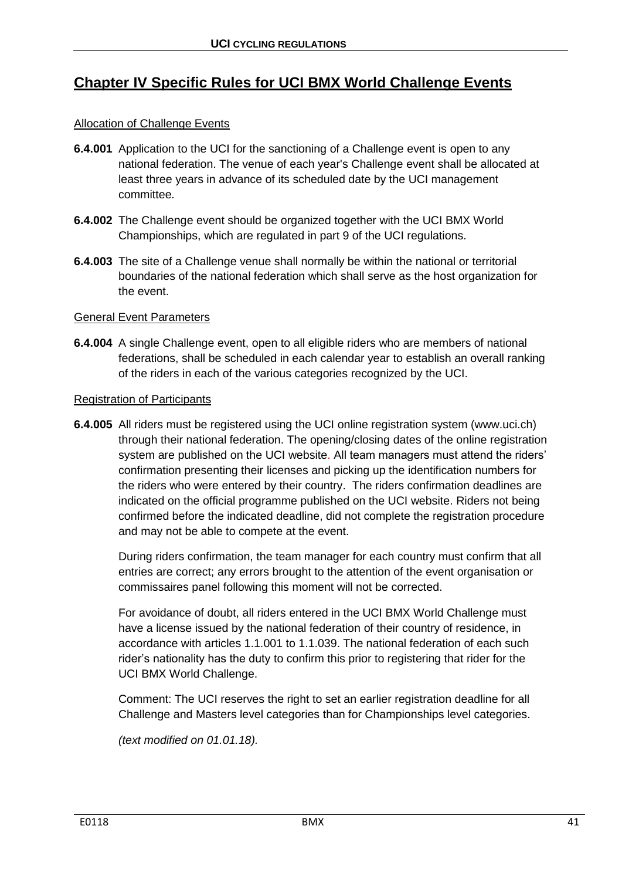# **Chapter IV Specific Rules for UCI BMX World Challenge Events**

# Allocation of Challenge Events

- **6.4.001** Application to the UCI for the sanctioning of a Challenge event is open to any national federation. The venue of each year's Challenge event shall be allocated at least three years in advance of its scheduled date by the UCI management committee.
- **6.4.002** The Challenge event should be organized together with the UCI BMX World Championships, which are regulated in part 9 of the UCI regulations.
- **6.4.003** The site of a Challenge venue shall normally be within the national or territorial boundaries of the national federation which shall serve as the host organization for the event.

## General Event Parameters

**6.4.004** A single Challenge event, open to all eligible riders who are members of national federations, shall be scheduled in each calendar year to establish an overall ranking of the riders in each of the various categories recognized by the UCI.

## Registration of Participants

**6.4.005** All riders must be registered using the UCI online registration system (www.uci.ch) through their national federation. The opening/closing dates of the online registration system are published on the UCI website. All team managers must attend the riders' confirmation presenting their licenses and picking up the identification numbers for the riders who were entered by their country. The riders confirmation deadlines are indicated on the official programme published on the UCI website. Riders not being confirmed before the indicated deadline, did not complete the registration procedure and may not be able to compete at the event.

During riders confirmation, the team manager for each country must confirm that all entries are correct; any errors brought to the attention of the event organisation or commissaires panel following this moment will not be corrected.

For avoidance of doubt, all riders entered in the UCI BMX World Challenge must have a license issued by the national federation of their country of residence, in accordance with articles 1.1.001 to 1.1.039. The national federation of each such rider's nationality has the duty to confirm this prior to registering that rider for the UCI BMX World Challenge.

Comment: The UCI reserves the right to set an earlier registration deadline for all Challenge and Masters level categories than for Championships level categories.

*(text modified on 01.01.18).*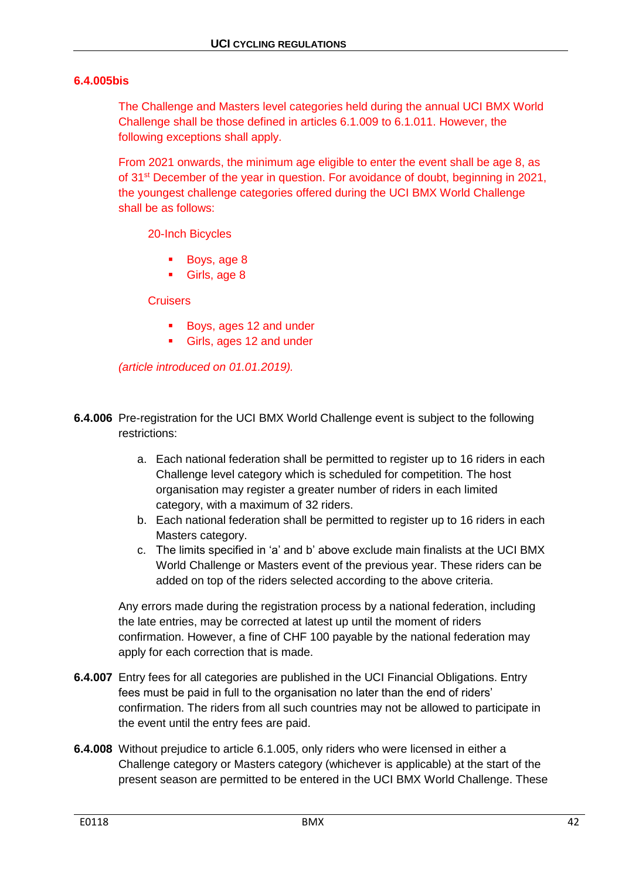## **6.4.005bis**

The Challenge and Masters level categories held during the annual UCI BMX World Challenge shall be those defined in articles 6.1.009 to 6.1.011. However, the following exceptions shall apply.

From 2021 onwards, the minimum age eligible to enter the event shall be age 8, as of 31st December of the year in question. For avoidance of doubt, beginning in 2021, the youngest challenge categories offered during the UCI BMX World Challenge shall be as follows:

20-Inch Bicycles

- Boys, age 8
- Girls, age 8

## **Cruisers**

- Boys, ages 12 and under
- Girls, ages 12 and under

*(article introduced on 01.01.2019).*

- **6.4.006** Pre-registration for the UCI BMX World Challenge event is subject to the following restrictions:
	- a. Each national federation shall be permitted to register up to 16 riders in each Challenge level category which is scheduled for competition. The host organisation may register a greater number of riders in each limited category, with a maximum of 32 riders.
	- b. Each national federation shall be permitted to register up to 16 riders in each Masters category.
	- c. The limits specified in 'a' and b' above exclude main finalists at the UCI BMX World Challenge or Masters event of the previous year. These riders can be added on top of the riders selected according to the above criteria.

Any errors made during the registration process by a national federation, including the late entries, may be corrected at latest up until the moment of riders confirmation. However, a fine of CHF 100 payable by the national federation may apply for each correction that is made.

- **6.4.007** Entry fees for all categories are published in the UCI Financial Obligations. Entry fees must be paid in full to the organisation no later than the end of riders' confirmation. The riders from all such countries may not be allowed to participate in the event until the entry fees are paid.
- **6.4.008** Without prejudice to article 6.1.005, only riders who were licensed in either a Challenge category or Masters category (whichever is applicable) at the start of the present season are permitted to be entered in the UCI BMX World Challenge. These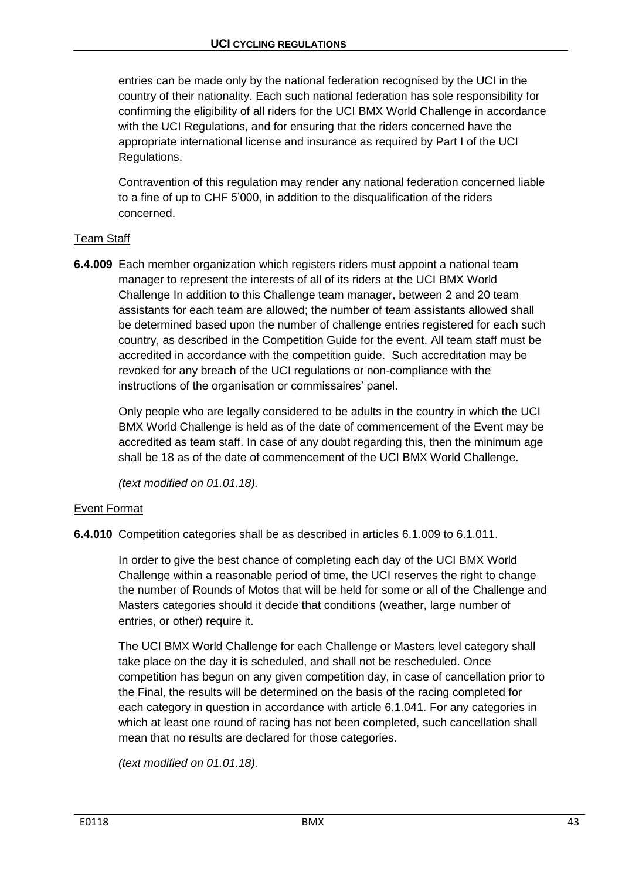entries can be made only by the national federation recognised by the UCI in the country of their nationality. Each such national federation has sole responsibility for confirming the eligibility of all riders for the UCI BMX World Challenge in accordance with the UCI Regulations, and for ensuring that the riders concerned have the appropriate international license and insurance as required by Part I of the UCI Regulations.

Contravention of this regulation may render any national federation concerned liable to a fine of up to CHF 5'000, in addition to the disqualification of the riders concerned.

# Team Staff

**6.4.009** Each member organization which registers riders must appoint a national team manager to represent the interests of all of its riders at the UCI BMX World Challenge In addition to this Challenge team manager, between 2 and 20 team assistants for each team are allowed; the number of team assistants allowed shall be determined based upon the number of challenge entries registered for each such country, as described in the Competition Guide for the event. All team staff must be accredited in accordance with the competition guide. Such accreditation may be revoked for any breach of the UCI regulations or non-compliance with the instructions of the organisation or commissaires' panel.

Only people who are legally considered to be adults in the country in which the UCI BMX World Challenge is held as of the date of commencement of the Event may be accredited as team staff. In case of any doubt regarding this, then the minimum age shall be 18 as of the date of commencement of the UCI BMX World Challenge.

*(text modified on 01.01.18).*

# Event Format

**6.4.010** Competition categories shall be as described in articles 6.1.009 to 6.1.011.

In order to give the best chance of completing each day of the UCI BMX World Challenge within a reasonable period of time, the UCI reserves the right to change the number of Rounds of Motos that will be held for some or all of the Challenge and Masters categories should it decide that conditions (weather, large number of entries, or other) require it.

The UCI BMX World Challenge for each Challenge or Masters level category shall take place on the day it is scheduled, and shall not be rescheduled. Once competition has begun on any given competition day, in case of cancellation prior to the Final, the results will be determined on the basis of the racing completed for each category in question in accordance with article 6.1.041. For any categories in which at least one round of racing has not been completed, such cancellation shall mean that no results are declared for those categories.

*(text modified on 01.01.18).*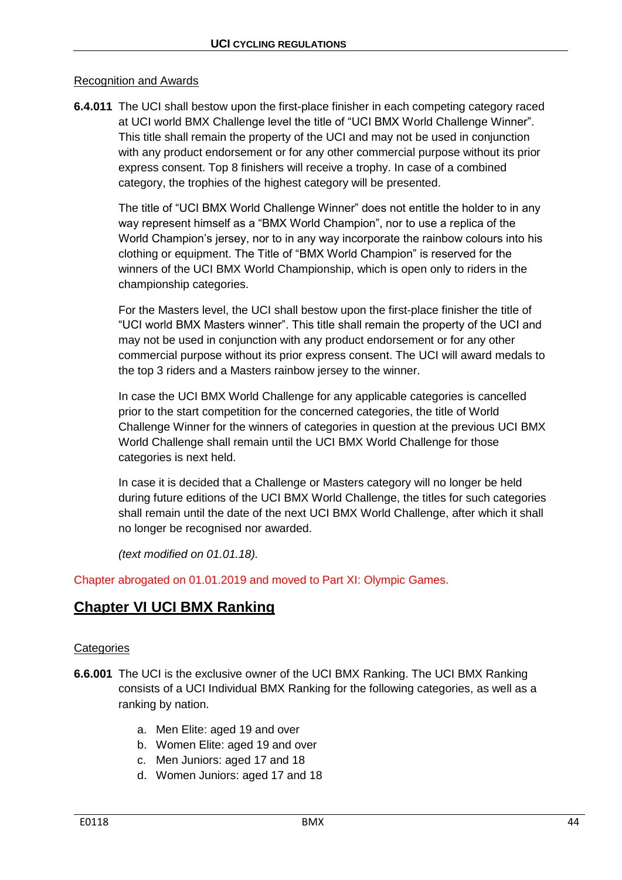## Recognition and Awards

**6.4.011** The UCI shall bestow upon the first-place finisher in each competing category raced at UCI world BMX Challenge level the title of "UCI BMX World Challenge Winner". This title shall remain the property of the UCI and may not be used in conjunction with any product endorsement or for any other commercial purpose without its prior express consent. Top 8 finishers will receive a trophy. In case of a combined category, the trophies of the highest category will be presented.

The title of "UCI BMX World Challenge Winner" does not entitle the holder to in any way represent himself as a "BMX World Champion", nor to use a replica of the World Champion's jersey, nor to in any way incorporate the rainbow colours into his clothing or equipment. The Title of "BMX World Champion" is reserved for the winners of the UCI BMX World Championship, which is open only to riders in the championship categories.

For the Masters level, the UCI shall bestow upon the first-place finisher the title of "UCI world BMX Masters winner". This title shall remain the property of the UCI and may not be used in conjunction with any product endorsement or for any other commercial purpose without its prior express consent. The UCI will award medals to the top 3 riders and a Masters rainbow jersey to the winner.

In case the UCI BMX World Challenge for any applicable categories is cancelled prior to the start competition for the concerned categories, the title of World Challenge Winner for the winners of categories in question at the previous UCI BMX World Challenge shall remain until the UCI BMX World Challenge for those categories is next held.

In case it is decided that a Challenge or Masters category will no longer be held during future editions of the UCI BMX World Challenge, the titles for such categories shall remain until the date of the next UCI BMX World Challenge, after which it shall no longer be recognised nor awarded.

*(text modified on 01.01.18).*

Chapter abrogated on 01.01.2019 and moved to Part XI: Olympic Games.

# **Chapter VI UCI BMX Ranking**

## **Categories**

- **6.6.001** The UCI is the exclusive owner of the UCI BMX Ranking. The UCI BMX Ranking consists of a UCI Individual BMX Ranking for the following categories, as well as a ranking by nation.
	- a. Men Elite: aged 19 and over
	- b. Women Elite: aged 19 and over
	- c. Men Juniors: aged 17 and 18
	- d. Women Juniors: aged 17 and 18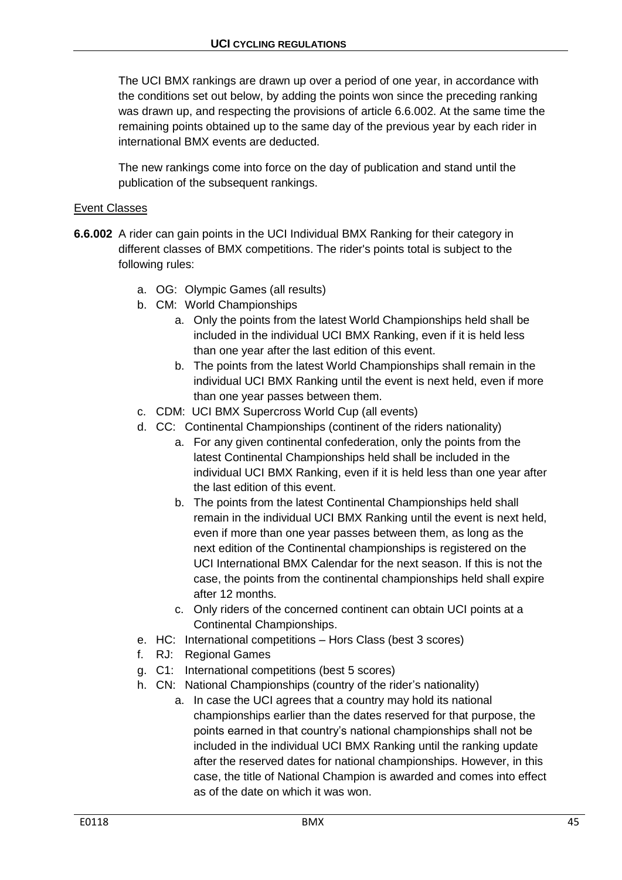The UCI BMX rankings are drawn up over a period of one year, in accordance with the conditions set out below, by adding the points won since the preceding ranking was drawn up, and respecting the provisions of article 6.6.002. At the same time the remaining points obtained up to the same day of the previous year by each rider in international BMX events are deducted.

The new rankings come into force on the day of publication and stand until the publication of the subsequent rankings.

## Event Classes

- **6.6.002** A rider can gain points in the UCI Individual BMX Ranking for their category in different classes of BMX competitions. The rider's points total is subject to the following rules:
	- a. OG: Olympic Games (all results)
	- b. CM: World Championships
		- a. Only the points from the latest World Championships held shall be included in the individual UCI BMX Ranking, even if it is held less than one year after the last edition of this event.
		- b. The points from the latest World Championships shall remain in the individual UCI BMX Ranking until the event is next held, even if more than one year passes between them.
	- c. CDM: UCI BMX Supercross World Cup (all events)
	- d. CC: Continental Championships (continent of the riders nationality)
		- a. For any given continental confederation, only the points from the latest Continental Championships held shall be included in the individual UCI BMX Ranking, even if it is held less than one year after the last edition of this event.
		- b. The points from the latest Continental Championships held shall remain in the individual UCI BMX Ranking until the event is next held, even if more than one year passes between them, as long as the next edition of the Continental championships is registered on the UCI International BMX Calendar for the next season. If this is not the case, the points from the continental championships held shall expire after 12 months.
		- c. Only riders of the concerned continent can obtain UCI points at a Continental Championships.
	- e. HC: International competitions Hors Class (best 3 scores)
	- f. RJ: Regional Games
	- g. C1: International competitions (best 5 scores)
	- h. CN: National Championships (country of the rider's nationality)
		- a. In case the UCI agrees that a country may hold its national championships earlier than the dates reserved for that purpose, the points earned in that country's national championships shall not be included in the individual UCI BMX Ranking until the ranking update after the reserved dates for national championships. However, in this case, the title of National Champion is awarded and comes into effect as of the date on which it was won.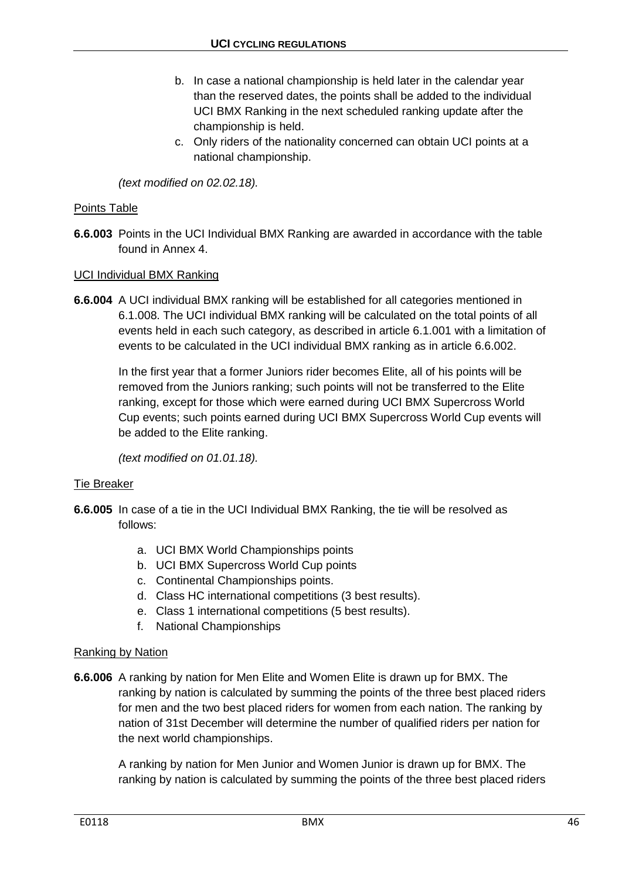- b. In case a national championship is held later in the calendar year than the reserved dates, the points shall be added to the individual UCI BMX Ranking in the next scheduled ranking update after the championship is held.
- c. Only riders of the nationality concerned can obtain UCI points at a national championship.

*(text modified on 02.02.18).*

## Points Table

**6.6.003** Points in the UCI Individual BMX Ranking are awarded in accordance with the table found in Annex 4.

## UCI Individual BMX Ranking

**6.6.004** A UCI individual BMX ranking will be established for all categories mentioned in 6.1.008. The UCI individual BMX ranking will be calculated on the total points of all events held in each such category, as described in article 6.1.001 with a limitation of events to be calculated in the UCI individual BMX ranking as in article 6.6.002.

In the first year that a former Juniors rider becomes Elite, all of his points will be removed from the Juniors ranking; such points will not be transferred to the Elite ranking, except for those which were earned during UCI BMX Supercross World Cup events; such points earned during UCI BMX Supercross World Cup events will be added to the Elite ranking.

*(text modified on 01.01.18).*

## Tie Breaker

- **6.6.005** In case of a tie in the UCI Individual BMX Ranking, the tie will be resolved as follows:
	- a. UCI BMX World Championships points
	- b. UCI BMX Supercross World Cup points
	- c. Continental Championships points.
	- d. Class HC international competitions (3 best results).
	- e. Class 1 international competitions (5 best results).
	- f. National Championships

## Ranking by Nation

**6.6.006** A ranking by nation for Men Elite and Women Elite is drawn up for BMX. The ranking by nation is calculated by summing the points of the three best placed riders for men and the two best placed riders for women from each nation. The ranking by nation of 31st December will determine the number of qualified riders per nation for the next world championships.

A ranking by nation for Men Junior and Women Junior is drawn up for BMX. The ranking by nation is calculated by summing the points of the three best placed riders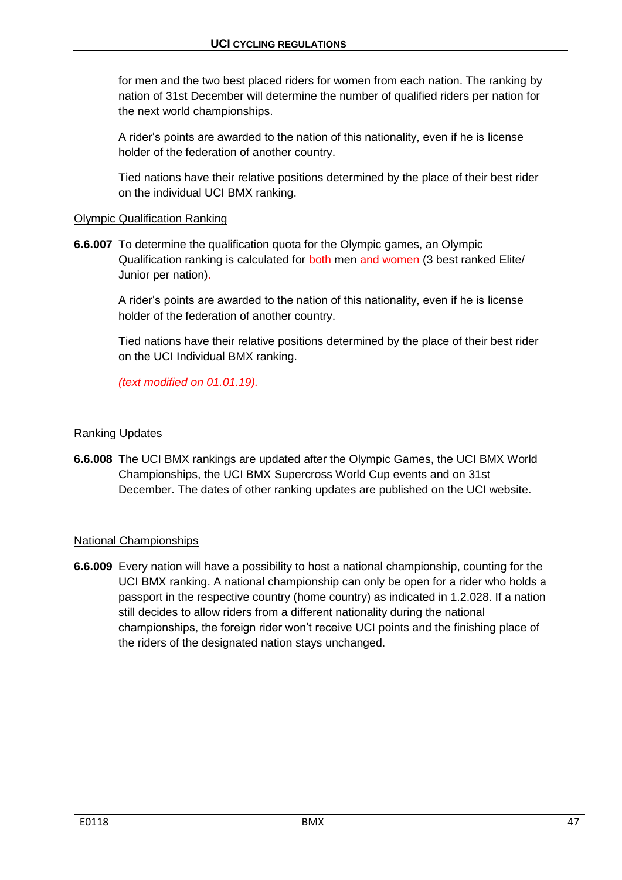for men and the two best placed riders for women from each nation. The ranking by nation of 31st December will determine the number of qualified riders per nation for the next world championships.

A rider's points are awarded to the nation of this nationality, even if he is license holder of the federation of another country.

Tied nations have their relative positions determined by the place of their best rider on the individual UCI BMX ranking.

## Olympic Qualification Ranking

**6.6.007** To determine the qualification quota for the Olympic games, an Olympic Qualification ranking is calculated for both men and women (3 best ranked Elite/ Junior per nation).

A rider's points are awarded to the nation of this nationality, even if he is license holder of the federation of another country.

Tied nations have their relative positions determined by the place of their best rider on the UCI Individual BMX ranking.

*(text modified on 01.01.19).*

## Ranking Updates

**6.6.008** The UCI BMX rankings are updated after the Olympic Games, the UCI BMX World Championships, the UCI BMX Supercross World Cup events and on 31st December. The dates of other ranking updates are published on the UCI website.

## National Championships

**6.6.009** Every nation will have a possibility to host a national championship, counting for the UCI BMX ranking. A national championship can only be open for a rider who holds a passport in the respective country (home country) as indicated in 1.2.028. If a nation still decides to allow riders from a different nationality during the national championships, the foreign rider won't receive UCI points and the finishing place of the riders of the designated nation stays unchanged.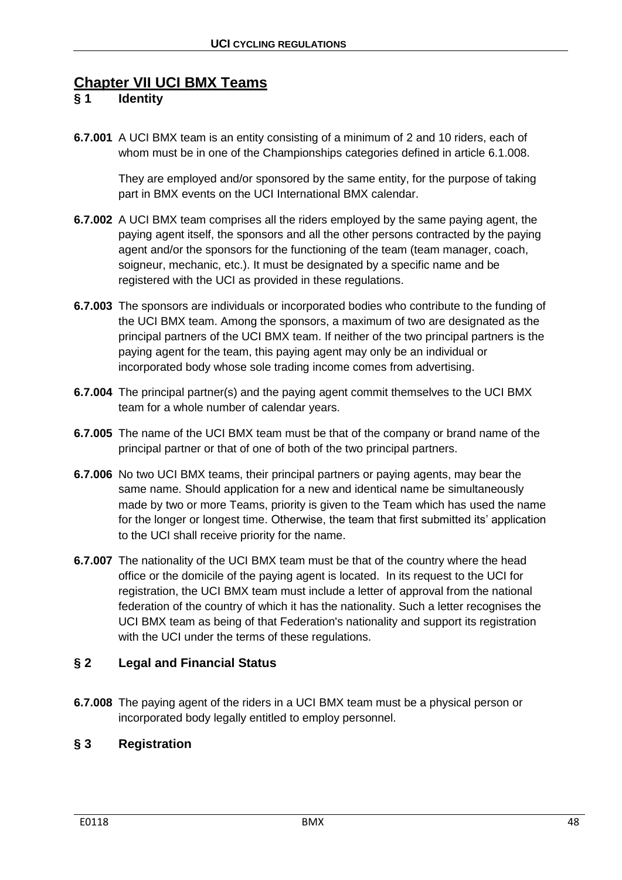# **Chapter VII UCI BMX Teams**

# **§ 1 Identity**

**6.7.001** A UCI BMX team is an entity consisting of a minimum of 2 and 10 riders, each of whom must be in one of the Championships categories defined in article 6.1.008.

They are employed and/or sponsored by the same entity, for the purpose of taking part in BMX events on the UCI International BMX calendar.

- **6.7.002** A UCI BMX team comprises all the riders employed by the same paying agent, the paying agent itself, the sponsors and all the other persons contracted by the paying agent and/or the sponsors for the functioning of the team (team manager, coach, soigneur, mechanic, etc.). It must be designated by a specific name and be registered with the UCI as provided in these regulations.
- **6.7.003** The sponsors are individuals or incorporated bodies who contribute to the funding of the UCI BMX team. Among the sponsors, a maximum of two are designated as the principal partners of the UCI BMX team. If neither of the two principal partners is the paying agent for the team, this paying agent may only be an individual or incorporated body whose sole trading income comes from advertising.
- **6.7.004** The principal partner(s) and the paying agent commit themselves to the UCI BMX team for a whole number of calendar years.
- **6.7.005** The name of the UCI BMX team must be that of the company or brand name of the principal partner or that of one of both of the two principal partners.
- **6.7.006** No two UCI BMX teams, their principal partners or paying agents, may bear the same name. Should application for a new and identical name be simultaneously made by two or more Teams, priority is given to the Team which has used the name for the longer or longest time. Otherwise, the team that first submitted its' application to the UCI shall receive priority for the name.
- **6.7.007** The nationality of the UCI BMX team must be that of the country where the head office or the domicile of the paying agent is located. In its request to the UCI for registration, the UCI BMX team must include a letter of approval from the national federation of the country of which it has the nationality. Such a letter recognises the UCI BMX team as being of that Federation's nationality and support its registration with the UCI under the terms of these regulations.

# **§ 2 Legal and Financial Status**

**6.7.008** The paying agent of the riders in a UCI BMX team must be a physical person or incorporated body legally entitled to employ personnel.

# **§ 3 Registration**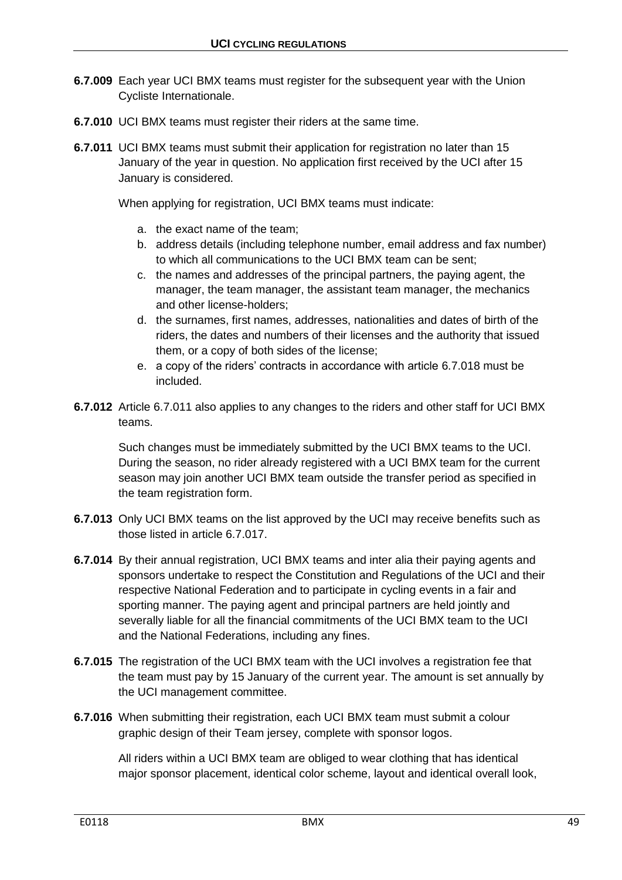- **6.7.009** Each year UCI BMX teams must register for the subsequent year with the Union Cycliste Internationale.
- **6.7.010** UCI BMX teams must register their riders at the same time.
- **6.7.011** UCI BMX teams must submit their application for registration no later than 15 January of the year in question. No application first received by the UCI after 15 January is considered.

When applying for registration, UCI BMX teams must indicate:

- a. the exact name of the team;
- b. address details (including telephone number, email address and fax number) to which all communications to the UCI BMX team can be sent;
- c. the names and addresses of the principal partners, the paying agent, the manager, the team manager, the assistant team manager, the mechanics and other license-holders;
- d. the surnames, first names, addresses, nationalities and dates of birth of the riders, the dates and numbers of their licenses and the authority that issued them, or a copy of both sides of the license;
- e. a copy of the riders' contracts in accordance with article 6.7.018 must be included.
- **6.7.012** Article 6.7.011 also applies to any changes to the riders and other staff for UCI BMX teams.

Such changes must be immediately submitted by the UCI BMX teams to the UCI. During the season, no rider already registered with a UCI BMX team for the current season may join another UCI BMX team outside the transfer period as specified in the team registration form.

- **6.7.013** Only UCI BMX teams on the list approved by the UCI may receive benefits such as those listed in article 6.7.017.
- **6.7.014** By their annual registration, UCI BMX teams and inter alia their paying agents and sponsors undertake to respect the Constitution and Regulations of the UCI and their respective National Federation and to participate in cycling events in a fair and sporting manner. The paying agent and principal partners are held jointly and severally liable for all the financial commitments of the UCI BMX team to the UCI and the National Federations, including any fines.
- **6.7.015** The registration of the UCI BMX team with the UCI involves a registration fee that the team must pay by 15 January of the current year. The amount is set annually by the UCI management committee.
- **6.7.016** When submitting their registration, each UCI BMX team must submit a colour graphic design of their Team jersey, complete with sponsor logos.

All riders within a UCI BMX team are obliged to wear clothing that has identical major sponsor placement, identical color scheme, layout and identical overall look,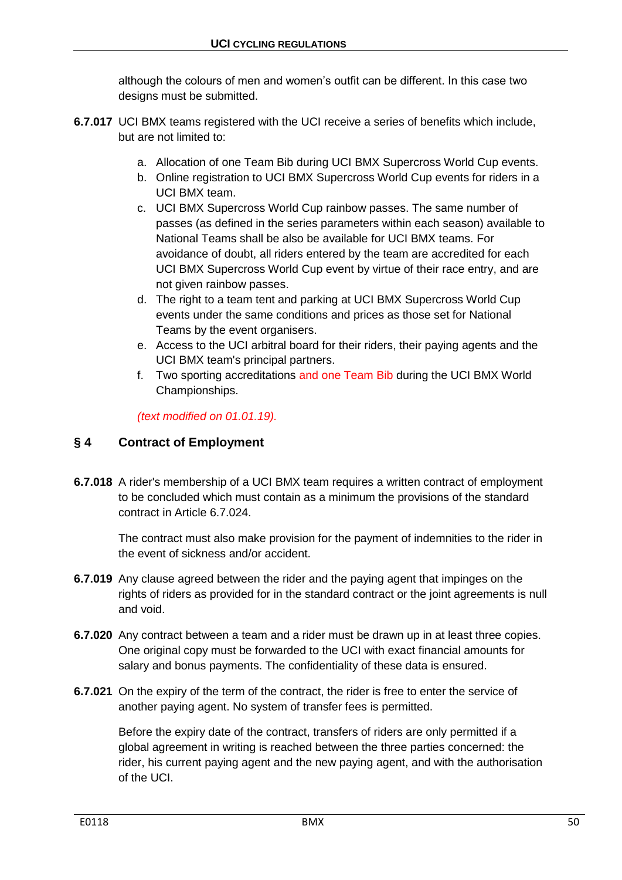although the colours of men and women's outfit can be different. In this case two designs must be submitted.

- **6.7.017** UCI BMX teams registered with the UCI receive a series of benefits which include, but are not limited to:
	- a. Allocation of one Team Bib during UCI BMX Supercross World Cup events.
	- b. Online registration to UCI BMX Supercross World Cup events for riders in a UCI BMX team.
	- c. UCI BMX Supercross World Cup rainbow passes. The same number of passes (as defined in the series parameters within each season) available to National Teams shall be also be available for UCI BMX teams. For avoidance of doubt, all riders entered by the team are accredited for each UCI BMX Supercross World Cup event by virtue of their race entry, and are not given rainbow passes.
	- d. The right to a team tent and parking at UCI BMX Supercross World Cup events under the same conditions and prices as those set for National Teams by the event organisers.
	- e. Access to the UCI arbitral board for their riders, their paying agents and the UCI BMX team's principal partners.
	- f. Two sporting accreditations and one Team Bib during the UCI BMX World Championships.

*(text modified on 01.01.19).*

# **§ 4 Contract of Employment**

**6.7.018** A rider's membership of a UCI BMX team requires a written contract of employment to be concluded which must contain as a minimum the provisions of the standard contract in Article 6.7.024.

The contract must also make provision for the payment of indemnities to the rider in the event of sickness and/or accident.

- **6.7.019** Any clause agreed between the rider and the paying agent that impinges on the rights of riders as provided for in the standard contract or the joint agreements is null and void.
- **6.7.020** Any contract between a team and a rider must be drawn up in at least three copies. One original copy must be forwarded to the UCI with exact financial amounts for salary and bonus payments. The confidentiality of these data is ensured.
- **6.7.021** On the expiry of the term of the contract, the rider is free to enter the service of another paying agent. No system of transfer fees is permitted.

Before the expiry date of the contract, transfers of riders are only permitted if a global agreement in writing is reached between the three parties concerned: the rider, his current paying agent and the new paying agent, and with the authorisation of the UCI.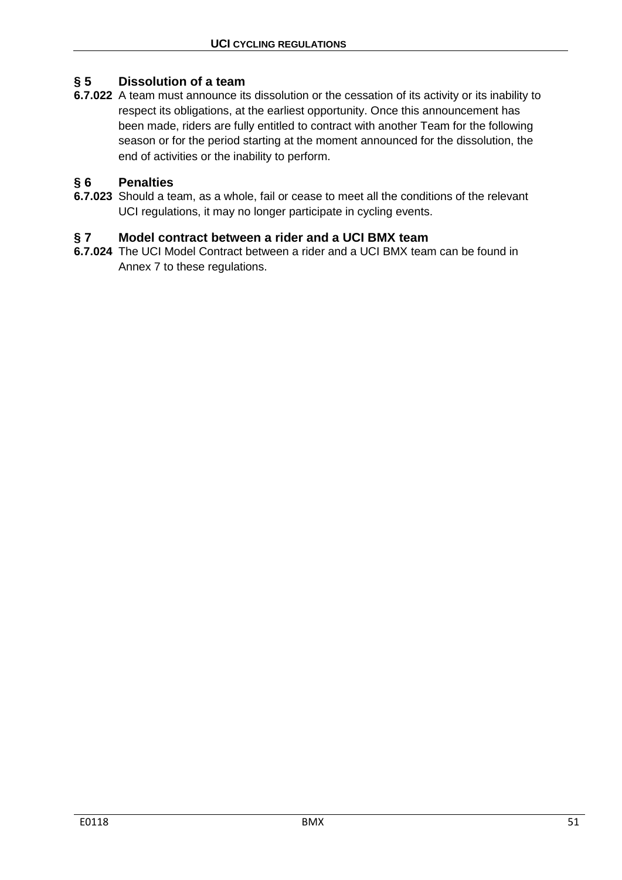# **§ 5 Dissolution of a team**

**6.7.022** A team must announce its dissolution or the cessation of its activity or its inability to respect its obligations, at the earliest opportunity. Once this announcement has been made, riders are fully entitled to contract with another Team for the following season or for the period starting at the moment announced for the dissolution, the end of activities or the inability to perform.

# **§ 6 Penalties**

**6.7.023** Should a team, as a whole, fail or cease to meet all the conditions of the relevant UCI regulations, it may no longer participate in cycling events.

# **§ 7 Model contract between a rider and a UCI BMX team**

**6.7.024** The UCI Model Contract between a rider and a UCI BMX team can be found in Annex 7 to these regulations.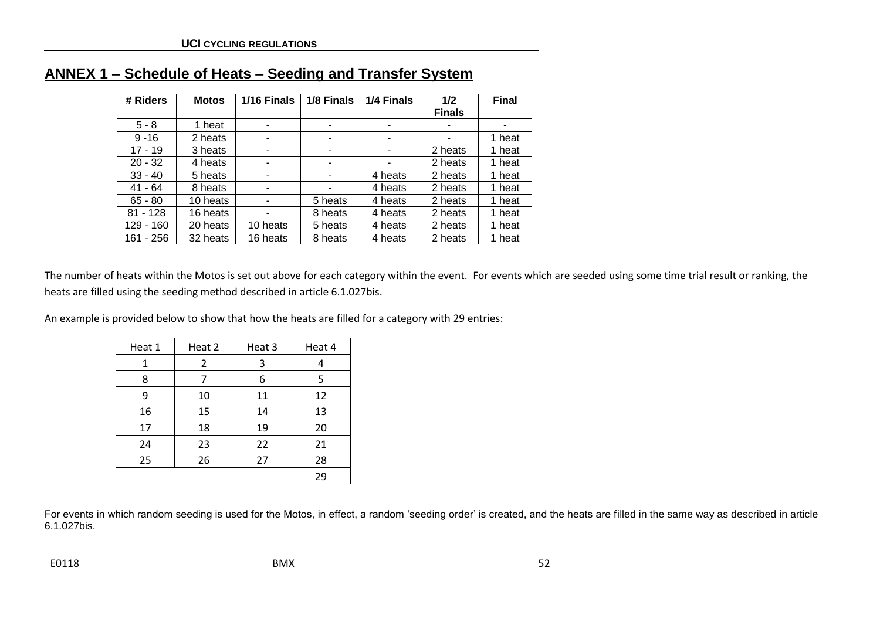| # Riders   | <b>Motos</b> | 1/16 Finals | 1/8 Finals | 1/4 Finals | 1/2           | <b>Final</b> |
|------------|--------------|-------------|------------|------------|---------------|--------------|
|            |              |             |            |            | <b>Finals</b> |              |
| $5 - 8$    | 1 heat       | ۰           | ۰          | ٠          | ٠             | -            |
| $9 - 16$   | 2 heats      | -           |            | -          |               | 1 heat       |
| $17 - 19$  | 3 heats      |             |            |            | 2 heats       | 1 heat       |
| $20 - 32$  | 4 heats      |             |            |            | 2 heats       | 1 heat       |
| $33 - 40$  | 5 heats      |             |            | 4 heats    | 2 heats       | 1 heat       |
| $41 - 64$  | 8 heats      |             |            | 4 heats    | 2 heats       | 1 heat       |
| $65 - 80$  | 10 heats     | ۰           | 5 heats    | 4 heats    | 2 heats       | 1 heat       |
| $81 - 128$ | 16 heats     |             | 8 heats    | 4 heats    | 2 heats       | 1 heat       |
| 129 - 160  | 20 heats     | 10 heats    | 5 heats    | 4 heats    | 2 heats       | 1 heat       |
| 161 - 256  | 32 heats     | 16 heats    | 8 heats    | 4 heats    | 2 heats       | 1 heat       |

# **ANNEX 1 – Schedule of Heats – Seeding and Transfer System**

The number of heats within the Motos is set out above for each category within the event. For events which are seeded using some time trial result or ranking, the heats are filled using the seeding method described in article 6.1.027bis.

An example is provided below to show that how the heats are filled for a category with 29 entries:

| Heat 1 | Heat 2 | Heat 3 | Heat 4 |
|--------|--------|--------|--------|
| 1      | 2      | 3      | 4      |
| 8      | 7      | 6      | 5      |
| 9      | 10     | 11     | 12     |
| 16     | 15     | 14     | 13     |
| 17     | 18     | 19     | 20     |
| 24     | 23     | 22     | 21     |
| 25     | 26     | 27     | 28     |
|        |        |        | 29     |

For events in which random seeding is used for the Motos, in effect, a random 'seeding order' is created, and the heats are filled in the same way as described in article 6.1.027bis.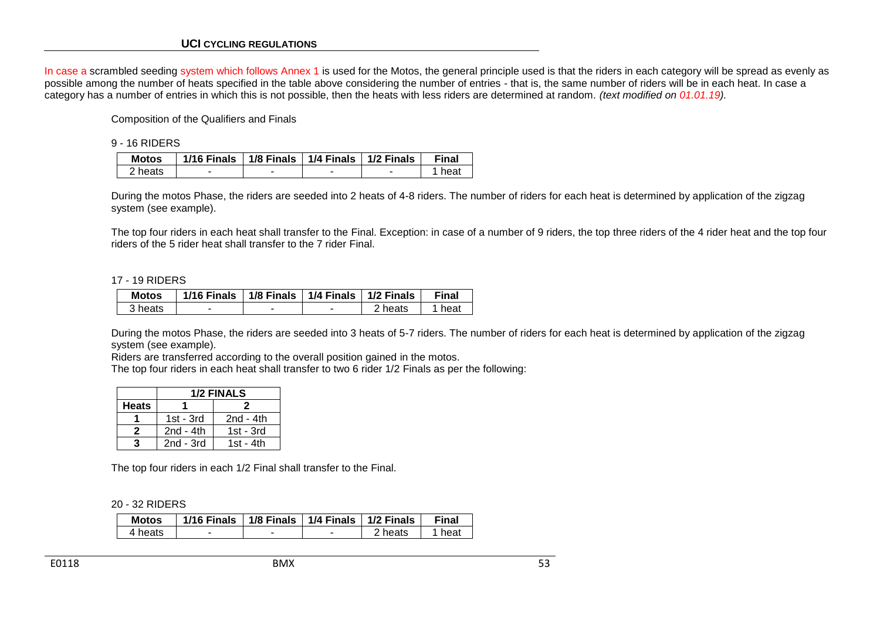In case a scrambled seeding system which follows Annex 1 is used for the Motos, the general principle used is that the riders in each category will be spread as evenly as possible among the number of heats specified in the table above considering the number of entries - that is, the same number of riders will be in each heat. In case a category has a number of entries in which this is not possible, then the heats with less riders are determined at random. *(text modified on 01.01.19).*

Composition of the Qualifiers and Finals

9 - 16 RIDERS

| <b>Motos</b>       | 1/16 Finals   1/8 Finals   1/4 Finals   1/2 Finals |   | Final |
|--------------------|----------------------------------------------------|---|-------|
| <sup>ን</sup> heats | -                                                  | - | heat  |

During the motos Phase, the riders are seeded into 2 heats of 4-8 riders. The number of riders for each heat is determined by application of the zigzag system (see example).

The top four riders in each heat shall transfer to the Final. Exception: in case of a number of 9 riders, the top three riders of the 4 rider heat and the top four riders of the 5 rider heat shall transfer to the 7 rider Final.

#### 17 - 19 RIDERS

| <b>Motos</b> | 1/16 Finals $\mid$ 1/8 Finals $\mid$ 1/4 Finals $\mid$ 1/2 Finals |   |         | Final |
|--------------|-------------------------------------------------------------------|---|---------|-------|
| 3 heats      | -                                                                 | - | 2 heats | heat  |

During the motos Phase, the riders are seeded into 3 heats of 5-7 riders. The number of riders for each heat is determined by application of the zigzag system (see example).

Riders are transferred according to the overall position gained in the motos.

The top four riders in each heat shall transfer to two 6 rider 1/2 Finals as per the following:

|              |             | <b>1/2 FINALS</b> |  |  |
|--------------|-------------|-------------------|--|--|
| <b>Heats</b> |             |                   |  |  |
|              | $1st - 3rd$ | $2nd - 4th$       |  |  |
| 2            | $2nd - 4th$ | $1st - 3rd$       |  |  |
|              | $2nd - 3rd$ | $1st - 4th$       |  |  |

The top four riders in each 1/2 Final shall transfer to the Final.

20 - 32 RIDERS

| <b>Motos</b> | $1/16$ Finals |   | 1/8 Finals $\mid$ 1/4 Finals $\mid$ 1/2 Finals |         | <b>Final</b> |
|--------------|---------------|---|------------------------------------------------|---------|--------------|
| 4 heats      |               | - |                                                | 2 heats | heat         |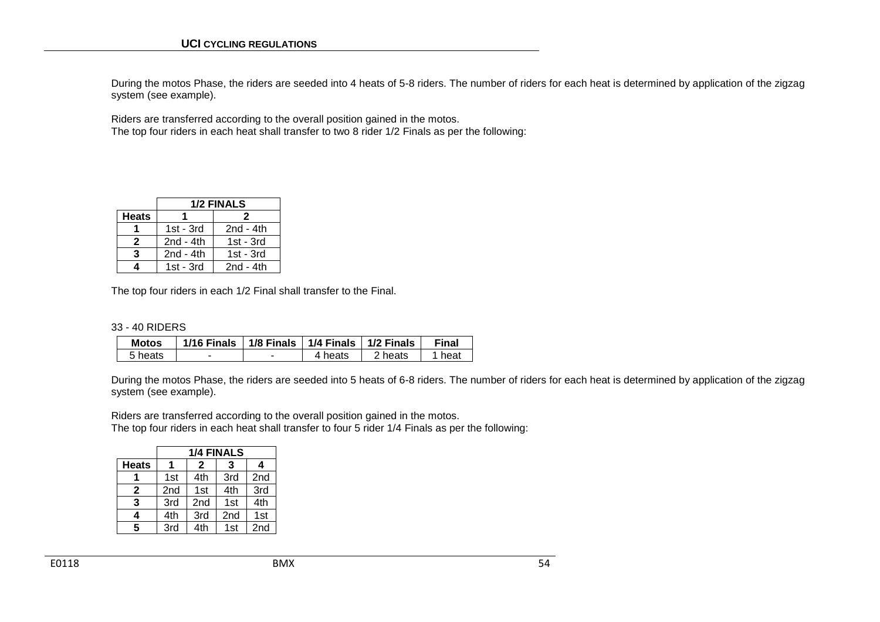During the motos Phase, the riders are seeded into 4 heats of 5-8 riders. The number of riders for each heat is determined by application of the zigzag system (see example).

Riders are transferred according to the overall position gained in the motos. The top four riders in each heat shall transfer to two 8 rider 1/2 Finals as per the following:

|              |             | <b>1/2 FINALS</b> |  |  |  |
|--------------|-------------|-------------------|--|--|--|
| <b>Heats</b> | 2           |                   |  |  |  |
|              | $1st - 3rd$ | $2nd - 4th$       |  |  |  |
| 2            | $2nd - 4th$ | $1st - 3rd$       |  |  |  |
| 3            | $2nd - 4th$ | $1st - 3rd$       |  |  |  |
|              | $1st - 3rd$ | $2nd - 4th$       |  |  |  |

The top four riders in each 1/2 Final shall transfer to the Final.

|  |  | 33 - 40 RIDERS |
|--|--|----------------|
|--|--|----------------|

| <b>Motos</b> | 1/16 Finals | 1/8 Finals   1/4 Finals   1/2 Finals |         |         | Final |
|--------------|-------------|--------------------------------------|---------|---------|-------|
| 5 heats      | -           |                                      | 4 heats | 2 heats | heat  |

During the motos Phase, the riders are seeded into 5 heats of 6-8 riders. The number of riders for each heat is determined by application of the zigzag system (see example).

Riders are transferred according to the overall position gained in the motos. The top four riders in each heat shall transfer to four 5 rider 1/4 Finals as per the following:

|              |     | <b>1/4 FINALS</b> |                 |                 |  |  |  |  |
|--------------|-----|-------------------|-----------------|-----------------|--|--|--|--|
| <b>Heats</b> |     | 2<br>4<br>3       |                 |                 |  |  |  |  |
|              | 1st | 4th               | 3rd             | 2 <sub>nd</sub> |  |  |  |  |
| 2            | 2nd | 1st               | 4th             | 3rd             |  |  |  |  |
| 3            | 3rd | 2nd               | 1st             | 4th             |  |  |  |  |
| 4            | 4th | 3rd               | 2 <sub>nd</sub> | 1st             |  |  |  |  |
| 5            | 3rd | 4th               | 1st             | 2nd             |  |  |  |  |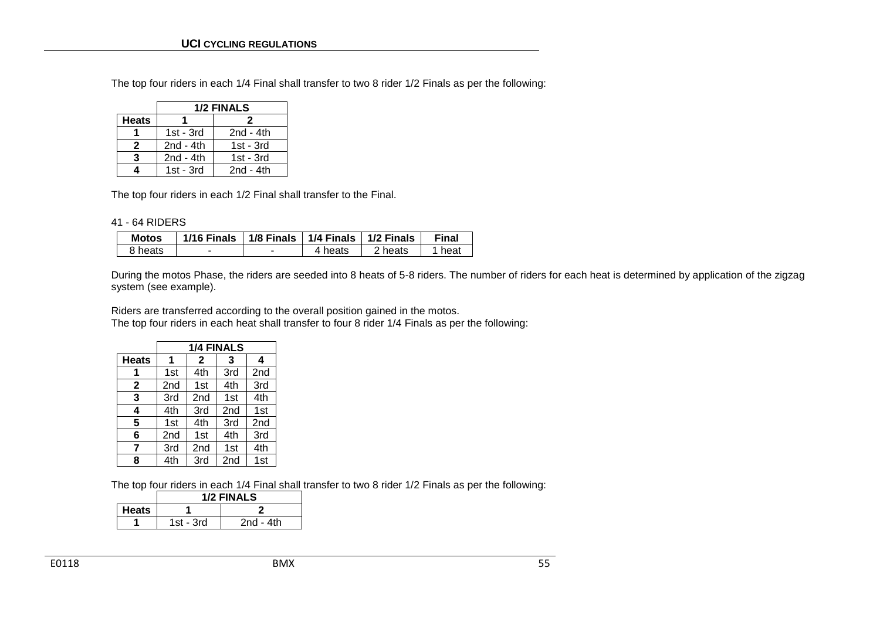The top four riders in each 1/4 Final shall transfer to two 8 rider 1/2 Finals as per the following:

|              |              | <b>1/2 FINALS</b> |  |  |
|--------------|--------------|-------------------|--|--|
| <b>Heats</b> | 2            |                   |  |  |
|              | $1st - 3rd$  | $2nd - 4th$       |  |  |
| 2            | $2nd - 4th$  | $1st - 3rd$       |  |  |
| 3            | 2 $nd - 4th$ | $1st - 3rd$       |  |  |
| 4            | $1st - 3rd$  | $2nd - 4th$       |  |  |

The top four riders in each 1/2 Final shall transfer to the Final.

#### 41 - 64 RIDERS

| <b>Motos</b> | 1/16 Finals   1/8 Finals   1/4 Finals   1/2 Finals |         |         | Final |
|--------------|----------------------------------------------------|---------|---------|-------|
| 8 heats      | -                                                  | 4 heats | 2 heats | heat  |

During the motos Phase, the riders are seeded into 8 heats of 5-8 riders. The number of riders for each heat is determined by application of the zigzag system (see example).

Riders are transferred according to the overall position gained in the motos. The top four riders in each heat shall transfer to four 8 rider 1/4 Finals as per the following:

|              |                 | <b>1/4 FINALS</b> |                 |                 |
|--------------|-----------------|-------------------|-----------------|-----------------|
| <b>Heats</b> | 1               | $\mathbf{2}$      | 3               | 4               |
| 1            | 1st             | 4th               | 3rd             | 2 <sub>nd</sub> |
| $\mathbf{2}$ | 2nd             | 1st               | 4th             | 3rd             |
| 3            | 3rd             | 2nd               | 1st             | 4th             |
| 4            | 4th             | 3rd               | 2 <sub>nd</sub> | 1st             |
| 5            | 1 <sub>st</sub> | 4th               | 3rd             | 2 <sub>nd</sub> |
| 6            | 2 <sub>nd</sub> | 1st               | 4th             | 3rd             |
| 7            | 3rd             | 2nd               | 1st             | 4th             |
| 8            | 4th             | 3rd               | 2 <sub>nd</sub> | 1st             |

The top four riders in each 1/4 Final shall transfer to two 8 rider 1/2 Finals as per the following:

|              | 1/2 FINALS |             |  |  |  |
|--------------|------------|-------------|--|--|--|
| <b>Heats</b> |            |             |  |  |  |
|              | 1st - 3rd  | $2nd - 4th$ |  |  |  |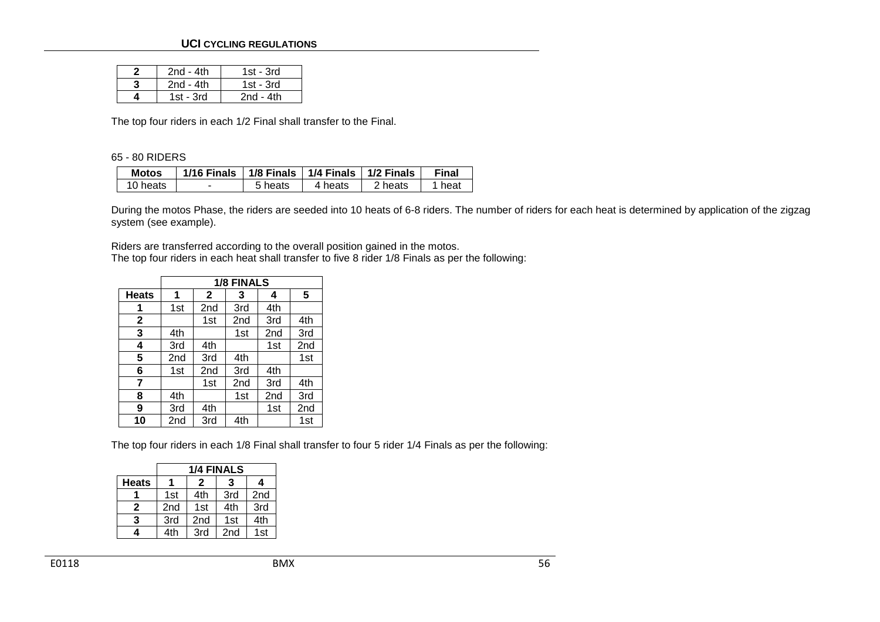#### **UCI CYCLING REGULATIONS**

| $2nd - 4th$ | 1st - 3rd |
|-------------|-----------|
| $2nd - 4th$ | 1st - 3rd |
| 1st - $3rd$ | 2nd - 4th |

The top four riders in each 1/2 Final shall transfer to the Final.

#### 65 - 80 RIDERS

| Motos    | 1/16 Finals | 1/8 Finals   1/4 Finals   1/2 Finals |         |         | <b>Final</b> |
|----------|-------------|--------------------------------------|---------|---------|--------------|
| 10 heats | -           | 5 heats                              | 4 heats | 2 heats | heat         |

During the motos Phase, the riders are seeded into 10 heats of 6-8 riders. The number of riders for each heat is determined by application of the zigzag system (see example).

Riders are transferred according to the overall position gained in the motos. The top four riders in each heat shall transfer to five 8 rider 1/8 Finals as per the following:

|              |     | <b>1/8 FINALS</b> |     |                 |     |  |  |  |  |
|--------------|-----|-------------------|-----|-----------------|-----|--|--|--|--|
| <b>Heats</b> | 1   | $\mathbf{2}$      | 3   | 4               | 5   |  |  |  |  |
| 1            | 1st | 2 <sub>nd</sub>   | 3rd | 4th             |     |  |  |  |  |
| $\mathbf{2}$ |     | 1st               | 2nd | 3rd             | 4th |  |  |  |  |
| 3            | 4th |                   | 1st | 2nd             | 3rd |  |  |  |  |
| 4            | 3rd | 4th               |     | 1st             | 2nd |  |  |  |  |
| 5            | 2nd | 3rd               | 4th |                 | 1st |  |  |  |  |
| 6            | 1st | 2nd               | 3rd | 4th             |     |  |  |  |  |
| 7            |     | 1st               | 2nd | 3rd             | 4th |  |  |  |  |
| 8            | 4th |                   | 1st | 2 <sub>nd</sub> | 3rd |  |  |  |  |
| 9            | 3rd | 4th               |     | 1st             | 2nd |  |  |  |  |
| 10           | 2nd | 3rd               | 4th |                 | 1st |  |  |  |  |

The top four riders in each 1/8 Final shall transfer to four 5 rider 1/4 Finals as per the following:

|              |             | <b>1/4 FINALS</b> |                 |     |  |  |  |  |
|--------------|-------------|-------------------|-----------------|-----|--|--|--|--|
| <b>Heats</b> | 2<br>4<br>3 |                   |                 |     |  |  |  |  |
|              | 1st         | 4th               | 3rd             | 2nd |  |  |  |  |
| 2            | 2nd         | 1st               | 4th             | 3rd |  |  |  |  |
| 3            | 3rd         | 2 <sub>nd</sub>   | 1st             | 4th |  |  |  |  |
| 4            | 4th         | 3rd               | 2 <sub>nd</sub> | 1st |  |  |  |  |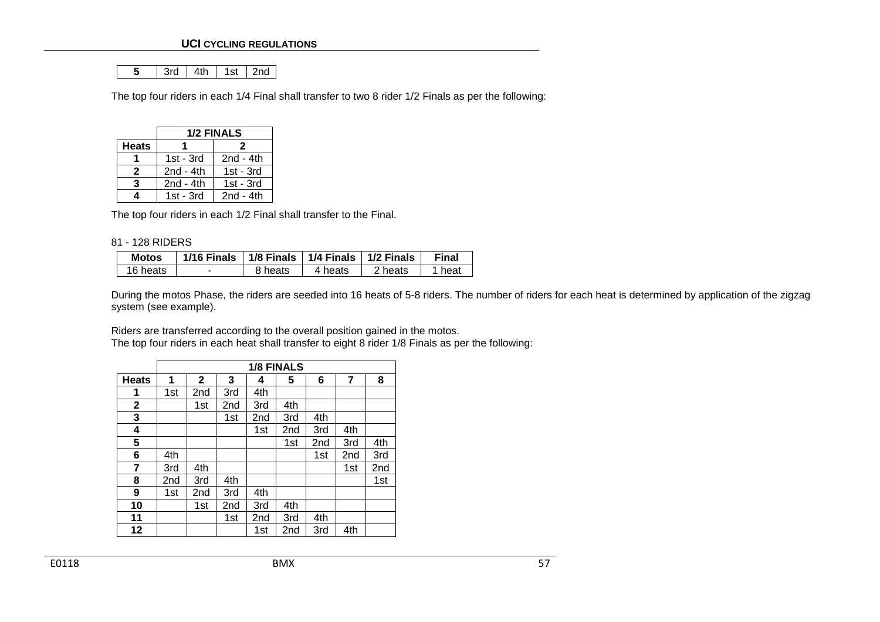|--|

The top four riders in each 1/4 Final shall transfer to two 8 rider 1/2 Finals as per the following:

|                  | <b>1/2 FINALS</b> |             |  |  |  |  |
|------------------|-------------------|-------------|--|--|--|--|
| <b>Heats</b>     | 2                 |             |  |  |  |  |
|                  | $1st - 3rd$       | $2nd - 4th$ |  |  |  |  |
| 2                | $2nd - 4th$       | $1st - 3rd$ |  |  |  |  |
| $2nd - 4th$<br>3 |                   | $1st - 3rd$ |  |  |  |  |
| 4                | $1st - 3rd$       | $2nd - 4th$ |  |  |  |  |

The top four riders in each 1/2 Final shall transfer to the Final.

#### 81 - 128 RIDERS

| <b>Motos</b> | 1/16 Finals $\mid$ 1/8 Finals $\mid$ 1/4 Finals $\mid$ 1/2 Finals |         |         |         | Final |
|--------------|-------------------------------------------------------------------|---------|---------|---------|-------|
| 16 heats     |                                                                   | 8 heats | 4 heats | 2 heats | heat  |

During the motos Phase, the riders are seeded into 16 heats of 5-8 riders. The number of riders for each heat is determined by application of the zigzag system (see example).

Riders are transferred according to the overall position gained in the motos.

The top four riders in each heat shall transfer to eight 8 rider 1/8 Finals as per the following:

|              |     | <b>1/8 FINALS</b> |     |     |     |     |                 |     |  |
|--------------|-----|-------------------|-----|-----|-----|-----|-----------------|-----|--|
| <b>Heats</b> | 1   | $\mathbf{2}$      | 3   | 4   | 5   | 6   | 7               | 8   |  |
| 1            | 1st | 2nd               | 3rd | 4th |     |     |                 |     |  |
| $\mathbf{2}$ |     | 1st               | 2nd | 3rd | 4th |     |                 |     |  |
| 3            |     |                   | 1st | 2nd | 3rd | 4th |                 |     |  |
| 4            |     |                   |     | 1st | 2nd | 3rd | 4th             |     |  |
| 5            |     |                   |     |     | 1st | 2nd | 3rd             | 4th |  |
| 6            | 4th |                   |     |     |     | 1st | 2 <sub>nd</sub> | 3rd |  |
| 7            | 3rd | 4th               |     |     |     |     | 1st             | 2nd |  |
| 8            | 2nd | 3rd               | 4th |     |     |     |                 | 1st |  |
| 9            | 1st | 2nd               | 3rd | 4th |     |     |                 |     |  |
| 10           |     | 1st               | 2nd | 3rd | 4th |     |                 |     |  |
| 11           |     |                   | 1st | 2nd | 3rd | 4th |                 |     |  |
| 12           |     |                   |     | 1st | 2nd | 3rd | 4th             |     |  |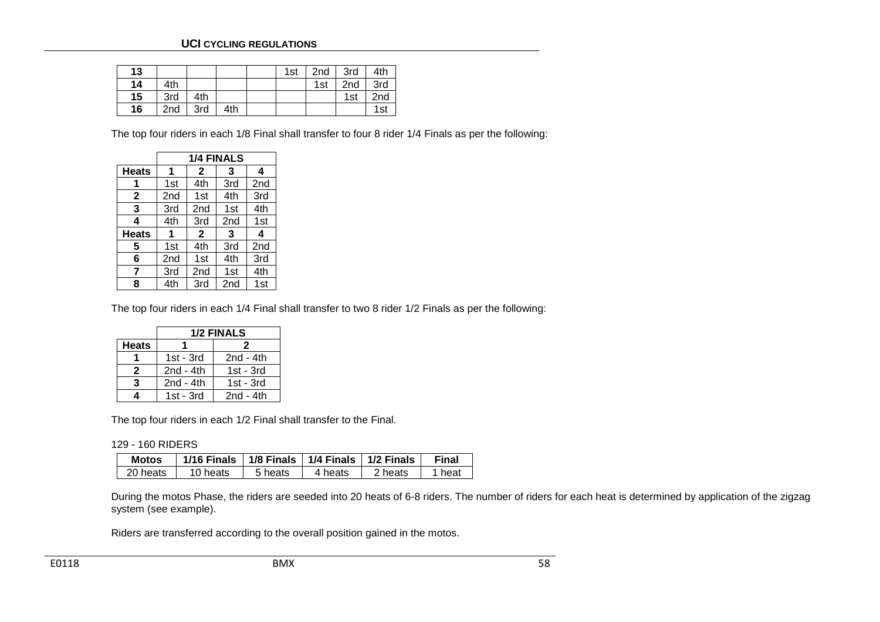#### **UCI CYCLING REGULATIONS**

| 13 |                 |     |     | 1st | 2nd | 3rd             | 4th             |
|----|-----------------|-----|-----|-----|-----|-----------------|-----------------|
| 14 | 4th             |     |     |     | 1st | 2 <sub>nd</sub> | 3rd             |
| 15 | 3rd             | 4th |     |     |     | 1st             | 2 <sub>nd</sub> |
| 16 | 2 <sub>nd</sub> | 3rd | 4th |     |     |                 | 1st             |

The top four riders in each 1/8 Final shall transfer to four 8 rider 1/4 Finals as per the following:

|              |                 |                 | <b>1/4 FINALS</b> |                 |
|--------------|-----------------|-----------------|-------------------|-----------------|
| <b>Heats</b> | 1               | 2               | 3                 | 4               |
|              | 1st             | 4th             | 3rd               | 2 <sub>nd</sub> |
| $\mathbf{2}$ | 2 <sub>nd</sub> | 1st             | 4th               | 3rd             |
| 3            | 3rd             | 2 <sub>nd</sub> | 1st               | 4th             |
| 4            | 4th             | 3rd             | 2 <sub>nd</sub>   | 1st             |
| <b>Heats</b> | 1               | $\mathbf{2}$    | 3                 | 4               |
| 5            | 1st             | 4th             | 3rd               | 2 <sub>nd</sub> |
| 6            | 2 <sub>nd</sub> | 1st             | 4th               | 3rd             |
| 7            | 3rd             | 2 <sub>nd</sub> | 1st               | 4th             |
| 8            | 4th             | 3rd             | 2nd               | 1st             |

The top four riders in each 1/4 Final shall transfer to two 8 rider 1/2 Finals as per the following:

|              | <b>1/2 FINALS</b> |             |  |  |  |  |  |  |
|--------------|-------------------|-------------|--|--|--|--|--|--|
| <b>Heats</b> |                   | 2           |  |  |  |  |  |  |
|              | $1st - 3rd$       | $2nd - 4th$ |  |  |  |  |  |  |
| 2            | $2nd - 4th$       | $1st - 3rd$ |  |  |  |  |  |  |
| 3            | 2 $nd - 4th$      | $1st - 3rd$ |  |  |  |  |  |  |
| 4            | $1st - 3rd$       | $2nd - 4th$ |  |  |  |  |  |  |

The top four riders in each 1/2 Final shall transfer to the Final.

| 129 - 160 RIDERS |  |  |  |
|------------------|--|--|--|
|------------------|--|--|--|

| <b>Motos</b> | 1/16 Finals | 1/8 Finals   1/4 Finals   1/2 Finals |         |         | Final |
|--------------|-------------|--------------------------------------|---------|---------|-------|
| 20 heats     | 10 heats    | 5 heats                              | 4 heats | 2 heats | heat  |

During the motos Phase, the riders are seeded into 20 heats of 6-8 riders. The number of riders for each heat is determined by application of the zigzag system (see example).

Riders are transferred according to the overall position gained in the motos.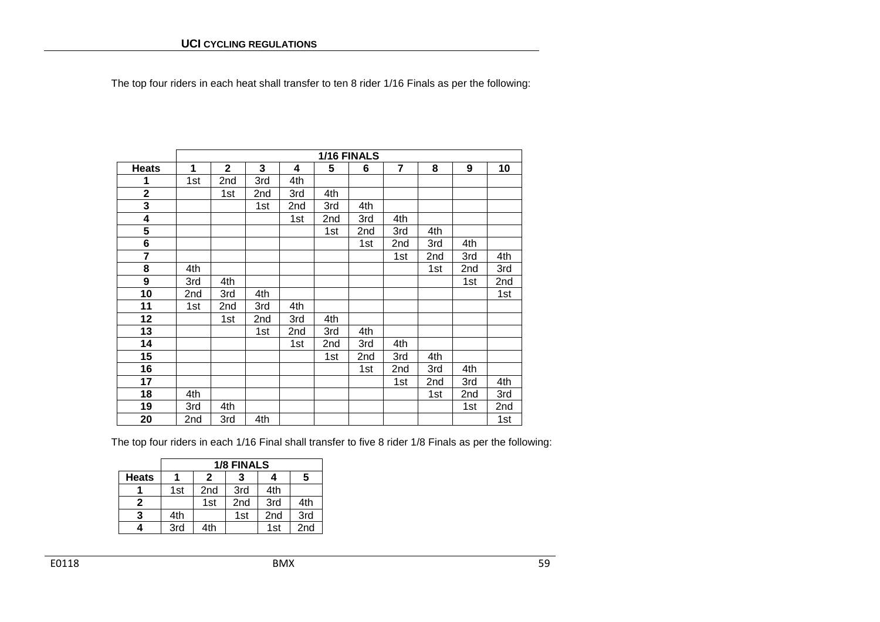The top four riders in each heat shall transfer to ten 8 rider 1/16 Finals as per the following:

|                         | 1/16 FINALS |             |     |     |     |     |                |     |                 |     |
|-------------------------|-------------|-------------|-----|-----|-----|-----|----------------|-----|-----------------|-----|
| <b>Heats</b>            | 1           | $\mathbf 2$ | 3   | 4   | 5   | 6   | $\overline{7}$ | 8   | 9               | 10  |
| 1                       | 1st         | 2nd         | 3rd | 4th |     |     |                |     |                 |     |
| $\overline{\mathbf{2}}$ |             | 1st         | 2nd | 3rd | 4th |     |                |     |                 |     |
| 3                       |             |             | 1st | 2nd | 3rd | 4th |                |     |                 |     |
| 4                       |             |             |     | 1st | 2nd | 3rd | 4th            |     |                 |     |
| 5                       |             |             |     |     | 1st | 2nd | 3rd            | 4th |                 |     |
| 6                       |             |             |     |     |     | 1st | 2nd            | 3rd | 4th             |     |
| 7                       |             |             |     |     |     |     | 1st            | 2nd | 3rd             | 4th |
| 8                       | 4th         |             |     |     |     |     |                | 1st | 2 <sub>nd</sub> | 3rd |
| 9                       | 3rd         | 4th         |     |     |     |     |                |     | 1st             | 2nd |
| 10                      | 2nd         | 3rd         | 4th |     |     |     |                |     |                 | 1st |
| 11                      | 1st         | 2nd         | 3rd | 4th |     |     |                |     |                 |     |
| 12                      |             | 1st         | 2nd | 3rd | 4th |     |                |     |                 |     |
| 13                      |             |             | 1st | 2nd | 3rd | 4th |                |     |                 |     |
| 14                      |             |             |     | 1st | 2nd | 3rd | 4th            |     |                 |     |
| 15                      |             |             |     |     | 1st | 2nd | 3rd            | 4th |                 |     |
| 16                      |             |             |     |     |     | 1st | 2nd            | 3rd | 4th             |     |
| 17                      |             |             |     |     |     |     | 1st            | 2nd | 3rd             | 4th |
| 18                      | 4th         |             |     |     |     |     |                | 1st | 2nd             | 3rd |
| 19                      | 3rd         | 4th         |     |     |     |     |                |     | 1st             | 2nd |
| 20                      | 2nd         | 3rd         | 4th |     |     |     |                |     |                 | 1st |

The top four riders in each 1/16 Final shall transfer to five 8 rider 1/8 Finals as per the following:

|              | <b>1/8 FINALS</b> |             |                 |                 |     |  |  |  |  |
|--------------|-------------------|-------------|-----------------|-----------------|-----|--|--|--|--|
| <b>Heats</b> |                   | 5<br>2<br>4 |                 |                 |     |  |  |  |  |
|              | 1st               | 2nd         | 3rd             | 4th             |     |  |  |  |  |
| 2            |                   | 1st         | 2 <sub>nd</sub> | 3rd             | 4th |  |  |  |  |
| 3            | 4th               |             | 1st             | 2 <sub>nd</sub> | 3rd |  |  |  |  |
|              | 3rd               | 4th         |                 | 1st             | 2nd |  |  |  |  |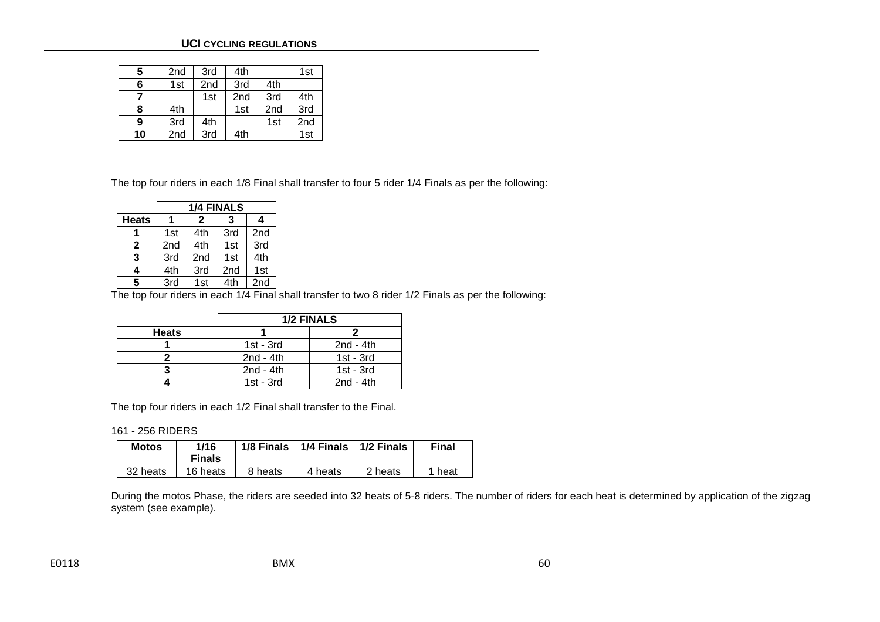#### **UCI CYCLING REGULATIONS**

| 5  | 2nd | 3rd | 4th |     | 1st |
|----|-----|-----|-----|-----|-----|
| 6  | 1st | 2nd | 3rd | 4th |     |
|    |     | 1st | 2nd | 3rd | 4th |
| 8  | 4th |     | 1st | 2nd | 3rd |
| 9  | 3rd | 4th |     | 1st | 2nd |
| 10 | 2nd | 3rd | 4th |     | 1st |

The top four riders in each 1/8 Final shall transfer to four 5 rider 1/4 Finals as per the following:

|              | <b>1/4 FINALS</b> |        |                 |     |  |  |  |  |
|--------------|-------------------|--------|-----------------|-----|--|--|--|--|
| <b>Heats</b> |                   | 2<br>3 |                 |     |  |  |  |  |
|              | 1st               | 4th    | 3rd             | 2nd |  |  |  |  |
| $\mathbf{2}$ | 2nd               | 4th    | 1st             | 3rd |  |  |  |  |
| 3            | 3rd               | 2nd    | 1st             | 4th |  |  |  |  |
| 4            | 4th               | 3rd    | 2 <sub>nd</sub> | 1st |  |  |  |  |
| 5            | 3rd               | 1st    | 4th             | 2nd |  |  |  |  |

The top four riders in each 1/4 Final shall transfer to two 8 rider 1/2 Finals as per the following:

|              | 1/2 FINALS  |              |  |  |  |  |  |
|--------------|-------------|--------------|--|--|--|--|--|
| <b>Heats</b> |             |              |  |  |  |  |  |
|              | $1st - 3rd$ | 2 $nd - 4th$ |  |  |  |  |  |
|              | $2nd - 4th$ | $1st - 3rd$  |  |  |  |  |  |
|              | $2nd - 4th$ | $1st - 3rd$  |  |  |  |  |  |
|              | $1st - 3rd$ | 2 $nd - 4th$ |  |  |  |  |  |

The top four riders in each 1/2 Final shall transfer to the Final.

161 - 256 RIDERS

| <b>Motos</b> | 1/16<br><b>Finals</b> | 1/8 Finals | 1/4 Finals<br>$1/2$ Finals |         | Final  |
|--------------|-----------------------|------------|----------------------------|---------|--------|
| 32 heats     | 16 heats              | 8 heats    | 4 heats                    | 2 heats | 1 heat |

During the motos Phase, the riders are seeded into 32 heats of 5-8 riders. The number of riders for each heat is determined by application of the zigzag system (see example).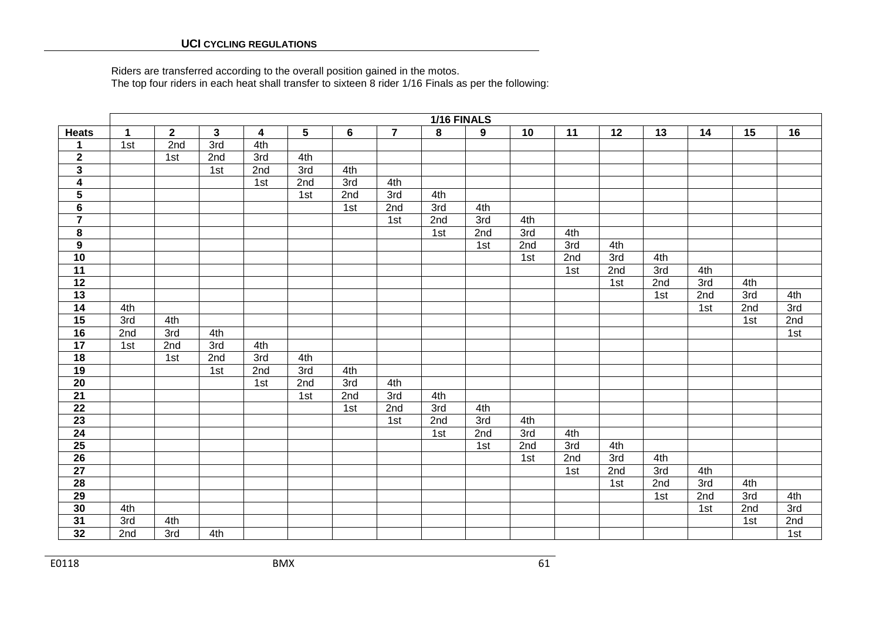Riders are transferred according to the overall position gained in the motos. The top four riders in each heat shall transfer to sixteen 8 rider 1/16 Finals as per the following:

|                         | 1/16 FINALS  |                |     |                         |                 |                |                |                         |     |     |     |     |     |     |     |     |
|-------------------------|--------------|----------------|-----|-------------------------|-----------------|----------------|----------------|-------------------------|-----|-----|-----|-----|-----|-----|-----|-----|
| <b>Heats</b>            | $\mathbf{1}$ | $\overline{2}$ | 3   | $\overline{\mathbf{4}}$ | $5\phantom{.0}$ | $6\phantom{1}$ | $\overline{7}$ | $\overline{\mathbf{8}}$ | 9   | 10  | 11  | 12  | 13  | 14  | 15  | 16  |
| 1                       | 1st          | 2nd            | 3rd | 4th                     |                 |                |                |                         |     |     |     |     |     |     |     |     |
| $\mathbf{2}$            |              | 1st            | 2nd | 3rd                     | 4th             |                |                |                         |     |     |     |     |     |     |     |     |
| $\overline{\mathbf{3}}$ |              |                | 1st | 2nd                     | 3rd             | 4th            |                |                         |     |     |     |     |     |     |     |     |
| $\overline{\mathbf{4}}$ |              |                |     | 1st                     | 2nd             | 3rd            | 4th            |                         |     |     |     |     |     |     |     |     |
| $\overline{\mathbf{5}}$ |              |                |     |                         | 1st             | 2nd            | 3rd            | 4th                     |     |     |     |     |     |     |     |     |
| $\bf 6$                 |              |                |     |                         |                 | 1st            | 2nd            | 3rd                     | 4th |     |     |     |     |     |     |     |
| $\overline{\mathbf{7}}$ |              |                |     |                         |                 |                | 1st            | 2nd                     | 3rd | 4th |     |     |     |     |     |     |
| $\bf 8$                 |              |                |     |                         |                 |                |                | 1st                     | 2nd | 3rd | 4th |     |     |     |     |     |
| $\boldsymbol{9}$        |              |                |     |                         |                 |                |                |                         | 1st | 2nd | 3rd | 4th |     |     |     |     |
| 10                      |              |                |     |                         |                 |                |                |                         |     | 1st | 2nd | 3rd | 4th |     |     |     |
| $\overline{11}$         |              |                |     |                         |                 |                |                |                         |     |     | 1st | 2nd | 3rd | 4th |     |     |
| $\overline{12}$         |              |                |     |                         |                 |                |                |                         |     |     |     | 1st | 2nd | 3rd | 4th |     |
| $13$                    |              |                |     |                         |                 |                |                |                         |     |     |     |     | 1st | 2nd | 3rd | 4th |
| 14                      | 4th          |                |     |                         |                 |                |                |                         |     |     |     |     |     | 1st | 2nd | 3rd |
| 15                      | 3rd          | 4th            |     |                         |                 |                |                |                         |     |     |     |     |     |     | 1st | 2nd |
| 16                      | 2nd          | 3rd            | 4th |                         |                 |                |                |                         |     |     |     |     |     |     |     | 1st |
| 17                      | 1st          | 2nd            | 3rd | 4th                     |                 |                |                |                         |     |     |     |     |     |     |     |     |
| $\overline{18}$         |              | 1st            | 2nd | 3rd                     | 4th             |                |                |                         |     |     |     |     |     |     |     |     |
| 19                      |              |                | 1st | 2nd                     | 3rd             | 4th            |                |                         |     |     |     |     |     |     |     |     |
| $\overline{20}$         |              |                |     | 1st                     | 2nd             | 3rd            | 4th            |                         |     |     |     |     |     |     |     |     |
| $\overline{21}$         |              |                |     |                         | 1st             | 2nd            | 3rd            | 4th                     |     |     |     |     |     |     |     |     |
| $\overline{22}$         |              |                |     |                         |                 | 1st            | 2nd            | 3rd                     | 4th |     |     |     |     |     |     |     |
| $\overline{23}$         |              |                |     |                         |                 |                | 1st            | 2nd                     | 3rd | 4th |     |     |     |     |     |     |
| 24                      |              |                |     |                         |                 |                |                | 1st                     | 2nd | 3rd | 4th |     |     |     |     |     |
| $\overline{25}$         |              |                |     |                         |                 |                |                |                         | 1st | 2nd | 3rd | 4th |     |     |     |     |
| 26                      |              |                |     |                         |                 |                |                |                         |     | 1st | 2nd | 3rd | 4th |     |     |     |
| $\overline{27}$         |              |                |     |                         |                 |                |                |                         |     |     | 1st | 2nd | 3rd | 4th |     |     |
| $\overline{28}$         |              |                |     |                         |                 |                |                |                         |     |     |     | 1st | 2nd | 3rd | 4th |     |
| $\overline{29}$         |              |                |     |                         |                 |                |                |                         |     |     |     |     | 1st | 2nd | 3rd | 4th |
| 30                      | 4th          |                |     |                         |                 |                |                |                         |     |     |     |     |     | 1st | 2nd | 3rd |
| 31                      | 3rd          | 4th            |     |                         |                 |                |                |                         |     |     |     |     |     |     | 1st | 2nd |
| 32                      | 2nd          | 3rd            | 4th |                         |                 |                |                |                         |     |     |     |     |     |     |     | 1st |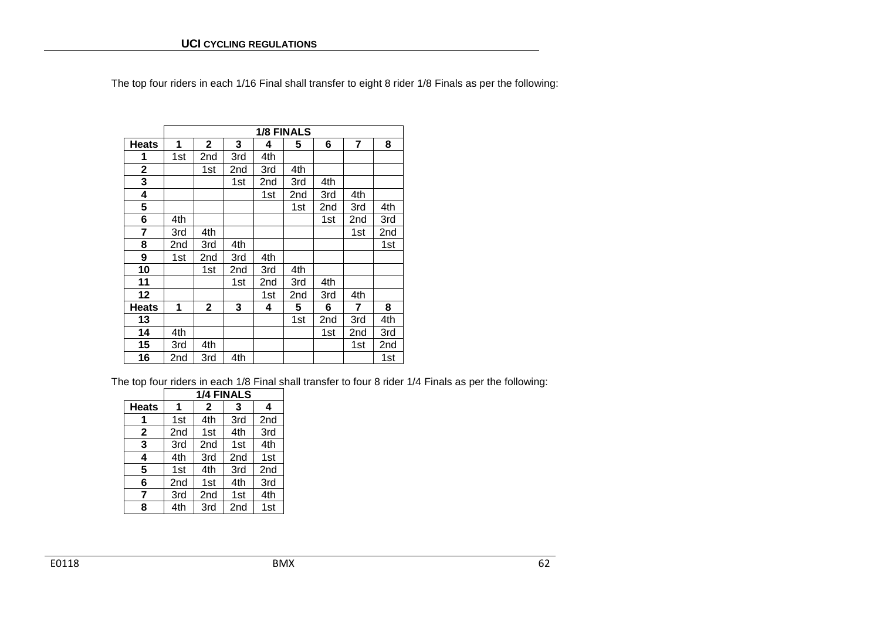The top four riders in each 1/16 Final shall transfer to eight 8 rider 1/8 Finals as per the following:

|              |     |                |     |     | <b>1/8 FINALS</b> |     |                |     |  |  |  |
|--------------|-----|----------------|-----|-----|-------------------|-----|----------------|-----|--|--|--|
| <b>Heats</b> | 1   | $\overline{2}$ | 3   | 4   | 5                 | 6   | $\overline{7}$ | 8   |  |  |  |
| 1            | 1st | 2nd            | 3rd | 4th |                   |     |                |     |  |  |  |
| 2            |     | 1st            | 2nd | 3rd | 4th               |     |                |     |  |  |  |
| 3            |     |                | 1st | 2nd | 3rd               | 4th |                |     |  |  |  |
| 4            |     |                |     | 1st | 2nd               | 3rd | 4th            |     |  |  |  |
| 5            |     |                |     |     | 1st               | 2nd | 3rd            | 4th |  |  |  |
| 6            | 4th |                |     |     |                   | 1st | 2nd            | 3rd |  |  |  |
| 7            | 3rd | 4th            |     |     |                   |     | 1st            | 2nd |  |  |  |
| 8            | 2nd | 3rd            | 4th |     |                   |     |                | 1st |  |  |  |
| 9            | 1st | 2nd            | 3rd | 4th |                   |     |                |     |  |  |  |
| 10           |     | 1st            | 2nd | 3rd | 4th               |     |                |     |  |  |  |
| 11           |     |                | 1st | 2nd | 3rd               | 4th |                |     |  |  |  |
| 12           |     |                |     | 1st | 2nd               | 3rd | 4th            |     |  |  |  |
| <b>Heats</b> | 1   | $\mathbf{2}$   | 3   | 4   | 5                 | 6   | $\overline{7}$ | 8   |  |  |  |
| 13           |     |                |     |     | 1st               | 2nd | 3rd            | 4th |  |  |  |
| 14           | 4th |                |     |     |                   | 1st | 2nd            | 3rd |  |  |  |
| 15           | 3rd | 4th            |     |     |                   |     | 1st            | 2nd |  |  |  |
| 16           | 2nd | 3rd            | 4th |     |                   |     |                | 1st |  |  |  |

The top four riders in each 1/8 Final shall transfer to four 8 rider 1/4 Finals as per the following:

|              | <b>1/4 FINALS</b> |                        |                 |                 |  |  |  |  |
|--------------|-------------------|------------------------|-----------------|-----------------|--|--|--|--|
| <b>Heats</b> | 1                 | $\mathbf{2}$           | 3               | 4               |  |  |  |  |
|              | 1st               | 4th                    | 3rd             | 2 <sub>nd</sub> |  |  |  |  |
| $\mathbf{2}$ | 2 <sub>nd</sub>   | 1st                    | 4th             | 3rd             |  |  |  |  |
| 3            | 3rd               | 2 <sub>nd</sub><br>1st |                 | 4th             |  |  |  |  |
| 4            | 4th               | 3rd                    | 2nd             | 1st             |  |  |  |  |
| 5            | 1st               | 4th                    | 3rd             | 2 <sub>nd</sub> |  |  |  |  |
| 6            | 2 <sub>nd</sub>   | 1st                    | 4th             | 3rd             |  |  |  |  |
| 7            | 3rd               | 2 <sub>nd</sub>        | 1st             | 4th             |  |  |  |  |
| 8            | 4th               | 3rd                    | 2 <sub>nd</sub> | 1 <sub>st</sub> |  |  |  |  |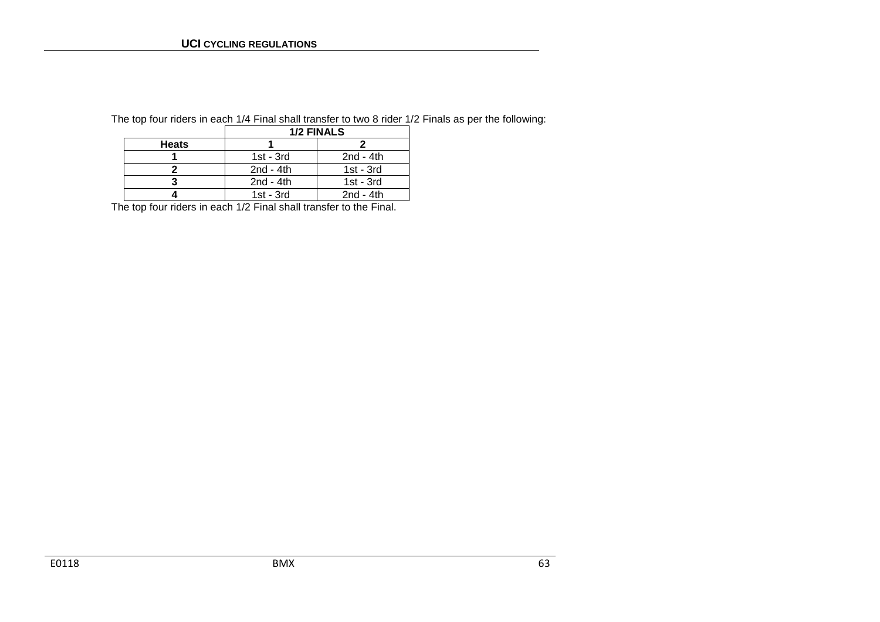|              |             | <b>1/2 FINALS</b> |
|--------------|-------------|-------------------|
| <b>Heats</b> |             |                   |
|              | $1st - 3rd$ | 2 $nd - 4th$      |
|              | $2nd - 4th$ | $1st - 3rd$       |
|              | $2nd - 4th$ | $1st - 3rd$       |
|              | $1st - 3rd$ | $2nd - 4th$       |

The top four riders in each 1/4 Final shall transfer to two 8 rider 1/2 Finals as per the following:

The top four riders in each 1/2 Final shall transfer to the Final.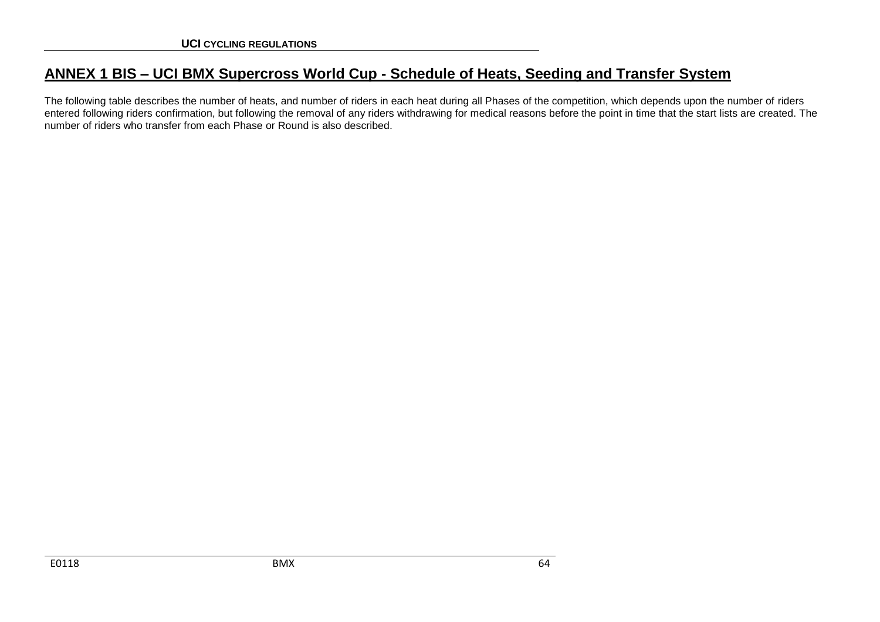# **ANNEX 1 BIS – UCI BMX Supercross World Cup - Schedule of Heats, Seeding and Transfer System**

The following table describes the number of heats, and number of riders in each heat during all Phases of the competition, which depends upon the number of riders entered following riders confirmation, but following the removal of any riders withdrawing for medical reasons before the point in time that the start lists are created. The number of riders who transfer from each Phase or Round is also described.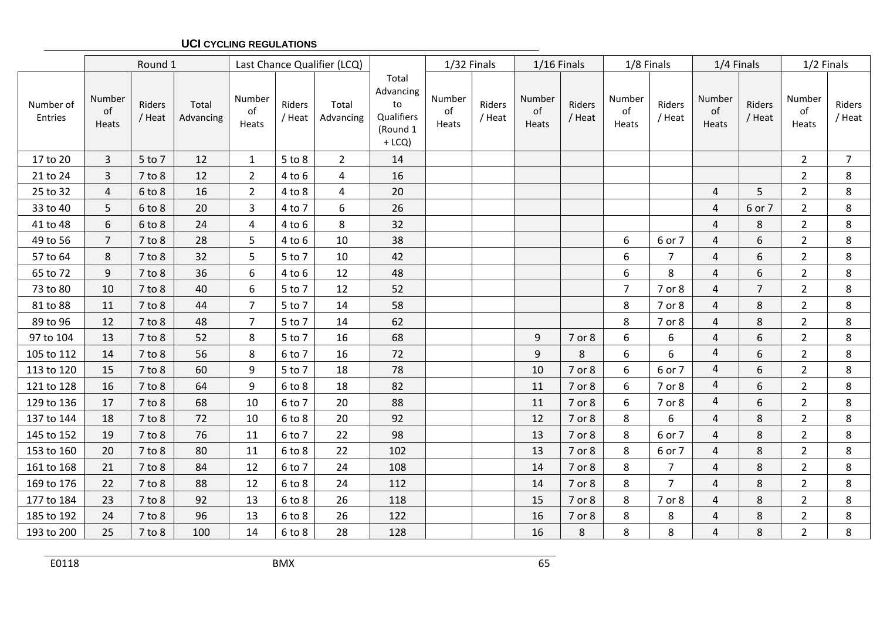## **UCI CYCLING REGULATIONS**

|                      |                       | Round 1          |                    |                       |                  | Last Chance Qualifier (LCQ) |                                                                | 1/32 Finals           |                  | $1/16$ Finals         |                  | 1/8 Finals            |                  | 1/4 Finals            |                  | 1/2 Finals            |                  |
|----------------------|-----------------------|------------------|--------------------|-----------------------|------------------|-----------------------------|----------------------------------------------------------------|-----------------------|------------------|-----------------------|------------------|-----------------------|------------------|-----------------------|------------------|-----------------------|------------------|
| Number of<br>Entries | Number<br>of<br>Heats | Riders<br>/ Heat | Total<br>Advancing | Number<br>of<br>Heats | Riders<br>/ Heat | Total<br>Advancing          | Total<br>Advancing<br>to<br>Qualifiers<br>(Round 1<br>$+$ LCQ) | Number<br>of<br>Heats | Riders<br>/ Heat | Number<br>of<br>Heats | Riders<br>/ Heat | Number<br>of<br>Heats | Riders<br>/ Heat | Number<br>of<br>Heats | Riders<br>/ Heat | Number<br>of<br>Heats | Riders<br>/ Heat |
| 17 to 20             | 3                     | 5 to 7           | 12                 | $\mathbf{1}$          | $5$ to $8$       | $\overline{2}$              | 14                                                             |                       |                  |                       |                  |                       |                  |                       |                  | $\overline{2}$        | $\overline{7}$   |
| 21 to 24             | 3                     | $7$ to $8$       | 12                 | $\overline{2}$        | $4$ to $6$       | $\overline{a}$              | 16                                                             |                       |                  |                       |                  |                       |                  |                       |                  | $\overline{2}$        | 8                |
| 25 to 32             | 4                     | $6$ to $8$       | 16                 | $\overline{2}$        | $4$ to $8$       | 4                           | 20                                                             |                       |                  |                       |                  |                       |                  | $\overline{4}$        | 5                | $\overline{2}$        | 8                |
| 33 to 40             | 5                     | $6$ to $8$       | 20                 | 3                     | 4 to 7           | 6                           | 26                                                             |                       |                  |                       |                  |                       |                  | 4                     | 6 or 7           | $\overline{2}$        | 8                |
| 41 to 48             | 6                     | $6$ to $8$       | 24                 | 4                     | $4$ to $6$       | $\,8\,$                     | 32                                                             |                       |                  |                       |                  |                       |                  | 4                     | 8                | $\overline{2}$        | 8                |
| 49 to 56             | $\overline{7}$        | $7$ to $8$       | 28                 | 5                     | $4$ to $6$       | 10                          | 38                                                             |                       |                  |                       |                  | 6                     | 6 or 7           | 4                     | 6                | $\overline{2}$        | 8                |
| 57 to 64             | 8                     | $7$ to $8$       | 32                 | 5                     | 5 to 7           | 10                          | 42                                                             |                       |                  |                       |                  | $\boldsymbol{6}$      | 7                | 4                     | 6                | $\overline{2}$        | 8                |
| 65 to 72             | 9                     | $7$ to $8$       | 36                 | 6                     | $4$ to $6$       | 12                          | 48                                                             |                       |                  |                       |                  | 6                     | 8                | $\overline{4}$        | 6                | $\overline{2}$        | 8                |
| 73 to 80             | 10                    | $7$ to $8$       | 40                 | 6                     | 5 to 7           | 12                          | 52                                                             |                       |                  |                       |                  | $\overline{7}$        | 7 or 8           | 4                     | $\overline{7}$   | $\overline{2}$        | 8                |
| 81 to 88             | 11                    | $7$ to $8$       | 44                 | $\overline{7}$        | 5 to 7           | 14                          | 58                                                             |                       |                  |                       |                  | 8                     | 7 or 8           | $\overline{4}$        | 8                | $\overline{2}$        | 8                |
| 89 to 96             | 12                    | $7$ to $8$       | 48                 | 7                     | 5 to 7           | 14                          | 62                                                             |                       |                  |                       |                  | 8                     | 7 or 8           | 4                     | 8                | $\overline{2}$        | 8                |
| 97 to 104            | 13                    | $7$ to $8$       | 52                 | 8                     | 5 to 7           | 16                          | 68                                                             |                       |                  | 9                     | 7 or 8           | 6                     | 6                | 4                     | 6                | $\overline{2}$        | 8                |
| 105 to 112           | 14                    | $7$ to $8$       | 56                 | 8                     | 6 to 7           | 16                          | 72                                                             |                       |                  | 9                     | 8                | $\boldsymbol{6}$      | 6                | 4                     | 6                | $\overline{2}$        | 8                |
| 113 to 120           | 15                    | $7$ to $8$       | 60                 | 9                     | 5 to 7           | 18                          | 78                                                             |                       |                  | 10                    | 7 or 8           | 6                     | 6 or 7           | $\overline{4}$        | 6                | $\overline{2}$        | 8                |
| 121 to 128           | 16                    | $7$ to $8$       | 64                 | 9                     | $6$ to $8$       | 18                          | 82                                                             |                       |                  | 11                    | 7 or 8           | 6                     | 7 or 8           | 4                     | 6                | $\overline{2}$        | 8                |
| 129 to 136           | 17                    | $7$ to $8$       | 68                 | 10                    | 6 to 7           | 20                          | 88                                                             |                       |                  | 11                    | 7 or 8           | 6                     | 7 or 8           | 4                     | 6                | $\overline{2}$        | 8                |
| 137 to 144           | 18                    | $7$ to $8$       | 72                 | 10                    | $6$ to $8$       | 20                          | 92                                                             |                       |                  | 12                    | 7 or 8           | 8                     | 6                | 4                     | 8                | $\overline{2}$        | 8                |
| 145 to 152           | 19                    | $7$ to $8$       | 76                 | 11                    | 6 to 7           | 22                          | 98                                                             |                       |                  | 13                    | 7 or 8           | 8                     | 6 or 7           | 4                     | $\,8\,$          | $\overline{2}$        | 8                |
| 153 to 160           | 20                    | $7$ to $8$       | 80                 | 11                    | $6$ to $8$       | 22                          | 102                                                            |                       |                  | 13                    | 7 or 8           | 8                     | 6 or 7           | 4                     | 8                | $\overline{2}$        | 8                |
| 161 to 168           | 21                    | $7$ to $8$       | 84                 | 12                    | 6 to 7           | 24                          | 108                                                            |                       |                  | 14                    | 7 or 8           | 8                     | $\overline{7}$   | 4                     | 8                | $\overline{2}$        | $\bf 8$          |
| 169 to 176           | 22                    | $7$ to $8$       | 88                 | 12                    | $6$ to $8$       | 24                          | 112                                                            |                       |                  | 14                    | 7 or 8           | 8                     | $\overline{7}$   | $\overline{4}$        | 8                | $\overline{2}$        | 8                |
| 177 to 184           | 23                    | $7$ to $8$       | 92                 | 13                    | $6$ to $8$       | 26                          | 118                                                            |                       |                  | 15                    | 7 or 8           | 8                     | 7 or 8           | 4                     | $\,8\,$          | $\overline{2}$        | 8                |
| 185 to 192           | 24                    | $7$ to $8$       | 96                 | 13                    | $6$ to $8$       | 26                          | 122                                                            |                       |                  | 16                    | 7 or 8           | 8                     | 8                | 4                     | $\,8\,$          | $\overline{2}$        | $\bf 8$          |
| 193 to 200           | 25                    | $7$ to $8$       | 100                | 14                    | 6 to 8           | 28                          | 128                                                            |                       |                  | 16                    | 8                | 8                     | 8                | 4                     | 8                | $\overline{2}$        | 8                |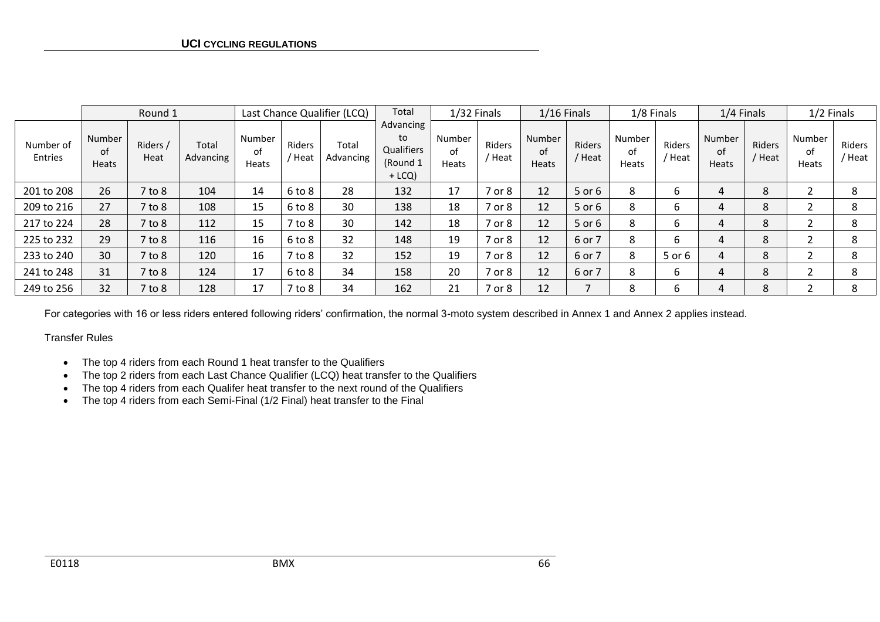|                      | Round 1                      |                  | Last Chance Qualifier (LCQ) |                       | Total            | 1/32 Finals        |                                                       | $1/16$ Finals                |                  | 1/8 Finals                   |                | 1/4 Finals                   |                | 1/2 Finals            |                |                       |                  |
|----------------------|------------------------------|------------------|-----------------------------|-----------------------|------------------|--------------------|-------------------------------------------------------|------------------------------|------------------|------------------------------|----------------|------------------------------|----------------|-----------------------|----------------|-----------------------|------------------|
| Number of<br>Entries | Number<br>of<br><b>Heats</b> | Riders /<br>Heat | Total<br>Advancing          | Number<br>of<br>Heats | Riders<br>/ Heat | Total<br>Advancing | Advancing<br>to<br>Qualifiers<br>(Round 1<br>$+$ LCQ) | Number<br>οf<br><b>Heats</b> | Riders<br>' Heat | Number<br>of<br><b>Heats</b> | Riders<br>Heat | <b>Number</b><br>of<br>Heats | Riders<br>Heat | Number<br>of<br>Heats | Riders<br>Heat | Number<br>of<br>Heats | Riders<br>' Heat |
| 201 to 208           | 26                           | $7$ to $8$       | 104                         | 14                    | $6$ to $8$       | 28                 | 132                                                   | 17                           | 7 or 8           | 12                           | 5 or 6         | 8                            | 6              | 4                     | 8              |                       | 8                |
| 209 to 216           | 27                           | $7$ to $8$       | 108                         | 15                    | $6$ to $8$       | 30                 | 138                                                   | 18                           | 7 or 8           | 12                           | 5 or 6         | 8                            | 6              | 4                     | 8              |                       | 8                |
| 217 to 224           | 28                           | $7$ to $8$       | 112                         | 15                    | $7$ to $8$       | 30                 | 142                                                   | 18                           | 7 or 8           | 12                           | 5 or 6         | 8                            | b              | 4                     | 8              |                       | ጸ                |
| 225 to 232           | 29                           | $7$ to $8$       | 116                         | 16                    | $6$ to $8$       | 32                 | 148                                                   | 19                           | 7 or 8           | 12                           | 6 or 7         | 8                            | 6              | 4                     | 8              |                       | 8                |
| 233 to 240           | 30                           | $7$ to $8$       | 120                         | 16                    | $7$ to $8$       | 32                 | 152                                                   | 19                           | 7 or 8           | 12                           | 6 or 7         | 8                            | 5 or 6         | 4                     | 8              |                       | 8                |
| 241 to 248           | 31                           | $7$ to $8$       | 124                         | 17                    | $6$ to $8$       | 34                 | 158                                                   | 20                           | 7 or 8           | 12                           | 6 or 7         | 8                            | b              | 4                     | 8              |                       | 8                |
| 249 to 256           | 32                           | $7$ to $8$       | 128                         | 17                    | $7$ to $8$       | 34                 | 162                                                   | 21                           | 7 or 8           | 12                           |                | 8                            | b              | 4                     | 8              |                       | 8                |

For categories with 16 or less riders entered following riders' confirmation, the normal 3-moto system described in Annex 1 and Annex 2 applies instead.

Transfer Rules

- The top 4 riders from each Round 1 heat transfer to the Qualifiers
- The top 2 riders from each Last Chance Qualifier (LCQ) heat transfer to the Qualifiers
- The top 4 riders from each Qualifer heat transfer to the next round of the Qualifiers
- The top 4 riders from each Semi-Final (1/2 Final) heat transfer to the Final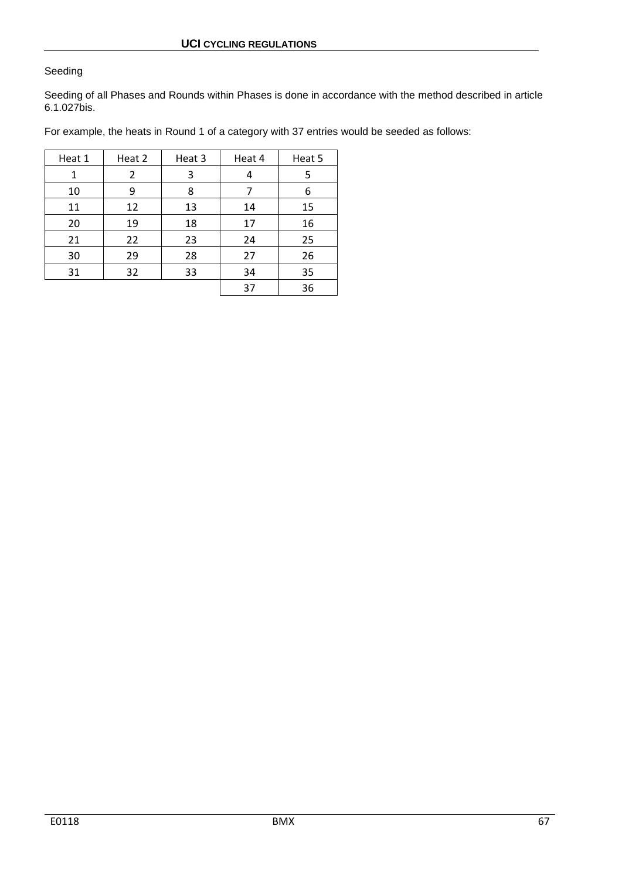## Seeding

Seeding of all Phases and Rounds within Phases is done in accordance with the method described in article 6.1.027bis.

For example, the heats in Round 1 of a category with 37 entries would be seeded as follows:

| Heat 1 | Heat 2 | Heat 3 | Heat 4 | Heat 5 |
|--------|--------|--------|--------|--------|
| 1      | 2      | 3      | 4      | 5      |
| 10     | 9      | 8      | 7      | 6      |
| 11     | 12     | 13     | 14     | 15     |
| 20     | 19     | 18     | 17     | 16     |
| 21     | 22     | 23     | 24     | 25     |
| 30     | 29     | 28     | 27     | 26     |
| 31     | 32     | 33     | 34     | 35     |
|        |        |        | 37     | 36     |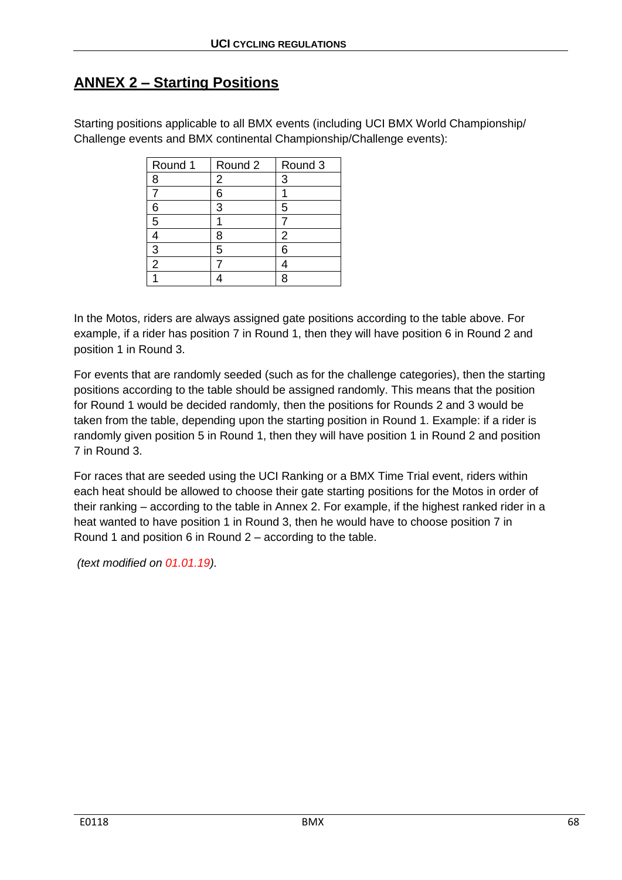# **ANNEX 2 – Starting Positions**

Starting positions applicable to all BMX events (including UCI BMX World Championship/ Challenge events and BMX continental Championship/Challenge events):

| Round 1        | Round 2 | Round 3        |
|----------------|---------|----------------|
| 8              | 2       | 3              |
|                | 6       |                |
| 6              | 3       | 5              |
| 5              |         |                |
|                | 8       | $\overline{2}$ |
| 3              | 5       | 6              |
| $\overline{2}$ |         |                |
|                |         | Я              |

In the Motos, riders are always assigned gate positions according to the table above. For example, if a rider has position 7 in Round 1, then they will have position 6 in Round 2 and position 1 in Round 3.

For events that are randomly seeded (such as for the challenge categories), then the starting positions according to the table should be assigned randomly. This means that the position for Round 1 would be decided randomly, then the positions for Rounds 2 and 3 would be taken from the table, depending upon the starting position in Round 1. Example: if a rider is randomly given position 5 in Round 1, then they will have position 1 in Round 2 and position 7 in Round 3.

For races that are seeded using the UCI Ranking or a BMX Time Trial event, riders within each heat should be allowed to choose their gate starting positions for the Motos in order of their ranking – according to the table in Annex 2. For example, if the highest ranked rider in a heat wanted to have position 1 in Round 3, then he would have to choose position 7 in Round 1 and position 6 in Round 2 – according to the table.

*(text modified on 01.01.19).*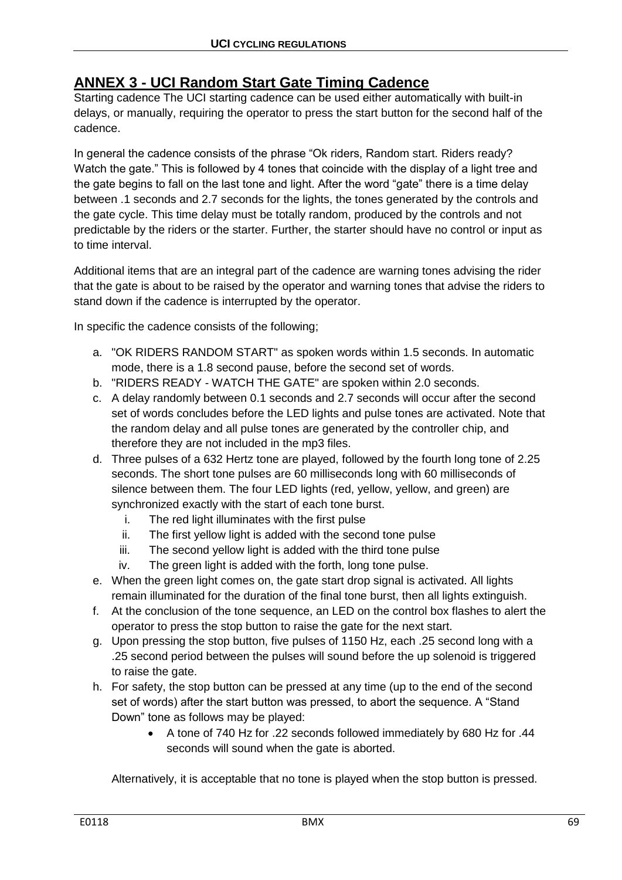# **ANNEX 3 - UCI Random Start Gate Timing Cadence**

Starting cadence The UCI starting cadence can be used either automatically with built-in delays, or manually, requiring the operator to press the start button for the second half of the cadence.

In general the cadence consists of the phrase "Ok riders, Random start. Riders ready? Watch the gate." This is followed by 4 tones that coincide with the display of a light tree and the gate begins to fall on the last tone and light. After the word "gate" there is a time delay between .1 seconds and 2.7 seconds for the lights, the tones generated by the controls and the gate cycle. This time delay must be totally random, produced by the controls and not predictable by the riders or the starter. Further, the starter should have no control or input as to time interval.

Additional items that are an integral part of the cadence are warning tones advising the rider that the gate is about to be raised by the operator and warning tones that advise the riders to stand down if the cadence is interrupted by the operator.

In specific the cadence consists of the following;

- a. "OK RIDERS RANDOM START" as spoken words within 1.5 seconds. In automatic mode, there is a 1.8 second pause, before the second set of words.
- b. "RIDERS READY WATCH THE GATE" are spoken within 2.0 seconds.
- c. A delay randomly between 0.1 seconds and 2.7 seconds will occur after the second set of words concludes before the LED lights and pulse tones are activated. Note that the random delay and all pulse tones are generated by the controller chip, and therefore they are not included in the mp3 files.
- d. Three pulses of a 632 Hertz tone are played, followed by the fourth long tone of 2.25 seconds. The short tone pulses are 60 milliseconds long with 60 milliseconds of silence between them. The four LED lights (red, yellow, yellow, and green) are synchronized exactly with the start of each tone burst.
	- i. The red light illuminates with the first pulse
	- ii. The first yellow light is added with the second tone pulse
	- iii. The second yellow light is added with the third tone pulse
	- iv. The green light is added with the forth, long tone pulse.
- e. When the green light comes on, the gate start drop signal is activated. All lights remain illuminated for the duration of the final tone burst, then all lights extinguish.
- f. At the conclusion of the tone sequence, an LED on the control box flashes to alert the operator to press the stop button to raise the gate for the next start.
- g. Upon pressing the stop button, five pulses of 1150 Hz, each .25 second long with a .25 second period between the pulses will sound before the up solenoid is triggered to raise the gate.
- h. For safety, the stop button can be pressed at any time (up to the end of the second set of words) after the start button was pressed, to abort the sequence. A "Stand Down" tone as follows may be played:
	- A tone of 740 Hz for .22 seconds followed immediately by 680 Hz for .44 seconds will sound when the gate is aborted.

Alternatively, it is acceptable that no tone is played when the stop button is pressed.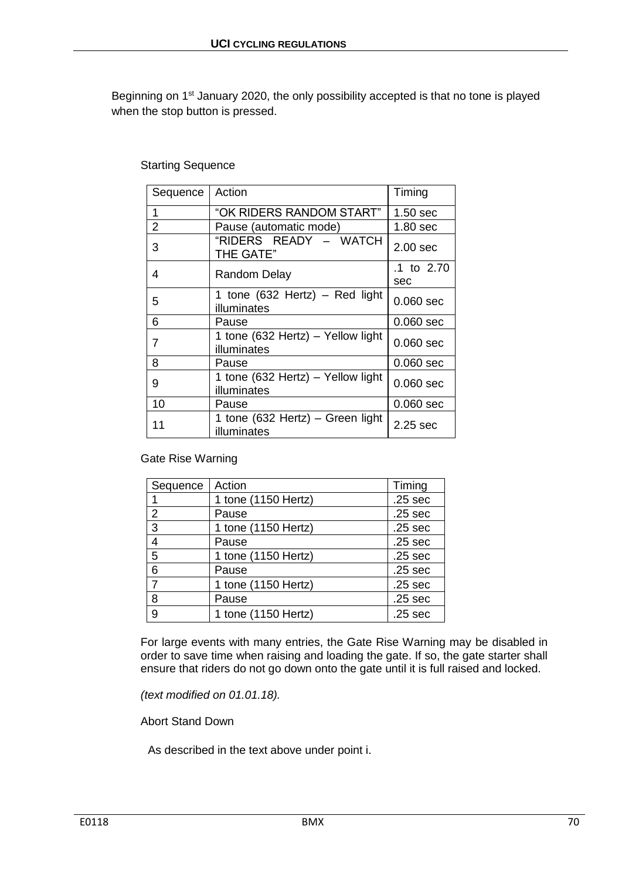Beginning on 1<sup>st</sup> January 2020, the only possibility accepted is that no tone is played when the stop button is pressed.

## Starting Sequence

| Sequence | Action                                           | Timing              |
|----------|--------------------------------------------------|---------------------|
| 1        | "OK RIDERS RANDOM START"                         | 1.50 sec            |
| 2        | Pause (automatic mode)                           | 1.80 sec            |
| 3        | "RIDERS READY – WATCH<br>THE GATE"               | 2.00 <sub>sec</sub> |
| 4        | Random Delay                                     | .1 to 2.70<br>sec   |
| 5        | 1 tone $(632$ Hertz) – Red light<br>illuminates  | $0.060$ sec         |
| 6        | Pause                                            | $0.060$ sec         |
| 7        | 1 tone (632 Hertz) - Yellow light<br>illuminates | $0.060$ sec         |
| 8        | Pause                                            | $0.060$ sec         |
| 9        | 1 tone (632 Hertz) – Yellow light<br>illuminates | $0.060$ sec         |
| 10       | Pause                                            | $0.060$ sec         |
| 11       | 1 tone (632 Hertz) - Green light<br>illuminates  | 2.25 sec            |

Gate Rise Warning

| Sequence       | Action              | Timing             |
|----------------|---------------------|--------------------|
|                | 1 tone (1150 Hertz) | .25 <sub>sec</sub> |
| 2              | Pause               | .25 <sub>sec</sub> |
| 3              | 1 tone (1150 Hertz) | .25 <sub>sec</sub> |
| $\overline{4}$ | Pause               | .25 <sub>sec</sub> |
| 5              | 1 tone (1150 Hertz) | .25 <sub>sec</sub> |
| 6              | Pause               | .25 <sub>sec</sub> |
| $\overline{7}$ | 1 tone (1150 Hertz) | .25 <sub>sec</sub> |
| 8              | Pause               | .25 <sub>sec</sub> |
| 9              | 1 tone (1150 Hertz) | .25 <sub>sec</sub> |

For large events with many entries, the Gate Rise Warning may be disabled in order to save time when raising and loading the gate. If so, the gate starter shall ensure that riders do not go down onto the gate until it is full raised and locked.

*(text modified on 01.01.18).*

Abort Stand Down

As described in the text above under point i.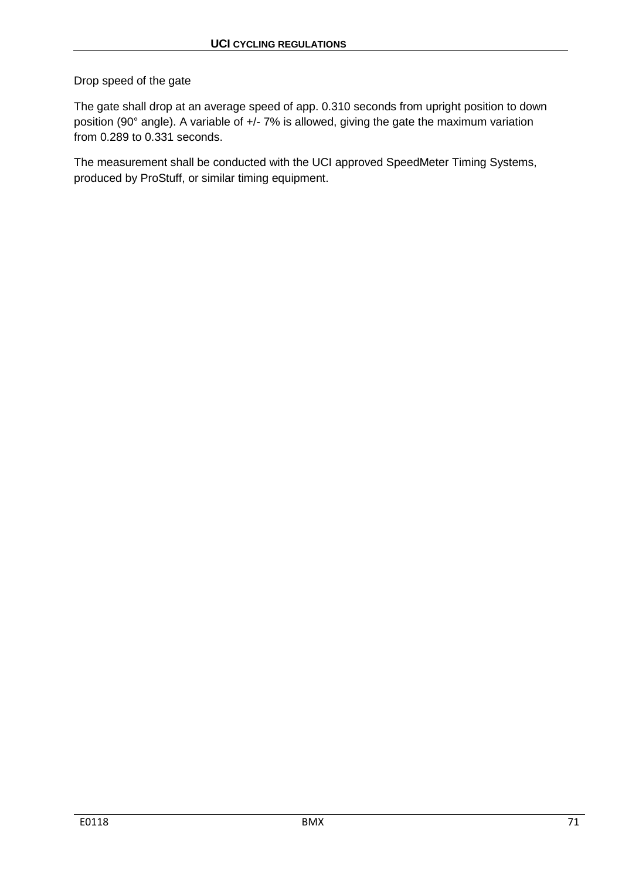Drop speed of the gate

The gate shall drop at an average speed of app. 0.310 seconds from upright position to down position (90° angle). A variable of +/- 7% is allowed, giving the gate the maximum variation from 0.289 to 0.331 seconds.

The measurement shall be conducted with the UCI approved SpeedMeter Timing Systems, produced by ProStuff, or similar timing equipment.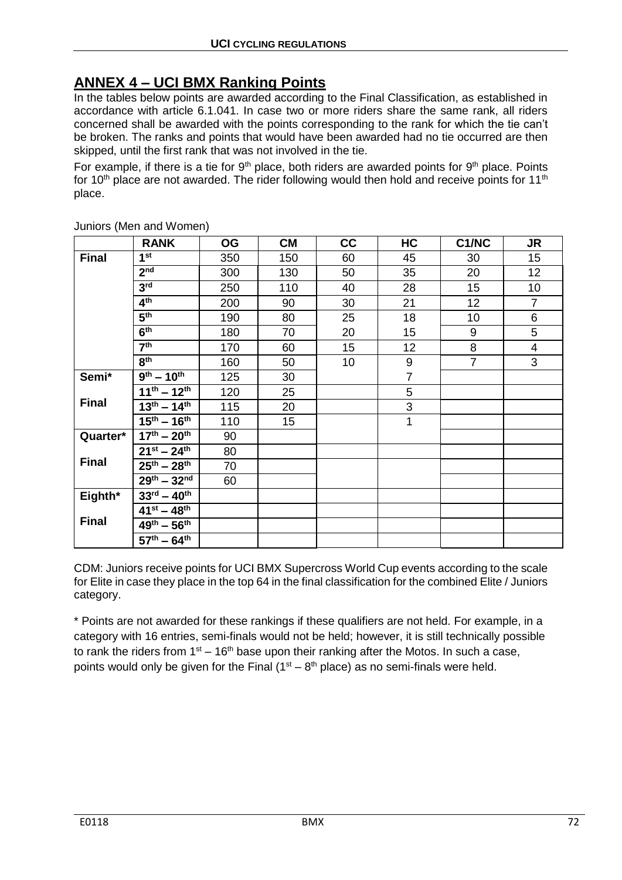# **ANNEX 4 – UCI BMX Ranking Points**

In the tables below points are awarded according to the Final Classification, as established in accordance with article 6.1.041. In case two or more riders share the same rank, all riders concerned shall be awarded with the points corresponding to the rank for which the tie can't be broken. The ranks and points that would have been awarded had no tie occurred are then skipped, until the first rank that was not involved in the tie.

For example, if there is a tie for  $9<sup>th</sup>$  place, both riders are awarded points for  $9<sup>th</sup>$  place. Points for 10<sup>th</sup> place are not awarded. The rider following would then hold and receive points for 11<sup>th</sup> place.

|              | <b>RANK</b>                       | OG  | <b>CM</b> | cc | HC             | C1/NC          | <b>JR</b>      |
|--------------|-----------------------------------|-----|-----------|----|----------------|----------------|----------------|
| <b>Final</b> | 1 <sup>st</sup>                   | 350 | 150       | 60 | 45             | 30             | 15             |
|              | 2 <sub>nd</sub>                   | 300 | 130       | 50 | 35             | 20             | 12             |
|              | 3 <sup>rd</sup>                   | 250 | 110       | 40 | 28             | 15             | 10             |
|              | 4 <sup>th</sup>                   | 200 | 90        | 30 | 21             | 12             | $\overline{7}$ |
|              | 5 <sup>th</sup>                   | 190 | 80        | 25 | 18             | 10             | 6              |
|              | 6 <sup>th</sup>                   | 180 | 70        | 20 | 15             | 9              | 5              |
|              | 7 <sup>th</sup>                   | 170 | 60        | 15 | 12             | 8              | $\overline{4}$ |
|              | 8 <sup>th</sup>                   | 160 | 50        | 10 | 9              | $\overline{7}$ | 3              |
| Semi*        | $9^{th} - 10^{th}$                | 125 | 30        |    | $\overline{7}$ |                |                |
|              | $\overline{11^{th}} - 12^{th}$    | 120 | 25        |    | 5              |                |                |
| <b>Final</b> | $13^{th} - 14^{th}$               | 115 | 20        |    | 3              |                |                |
|              | $15^{th} - 16^{th}$               | 110 | 15        |    | 1              |                |                |
| Quarter*     | $17^{th} - 20^{th}$               | 90  |           |    |                |                |                |
|              | $21^{st} - 24^{th}$               | 80  |           |    |                |                |                |
| <b>Final</b> | $25^{th} - 28^{th}$               | 70  |           |    |                |                |                |
|              | $29^{th} - 32^{nd}$               | 60  |           |    |                |                |                |
| Eighth*      | $33^{rd} - 40^{th}$               |     |           |    |                |                |                |
|              | $41^{st} - 48^{th}$               |     |           |    |                |                |                |
| <b>Final</b> | $49^{\text{th}} - 56^{\text{th}}$ |     |           |    |                |                |                |
|              | $57^{th} - 64^{th}$               |     |           |    |                |                |                |

Juniors (Men and Women)

CDM: Juniors receive points for UCI BMX Supercross World Cup events according to the scale for Elite in case they place in the top 64 in the final classification for the combined Elite / Juniors category.

\* Points are not awarded for these rankings if these qualifiers are not held. For example, in a category with 16 entries, semi-finals would not be held; however, it is still technically possible to rank the riders from  $1<sup>st</sup> - 16<sup>th</sup>$  base upon their ranking after the Motos. In such a case, points would only be given for the Final  $(1<sup>st</sup> - 8<sup>th</sup>$  place) as no semi-finals were held.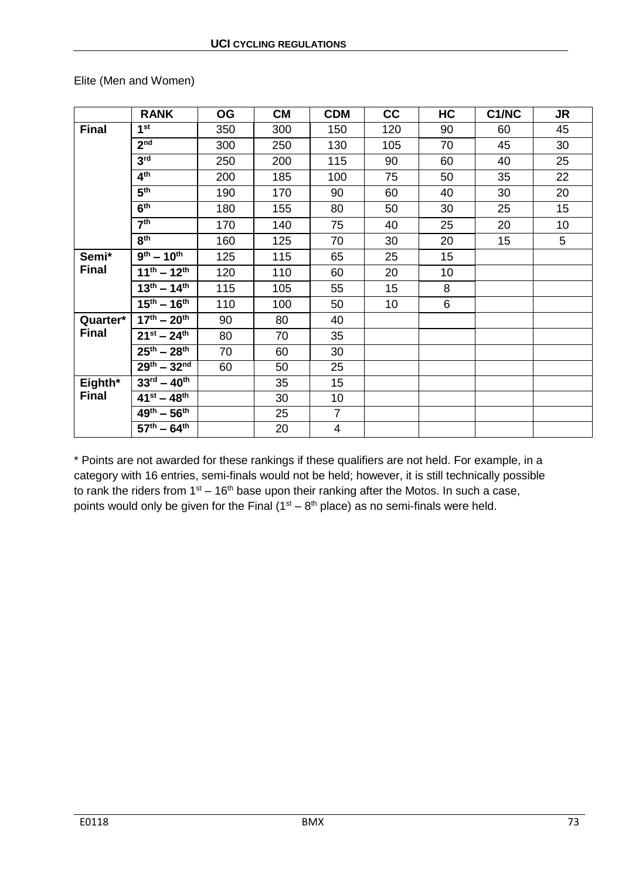Elite (Men and Women)

|              | <b>RANK</b>                                  | <b>OG</b> | <b>CM</b> | <b>CDM</b>     | cc              | HC | C1/NC | <b>JR</b> |
|--------------|----------------------------------------------|-----------|-----------|----------------|-----------------|----|-------|-----------|
| <b>Final</b> | 1 <sup>st</sup>                              | 350       | 300       | 150            | 120             | 90 | 60    | 45        |
|              | 2 <sub>nd</sub>                              | 300       | 250       | 130            | 105             | 70 | 45    | 30        |
|              | 3 <sup>rd</sup>                              | 250       | 200       | 115            | 90              | 60 | 40    | 25        |
|              | 4 <sup>th</sup>                              | 200       | 185       | 100            | 75              | 50 | 35    | 22        |
|              | 5 <sup>th</sup>                              | 190       | 170       | 90             | 60              | 40 | 30    | 20        |
|              | 6 <sup>th</sup>                              | 180       | 155       | 80             | 50              | 30 | 25    | 15        |
|              | $\overline{7^{th}}$                          | 170       | 140       | 75             | 40              | 25 | 20    | 10        |
|              | 8 <sup>th</sup>                              | 160       | 125       | 70             | 30              | 20 | 15    | 5         |
| Semi*        | $\overline{9^{th} - 10^{th}}$                | 125       | 115       | 65             | 25              | 15 |       |           |
| <b>Final</b> | $\overline{11}^{\text{th}} - 12^{\text{th}}$ | 120       | 110       | 60             | 20              | 10 |       |           |
|              | $13^{th} - 14^{th}$                          | 115       | 105       | 55             | 15              | 8  |       |           |
|              | $15^{th} - 16^{th}$                          | 110       | 100       | 50             | 10 <sub>1</sub> | 6  |       |           |
| Quarter*     | $17^{th} - 20^{th}$                          | 90        | 80        | 40             |                 |    |       |           |
| <b>Final</b> | $21^{st} - 24^{th}$                          | 80        | 70        | 35             |                 |    |       |           |
|              | $25^{th} - 28^{th}$                          | 70        | 60        | 30             |                 |    |       |           |
|              | $29^{th} - 32^{nd}$                          | 60        | 50        | 25             |                 |    |       |           |
| Eighth*      | $33^{\text{rd}} - 40^{\text{th}}$            |           | 35        | 15             |                 |    |       |           |
| <b>Final</b> | $41^{st} - 48^{th}$                          |           | 30        | 10             |                 |    |       |           |
|              | $\overline{49}^{\rm th} - 56^{\rm th}$       |           | 25        | $\overline{7}$ |                 |    |       |           |
|              | $57^{\text{th}} - 64^{\text{th}}$            |           | 20        | 4              |                 |    |       |           |

\* Points are not awarded for these rankings if these qualifiers are not held. For example, in a category with 16 entries, semi-finals would not be held; however, it is still technically possible to rank the riders from  $1<sup>st</sup> - 16<sup>th</sup>$  base upon their ranking after the Motos. In such a case, points would only be given for the Final  $(1<sup>st</sup> - 8<sup>th</sup>$  place) as no semi-finals were held.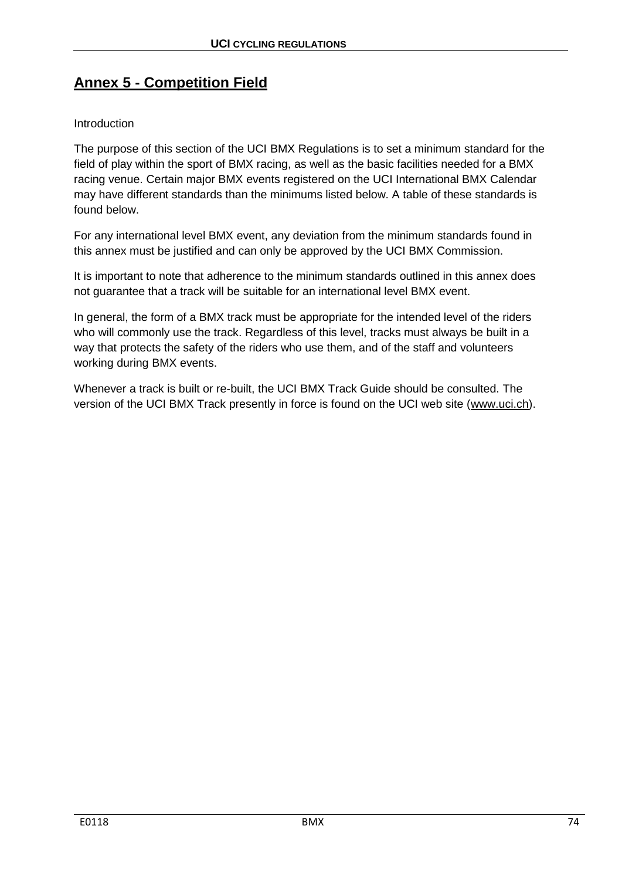# **Annex 5 - Competition Field**

# Introduction

The purpose of this section of the UCI BMX Regulations is to set a minimum standard for the field of play within the sport of BMX racing, as well as the basic facilities needed for a BMX racing venue. Certain major BMX events registered on the UCI International BMX Calendar may have different standards than the minimums listed below. A table of these standards is found below.

For any international level BMX event, any deviation from the minimum standards found in this annex must be justified and can only be approved by the UCI BMX Commission.

It is important to note that adherence to the minimum standards outlined in this annex does not guarantee that a track will be suitable for an international level BMX event.

In general, the form of a BMX track must be appropriate for the intended level of the riders who will commonly use the track. Regardless of this level, tracks must always be built in a way that protects the safety of the riders who use them, and of the staff and volunteers working during BMX events.

Whenever a track is built or re-built, the UCI BMX Track Guide should be consulted. The version of the UCI BMX Track presently in force is found on the UCI web site [\(www.uci.ch\)](http://www.uci.ch/).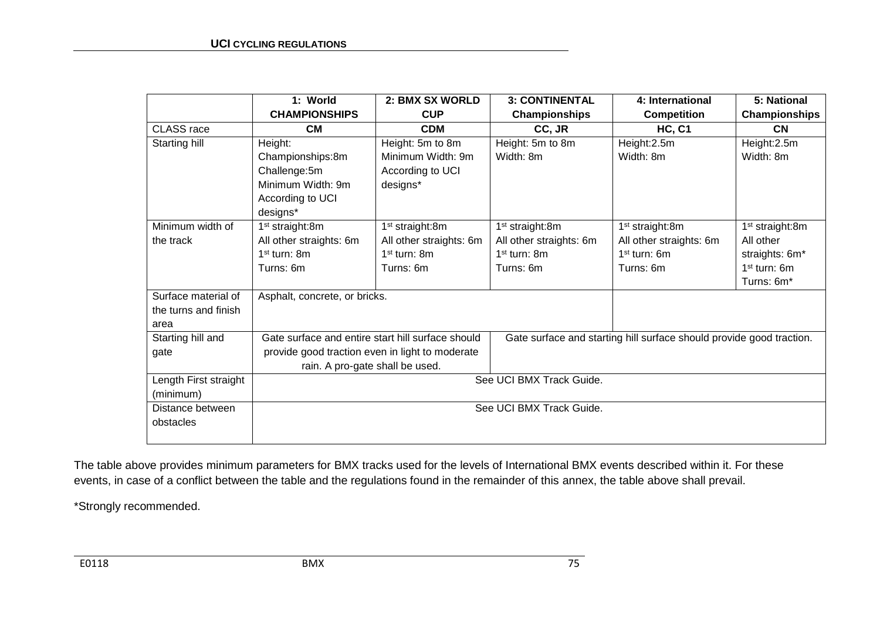|                       | 1: World                                          | 2: BMX SX WORLD             | <b>3: CONTINENTAL</b>                                                | 4: International            | 5: National                 |  |  |
|-----------------------|---------------------------------------------------|-----------------------------|----------------------------------------------------------------------|-----------------------------|-----------------------------|--|--|
|                       | <b>CHAMPIONSHIPS</b>                              | <b>CUP</b>                  | Championships                                                        | <b>Competition</b>          | Championships               |  |  |
| CLASS race            | <b>CM</b>                                         | <b>CDM</b>                  | CC, JR                                                               | <b>HC, C1</b>               | <b>CN</b>                   |  |  |
| Starting hill         | Height:                                           | Height: 5m to 8m            | Height: 5m to 8m                                                     | Height:2.5m                 | Height:2.5m                 |  |  |
|                       | Championships:8m                                  | Minimum Width: 9m           | Width: 8m                                                            | Width: 8m                   | Width: 8m                   |  |  |
|                       | Challenge:5m                                      | According to UCI            |                                                                      |                             |                             |  |  |
|                       | Minimum Width: 9m                                 | designs*                    |                                                                      |                             |                             |  |  |
|                       | According to UCI                                  |                             |                                                                      |                             |                             |  |  |
|                       | designs*                                          |                             |                                                                      |                             |                             |  |  |
| Minimum width of      | 1 <sup>st</sup> straight:8m                       | 1 <sup>st</sup> straight:8m | 1 <sup>st</sup> straight:8m                                          | 1 <sup>st</sup> straight:8m | 1 <sup>st</sup> straight:8m |  |  |
| the track             | All other straights: 6m                           | All other straights: 6m     | All other straights: 6m                                              | All other straights: 6m     | All other                   |  |  |
|                       | $1st$ turn: 8m                                    | $1st$ turn: 8m              | $1st$ turn: 8m                                                       | $1st$ turn: 6m              | straights: 6m*              |  |  |
|                       | Turns: 6m                                         | Turns: 6m                   | Turns: 6m                                                            | Turns: 6m                   | $1st$ turn: 6m              |  |  |
|                       |                                                   |                             |                                                                      |                             | Turns: 6m*                  |  |  |
| Surface material of   | Asphalt, concrete, or bricks.                     |                             |                                                                      |                             |                             |  |  |
| the turns and finish  |                                                   |                             |                                                                      |                             |                             |  |  |
| area                  |                                                   |                             |                                                                      |                             |                             |  |  |
| Starting hill and     | Gate surface and entire start hill surface should |                             | Gate surface and starting hill surface should provide good traction. |                             |                             |  |  |
| gate                  | provide good traction even in light to moderate   |                             |                                                                      |                             |                             |  |  |
|                       | rain. A pro-gate shall be used.                   |                             |                                                                      |                             |                             |  |  |
| Length First straight | See UCI BMX Track Guide.                          |                             |                                                                      |                             |                             |  |  |
| (minimum)             |                                                   |                             |                                                                      |                             |                             |  |  |
| Distance between      |                                                   |                             | See UCI BMX Track Guide.                                             |                             |                             |  |  |
| obstacles             |                                                   |                             |                                                                      |                             |                             |  |  |
|                       |                                                   |                             |                                                                      |                             |                             |  |  |

The table above provides minimum parameters for BMX tracks used for the levels of International BMX events described within it. For these events, in case of a conflict between the table and the regulations found in the remainder of this annex, the table above shall prevail.

\*Strongly recommended.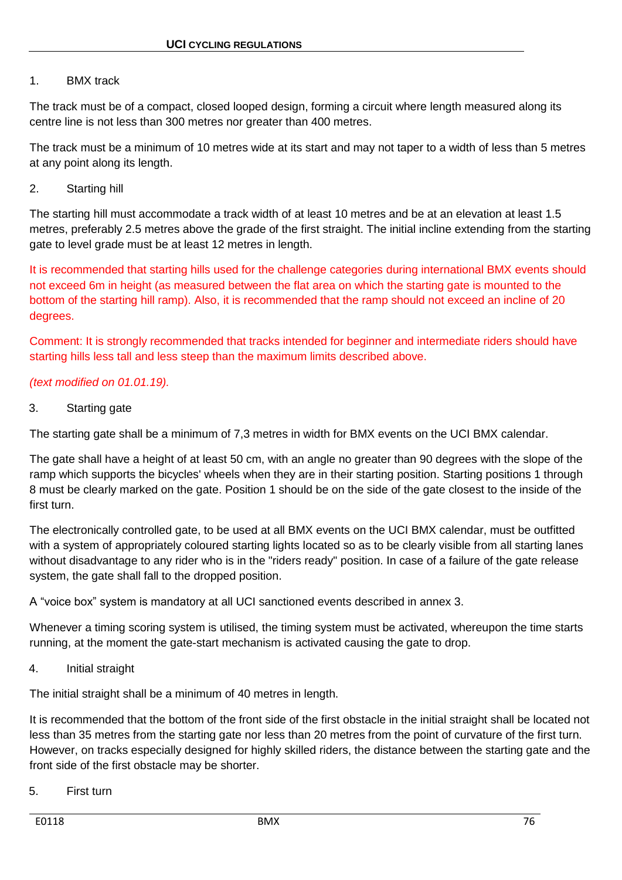# 1. BMX track

The track must be of a compact, closed looped design, forming a circuit where length measured along its centre line is not less than 300 metres nor greater than 400 metres.

The track must be a minimum of 10 metres wide at its start and may not taper to a width of less than 5 metres at any point along its length.

# 2. Starting hill

The starting hill must accommodate a track width of at least 10 metres and be at an elevation at least 1.5 metres, preferably 2.5 metres above the grade of the first straight. The initial incline extending from the starting gate to level grade must be at least 12 metres in length.

It is recommended that starting hills used for the challenge categories during international BMX events should not exceed 6m in height (as measured between the flat area on which the starting gate is mounted to the bottom of the starting hill ramp). Also, it is recommended that the ramp should not exceed an incline of 20 degrees.

Comment: It is strongly recommended that tracks intended for beginner and intermediate riders should have starting hills less tall and less steep than the maximum limits described above.

# *(text modified on 01.01.19).*

# 3. Starting gate

The starting gate shall be a minimum of 7,3 metres in width for BMX events on the UCI BMX calendar.

The gate shall have a height of at least 50 cm, with an angle no greater than 90 degrees with the slope of the ramp which supports the bicycles' wheels when they are in their starting position. Starting positions 1 through 8 must be clearly marked on the gate. Position 1 should be on the side of the gate closest to the inside of the first turn.

The electronically controlled gate, to be used at all BMX events on the UCI BMX calendar, must be outfitted with a system of appropriately coloured starting lights located so as to be clearly visible from all starting lanes without disadvantage to any rider who is in the "riders ready" position. In case of a failure of the gate release system, the gate shall fall to the dropped position.

A "voice box" system is mandatory at all UCI sanctioned events described in annex 3.

Whenever a timing scoring system is utilised, the timing system must be activated, whereupon the time starts running, at the moment the gate-start mechanism is activated causing the gate to drop.

4. Initial straight

The initial straight shall be a minimum of 40 metres in length.

It is recommended that the bottom of the front side of the first obstacle in the initial straight shall be located not less than 35 metres from the starting gate nor less than 20 metres from the point of curvature of the first turn. However, on tracks especially designed for highly skilled riders, the distance between the starting gate and the front side of the first obstacle may be shorter.

5. First turn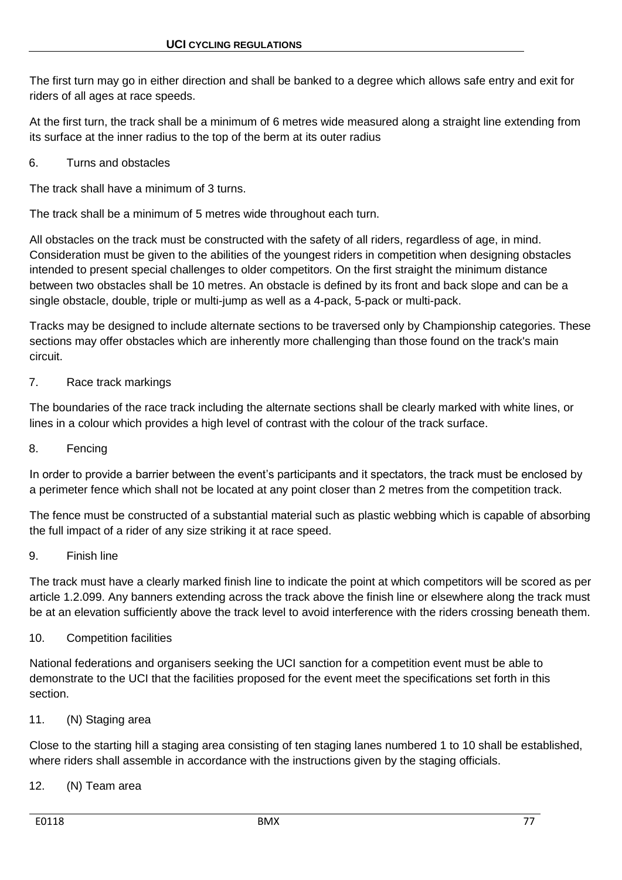The first turn may go in either direction and shall be banked to a degree which allows safe entry and exit for riders of all ages at race speeds.

At the first turn, the track shall be a minimum of 6 metres wide measured along a straight line extending from its surface at the inner radius to the top of the berm at its outer radius

# 6. Turns and obstacles

The track shall have a minimum of 3 turns.

The track shall be a minimum of 5 metres wide throughout each turn.

All obstacles on the track must be constructed with the safety of all riders, regardless of age, in mind. Consideration must be given to the abilities of the youngest riders in competition when designing obstacles intended to present special challenges to older competitors. On the first straight the minimum distance between two obstacles shall be 10 metres. An obstacle is defined by its front and back slope and can be a single obstacle, double, triple or multi-jump as well as a 4-pack, 5-pack or multi-pack.

Tracks may be designed to include alternate sections to be traversed only by Championship categories. These sections may offer obstacles which are inherently more challenging than those found on the track's main circuit.

# 7. Race track markings

The boundaries of the race track including the alternate sections shall be clearly marked with white lines, or lines in a colour which provides a high level of contrast with the colour of the track surface.

# 8. Fencing

In order to provide a barrier between the event's participants and it spectators, the track must be enclosed by a perimeter fence which shall not be located at any point closer than 2 metres from the competition track.

The fence must be constructed of a substantial material such as plastic webbing which is capable of absorbing the full impact of a rider of any size striking it at race speed.

# 9. Finish line

The track must have a clearly marked finish line to indicate the point at which competitors will be scored as per article 1.2.099. Any banners extending across the track above the finish line or elsewhere along the track must be at an elevation sufficiently above the track level to avoid interference with the riders crossing beneath them.

# 10. Competition facilities

National federations and organisers seeking the UCI sanction for a competition event must be able to demonstrate to the UCI that the facilities proposed for the event meet the specifications set forth in this section.

# 11. (N) Staging area

Close to the starting hill a staging area consisting of ten staging lanes numbered 1 to 10 shall be established, where riders shall assemble in accordance with the instructions given by the staging officials.

# 12. (N) Team area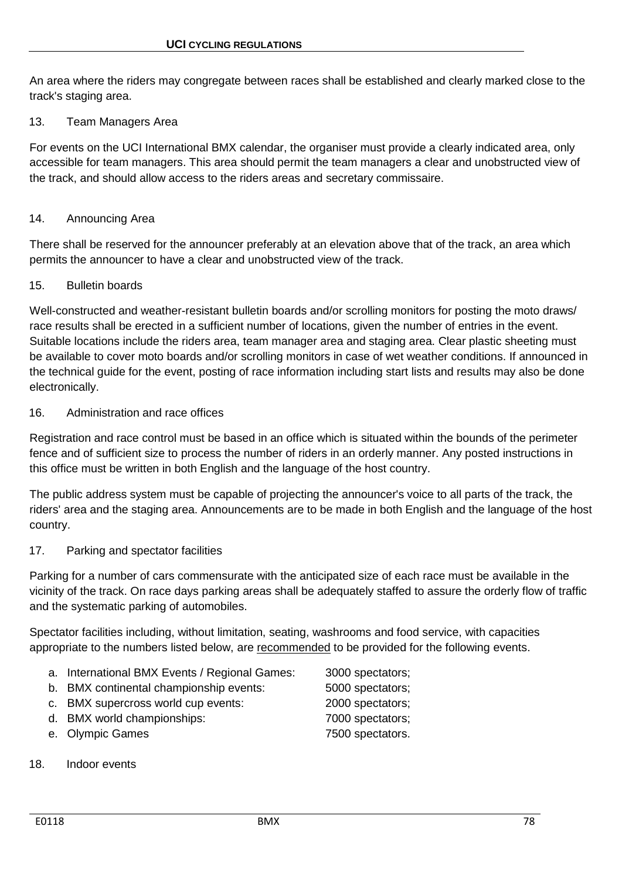An area where the riders may congregate between races shall be established and clearly marked close to the track's staging area.

### 13. Team Managers Area

For events on the UCI International BMX calendar, the organiser must provide a clearly indicated area, only accessible for team managers. This area should permit the team managers a clear and unobstructed view of the track, and should allow access to the riders areas and secretary commissaire.

### 14. Announcing Area

There shall be reserved for the announcer preferably at an elevation above that of the track, an area which permits the announcer to have a clear and unobstructed view of the track.

#### 15. Bulletin boards

Well-constructed and weather-resistant bulletin boards and/or scrolling monitors for posting the moto draws/ race results shall be erected in a sufficient number of locations, given the number of entries in the event. Suitable locations include the riders area, team manager area and staging area. Clear plastic sheeting must be available to cover moto boards and/or scrolling monitors in case of wet weather conditions. If announced in the technical guide for the event, posting of race information including start lists and results may also be done electronically.

#### 16. Administration and race offices

Registration and race control must be based in an office which is situated within the bounds of the perimeter fence and of sufficient size to process the number of riders in an orderly manner. Any posted instructions in this office must be written in both English and the language of the host country.

The public address system must be capable of projecting the announcer's voice to all parts of the track, the riders' area and the staging area. Announcements are to be made in both English and the language of the host country.

#### 17. Parking and spectator facilities

Parking for a number of cars commensurate with the anticipated size of each race must be available in the vicinity of the track. On race days parking areas shall be adequately staffed to assure the orderly flow of traffic and the systematic parking of automobiles.

Spectator facilities including, without limitation, seating, washrooms and food service, with capacities appropriate to the numbers listed below, are recommended to be provided for the following events.

- a. International BMX Events / Regional Games: 3000 spectators;
- b. BMX continental championship events: 5000 spectators;
- c. BMX supercross world cup events: 2000 spectators;
- d. BMX world championships: 7000 spectators;
- e. Olympic Games **7500** spectators.
- 18. Indoor events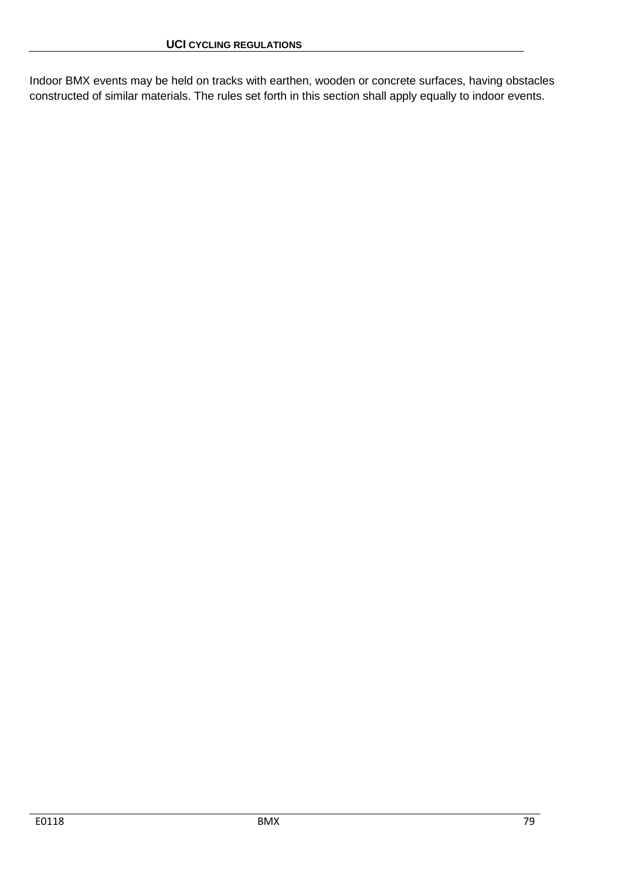Indoor BMX events may be held on tracks with earthen, wooden or concrete surfaces, having obstacles constructed of similar materials. The rules set forth in this section shall apply equally to indoor events.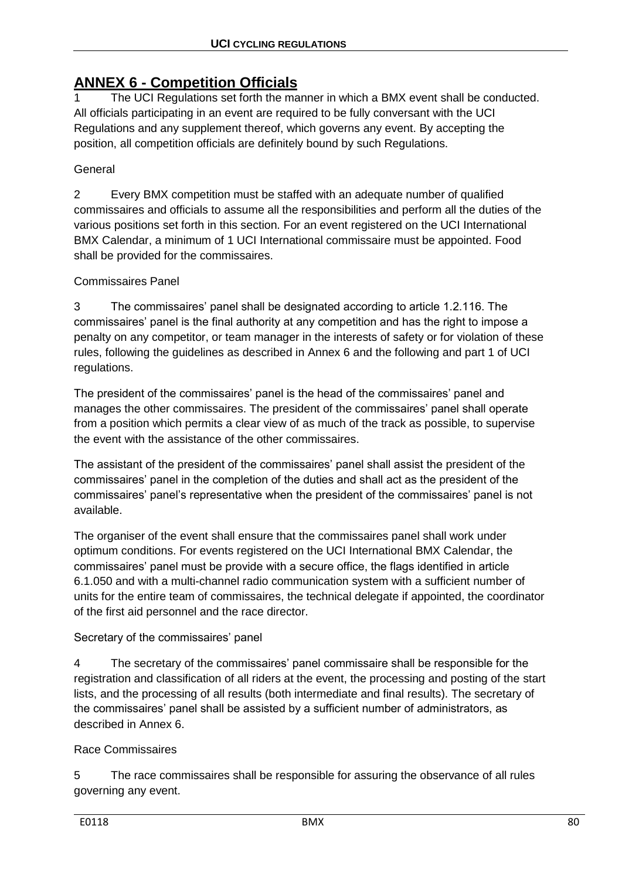# **ANNEX 6 - Competition Officials**

1 The UCI Regulations set forth the manner in which a BMX event shall be conducted. All officials participating in an event are required to be fully conversant with the UCI Regulations and any supplement thereof, which governs any event. By accepting the position, all competition officials are definitely bound by such Regulations.

General

2 Every BMX competition must be staffed with an adequate number of qualified commissaires and officials to assume all the responsibilities and perform all the duties of the various positions set forth in this section. For an event registered on the UCI International BMX Calendar, a minimum of 1 UCI International commissaire must be appointed. Food shall be provided for the commissaires.

Commissaires Panel

3 The commissaires' panel shall be designated according to article 1.2.116. The commissaires' panel is the final authority at any competition and has the right to impose a penalty on any competitor, or team manager in the interests of safety or for violation of these rules, following the guidelines as described in Annex 6 and the following and part 1 of UCI regulations.

The president of the commissaires' panel is the head of the commissaires' panel and manages the other commissaires. The president of the commissaires' panel shall operate from a position which permits a clear view of as much of the track as possible, to supervise the event with the assistance of the other commissaires.

The assistant of the president of the commissaires' panel shall assist the president of the commissaires' panel in the completion of the duties and shall act as the president of the commissaires' panel's representative when the president of the commissaires' panel is not available.

The organiser of the event shall ensure that the commissaires panel shall work under optimum conditions. For events registered on the UCI International BMX Calendar, the commissaires' panel must be provide with a secure office, the flags identified in article 6.1.050 and with a multi-channel radio communication system with a sufficient number of units for the entire team of commissaires, the technical delegate if appointed, the coordinator of the first aid personnel and the race director.

Secretary of the commissaires' panel

4 The secretary of the commissaires' panel commissaire shall be responsible for the registration and classification of all riders at the event, the processing and posting of the start lists, and the processing of all results (both intermediate and final results). The secretary of the commissaires' panel shall be assisted by a sufficient number of administrators, as described in Annex 6.

Race Commissaires

5 The race commissaires shall be responsible for assuring the observance of all rules governing any event.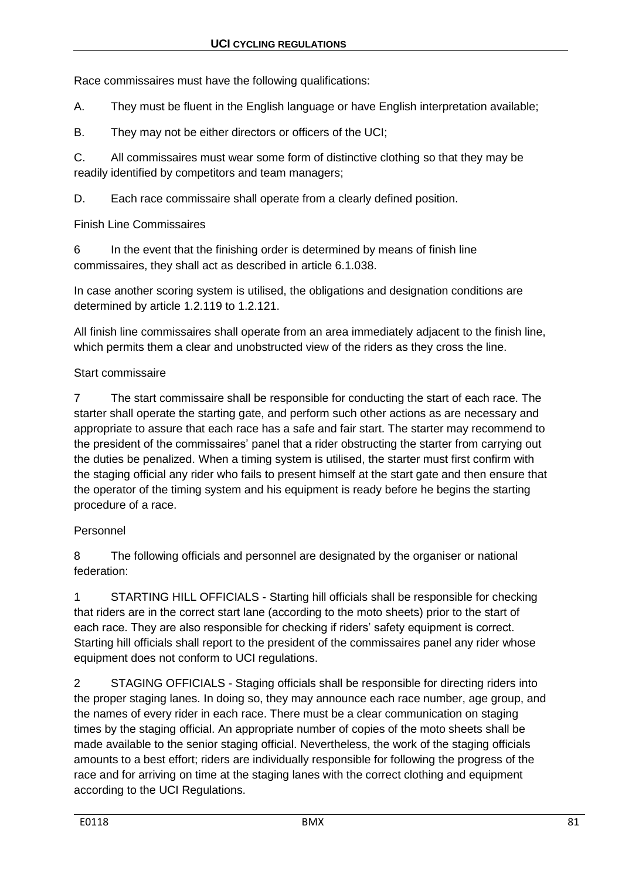Race commissaires must have the following qualifications:

A. They must be fluent in the English language or have English interpretation available;

B. They may not be either directors or officers of the UCI;

C. All commissaires must wear some form of distinctive clothing so that they may be readily identified by competitors and team managers;

D. Each race commissaire shall operate from a clearly defined position.

Finish Line Commissaires

6 In the event that the finishing order is determined by means of finish line commissaires, they shall act as described in article 6.1.038.

In case another scoring system is utilised, the obligations and designation conditions are determined by article 1.2.119 to 1.2.121.

All finish line commissaires shall operate from an area immediately adjacent to the finish line, which permits them a clear and unobstructed view of the riders as they cross the line.

# Start commissaire

7 The start commissaire shall be responsible for conducting the start of each race. The starter shall operate the starting gate, and perform such other actions as are necessary and appropriate to assure that each race has a safe and fair start. The starter may recommend to the president of the commissaires' panel that a rider obstructing the starter from carrying out the duties be penalized. When a timing system is utilised, the starter must first confirm with the staging official any rider who fails to present himself at the start gate and then ensure that the operator of the timing system and his equipment is ready before he begins the starting procedure of a race.

# Personnel

8 The following officials and personnel are designated by the organiser or national federation:

1 STARTING HILL OFFICIALS - Starting hill officials shall be responsible for checking that riders are in the correct start lane (according to the moto sheets) prior to the start of each race. They are also responsible for checking if riders' safety equipment is correct. Starting hill officials shall report to the president of the commissaires panel any rider whose equipment does not conform to UCI regulations.

2 STAGING OFFICIALS - Staging officials shall be responsible for directing riders into the proper staging lanes. In doing so, they may announce each race number, age group, and the names of every rider in each race. There must be a clear communication on staging times by the staging official. An appropriate number of copies of the moto sheets shall be made available to the senior staging official. Nevertheless, the work of the staging officials amounts to a best effort; riders are individually responsible for following the progress of the race and for arriving on time at the staging lanes with the correct clothing and equipment according to the UCI Regulations.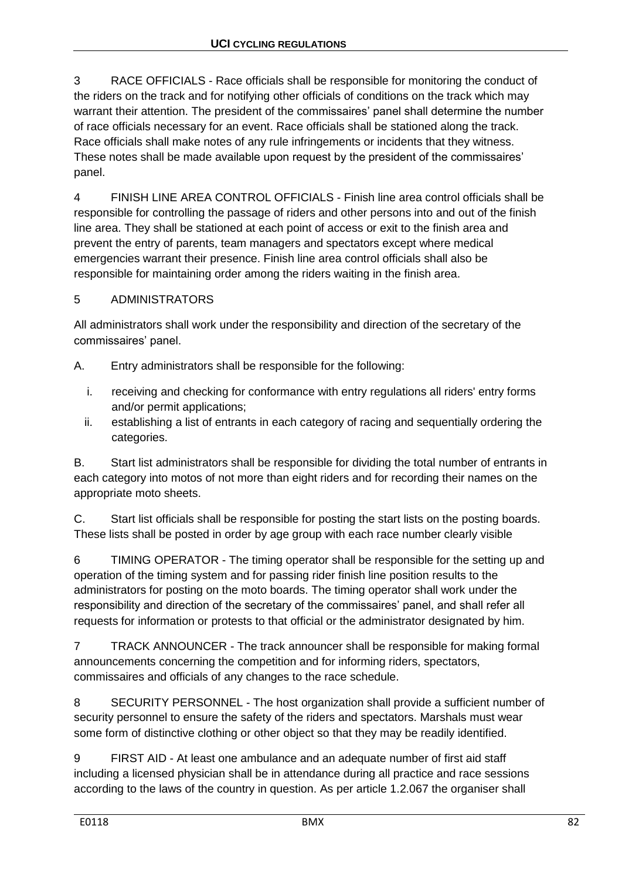3 RACE OFFICIALS - Race officials shall be responsible for monitoring the conduct of the riders on the track and for notifying other officials of conditions on the track which may warrant their attention. The president of the commissaires' panel shall determine the number of race officials necessary for an event. Race officials shall be stationed along the track. Race officials shall make notes of any rule infringements or incidents that they witness. These notes shall be made available upon request by the president of the commissaires' panel.

4 FINISH LINE AREA CONTROL OFFICIALS - Finish line area control officials shall be responsible for controlling the passage of riders and other persons into and out of the finish line area. They shall be stationed at each point of access or exit to the finish area and prevent the entry of parents, team managers and spectators except where medical emergencies warrant their presence. Finish line area control officials shall also be responsible for maintaining order among the riders waiting in the finish area.

# 5 ADMINISTRATORS

All administrators shall work under the responsibility and direction of the secretary of the commissaires' panel.

A. Entry administrators shall be responsible for the following:

- i. receiving and checking for conformance with entry regulations all riders' entry forms and/or permit applications;
- ii. establishing a list of entrants in each category of racing and sequentially ordering the categories.

B. Start list administrators shall be responsible for dividing the total number of entrants in each category into motos of not more than eight riders and for recording their names on the appropriate moto sheets.

C. Start list officials shall be responsible for posting the start lists on the posting boards. These lists shall be posted in order by age group with each race number clearly visible

6 TIMING OPERATOR - The timing operator shall be responsible for the setting up and operation of the timing system and for passing rider finish line position results to the administrators for posting on the moto boards. The timing operator shall work under the responsibility and direction of the secretary of the commissaires' panel, and shall refer all requests for information or protests to that official or the administrator designated by him.

7 TRACK ANNOUNCER - The track announcer shall be responsible for making formal announcements concerning the competition and for informing riders, spectators, commissaires and officials of any changes to the race schedule.

8 SECURITY PERSONNEL - The host organization shall provide a sufficient number of security personnel to ensure the safety of the riders and spectators. Marshals must wear some form of distinctive clothing or other object so that they may be readily identified.

9 FIRST AID - At least one ambulance and an adequate number of first aid staff including a licensed physician shall be in attendance during all practice and race sessions according to the laws of the country in question. As per article 1.2.067 the organiser shall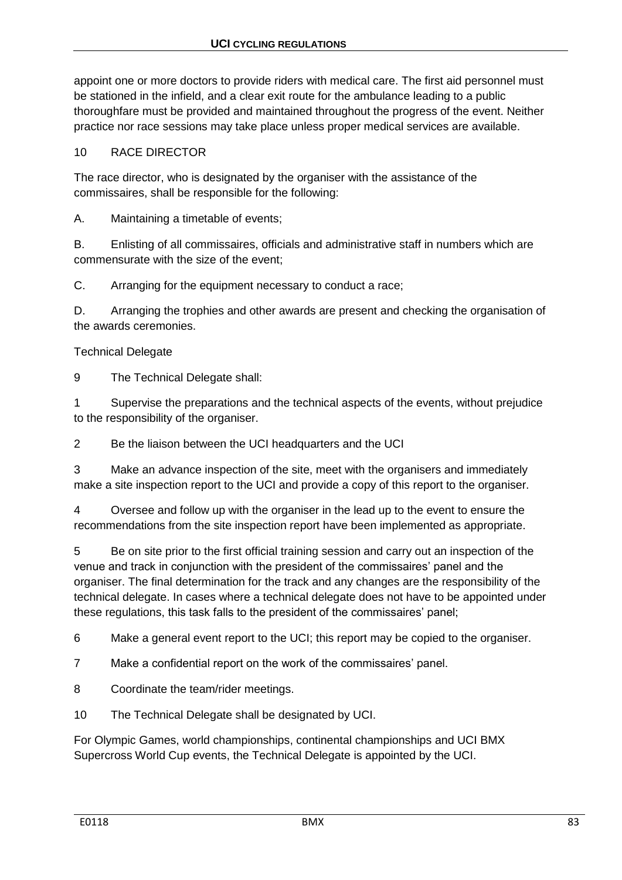appoint one or more doctors to provide riders with medical care. The first aid personnel must be stationed in the infield, and a clear exit route for the ambulance leading to a public thoroughfare must be provided and maintained throughout the progress of the event. Neither practice nor race sessions may take place unless proper medical services are available.

# 10 RACE DIRECTOR

The race director, who is designated by the organiser with the assistance of the commissaires, shall be responsible for the following:

A. Maintaining a timetable of events;

B. Enlisting of all commissaires, officials and administrative staff in numbers which are commensurate with the size of the event;

C. Arranging for the equipment necessary to conduct a race;

D. Arranging the trophies and other awards are present and checking the organisation of the awards ceremonies.

# Technical Delegate

9 The Technical Delegate shall:

1 Supervise the preparations and the technical aspects of the events, without prejudice to the responsibility of the organiser.

2 Be the liaison between the UCI headquarters and the UCI

3 Make an advance inspection of the site, meet with the organisers and immediately make a site inspection report to the UCI and provide a copy of this report to the organiser.

4 Oversee and follow up with the organiser in the lead up to the event to ensure the recommendations from the site inspection report have been implemented as appropriate.

5 Be on site prior to the first official training session and carry out an inspection of the venue and track in conjunction with the president of the commissaires' panel and the organiser. The final determination for the track and any changes are the responsibility of the technical delegate. In cases where a technical delegate does not have to be appointed under these regulations, this task falls to the president of the commissaires' panel;

6 Make a general event report to the UCI; this report may be copied to the organiser.

7 Make a confidential report on the work of the commissaires' panel.

8 Coordinate the team/rider meetings.

10 The Technical Delegate shall be designated by UCI.

For Olympic Games, world championships, continental championships and UCI BMX Supercross World Cup events, the Technical Delegate is appointed by the UCI.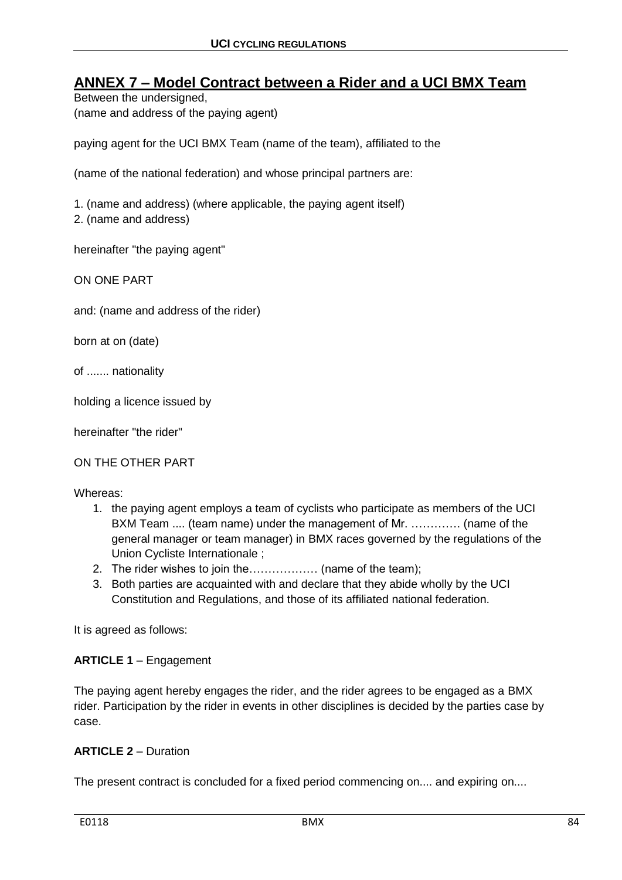# **ANNEX 7 – Model Contract between a Rider and a UCI BMX Team**

Between the undersigned, (name and address of the paying agent)

paying agent for the UCI BMX Team (name of the team), affiliated to the

(name of the national federation) and whose principal partners are:

1. (name and address) (where applicable, the paying agent itself)

2. (name and address)

hereinafter "the paying agent"

ON ONE PART

and: (name and address of the rider)

born at on (date)

of ....... nationality

holding a licence issued by

hereinafter "the rider"

ON THE OTHER PART

Whereas:

- 1. the paying agent employs a team of cyclists who participate as members of the UCI BXM Team .... (team name) under the management of Mr. …………. (name of the general manager or team manager) in BMX races governed by the regulations of the Union Cycliste Internationale ;
- 2. The rider wishes to join the……………… (name of the team);
- 3. Both parties are acquainted with and declare that they abide wholly by the UCI Constitution and Regulations, and those of its affiliated national federation.

It is agreed as follows:

#### **ARTICLE 1** – Engagement

The paying agent hereby engages the rider, and the rider agrees to be engaged as a BMX rider. Participation by the rider in events in other disciplines is decided by the parties case by case.

#### **ARTICLE 2** – Duration

The present contract is concluded for a fixed period commencing on.... and expiring on....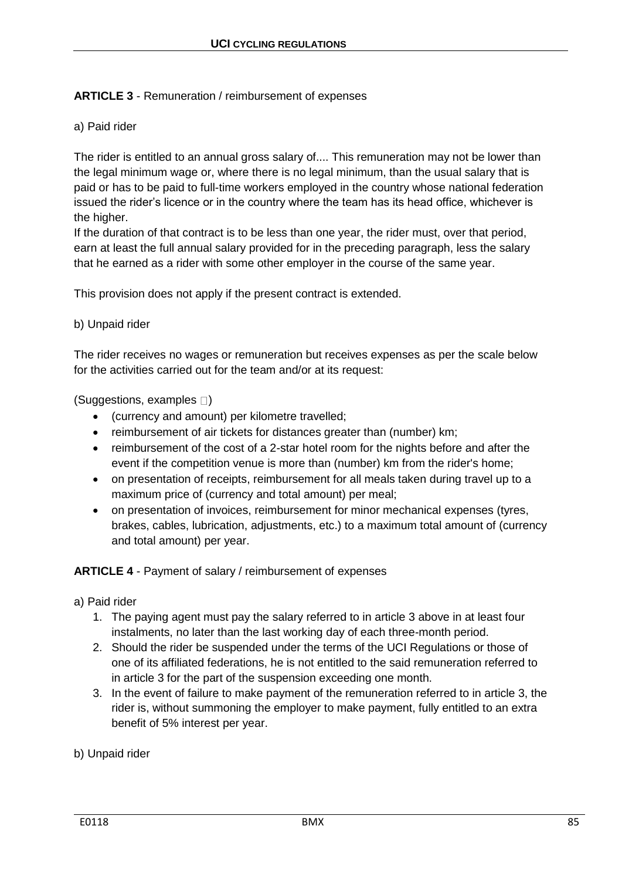# **ARTICLE 3** - Remuneration / reimbursement of expenses

### a) Paid rider

The rider is entitled to an annual gross salary of.... This remuneration may not be lower than the legal minimum wage or, where there is no legal minimum, than the usual salary that is paid or has to be paid to full-time workers employed in the country whose national federation issued the rider's licence or in the country where the team has its head office, whichever is the higher.

If the duration of that contract is to be less than one year, the rider must, over that period, earn at least the full annual salary provided for in the preceding paragraph, less the salary that he earned as a rider with some other employer in the course of the same year.

This provision does not apply if the present contract is extended.

### b) Unpaid rider

The rider receives no wages or remuneration but receives expenses as per the scale below for the activities carried out for the team and/or at its request:

(Suggestions, examples  $\square$ )

- (currency and amount) per kilometre travelled;
- reimbursement of air tickets for distances greater than (number) km;
- reimbursement of the cost of a 2-star hotel room for the nights before and after the event if the competition venue is more than (number) km from the rider's home;
- on presentation of receipts, reimbursement for all meals taken during travel up to a maximum price of (currency and total amount) per meal;
- on presentation of invoices, reimbursement for minor mechanical expenses (tyres, brakes, cables, lubrication, adjustments, etc.) to a maximum total amount of (currency and total amount) per year.

#### **ARTICLE 4** - Payment of salary / reimbursement of expenses

#### a) Paid rider

- 1. The paying agent must pay the salary referred to in article 3 above in at least four instalments, no later than the last working day of each three-month period.
- 2. Should the rider be suspended under the terms of the UCI Regulations or those of one of its affiliated federations, he is not entitled to the said remuneration referred to in article 3 for the part of the suspension exceeding one month.
- 3. In the event of failure to make payment of the remuneration referred to in article 3, the rider is, without summoning the employer to make payment, fully entitled to an extra benefit of 5% interest per year.

# b) Unpaid rider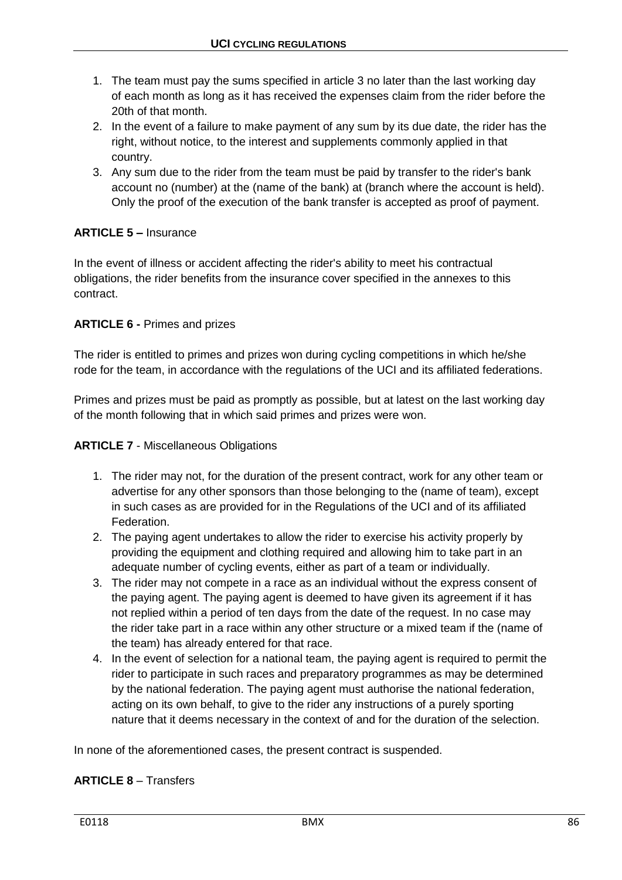- 1. The team must pay the sums specified in article 3 no later than the last working day of each month as long as it has received the expenses claim from the rider before the 20th of that month.
- 2. In the event of a failure to make payment of any sum by its due date, the rider has the right, without notice, to the interest and supplements commonly applied in that country.
- 3. Any sum due to the rider from the team must be paid by transfer to the rider's bank account no (number) at the (name of the bank) at (branch where the account is held). Only the proof of the execution of the bank transfer is accepted as proof of payment.

# **ARTICLE 5 –** Insurance

In the event of illness or accident affecting the rider's ability to meet his contractual obligations, the rider benefits from the insurance cover specified in the annexes to this contract.

# **ARTICLE 6 -** Primes and prizes

The rider is entitled to primes and prizes won during cycling competitions in which he/she rode for the team, in accordance with the regulations of the UCI and its affiliated federations.

Primes and prizes must be paid as promptly as possible, but at latest on the last working day of the month following that in which said primes and prizes were won.

# **ARTICLE 7** - Miscellaneous Obligations

- 1. The rider may not, for the duration of the present contract, work for any other team or advertise for any other sponsors than those belonging to the (name of team), except in such cases as are provided for in the Regulations of the UCI and of its affiliated Federation.
- 2. The paying agent undertakes to allow the rider to exercise his activity properly by providing the equipment and clothing required and allowing him to take part in an adequate number of cycling events, either as part of a team or individually.
- 3. The rider may not compete in a race as an individual without the express consent of the paying agent. The paying agent is deemed to have given its agreement if it has not replied within a period of ten days from the date of the request. In no case may the rider take part in a race within any other structure or a mixed team if the (name of the team) has already entered for that race.
- 4. In the event of selection for a national team, the paying agent is required to permit the rider to participate in such races and preparatory programmes as may be determined by the national federation. The paying agent must authorise the national federation, acting on its own behalf, to give to the rider any instructions of a purely sporting nature that it deems necessary in the context of and for the duration of the selection.

In none of the aforementioned cases, the present contract is suspended.

# **ARTICLE 8** – Transfers